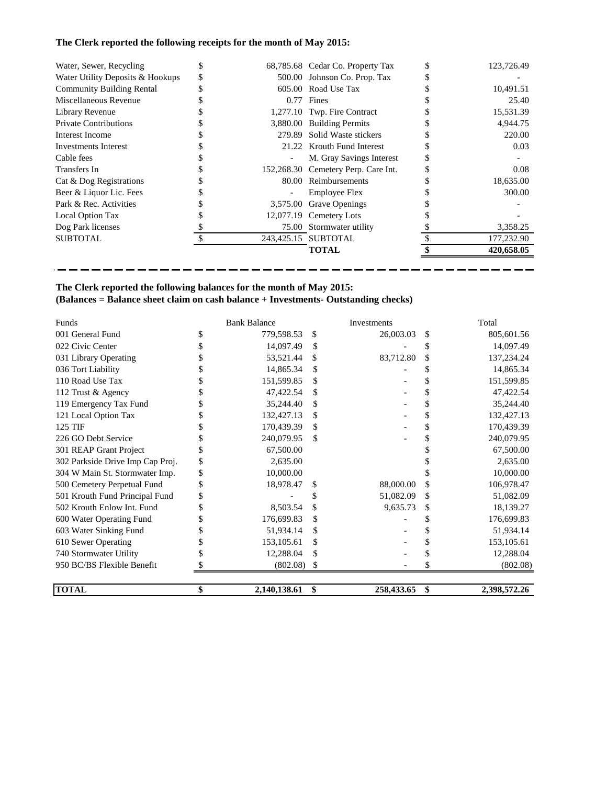## **The Clerk reported the following receipts for the month of May 2015:**

| Water, Sewer, Recycling          |   |          | 68,785.68 Cedar Co. Property Tax    | 123,726.49 |
|----------------------------------|---|----------|-------------------------------------|------------|
| Water Utility Deposits & Hookups | S |          | 500.00 Johnson Co. Prop. Tax        |            |
| <b>Community Building Rental</b> |   |          | 605.00 Road Use Tax                 | 10,491.51  |
| Miscellaneous Revenue            |   |          | $0.77$ Fines                        | 25.40      |
| Library Revenue                  |   |          | 1,277.10 Twp. Fire Contract         | 15,531.39  |
| <b>Private Contributions</b>     |   |          | 3,880.00 Building Permits           | 4.944.75   |
| Interest Income                  |   |          | 279.89 Solid Waste stickers         | 220.00     |
| Investments Interest             |   |          | 21.22 Krouth Fund Interest          | 0.03       |
| Cable fees                       |   |          | M. Gray Savings Interest            |            |
| Transfers In                     |   |          | 152,268.30 Cemetery Perp. Care Int. | 0.08       |
| Cat & Dog Registrations          |   |          | 80.00 Reimbursements                | 18,635.00  |
| Beer & Liquor Lic. Fees          |   |          | <b>Employee Flex</b>                | 300.00     |
| Park & Rec. Activities           |   | 3,575.00 | <b>Grave Openings</b>               |            |
| Local Option Tax                 |   |          | 12,077.19 Cemetery Lots             |            |
| Dog Park licenses                |   |          | 75.00 Stormwater utility            | 3,358.25   |
| <b>SUBTOTAL</b>                  |   |          | 243,425.15 SUBTOTAL                 | 177,232.90 |
|                                  |   |          | TOTAL                               | 420,658.05 |

----------------------------------

----

-

# **The Clerk reported the following balances for the month of May 2015:**

-----

### **(Balances = Balance sheet claim on cash balance + Investments- Outstanding checks)**

| Funds                            |    | <b>Bank Balance</b> |     | Investments |    | Total        |
|----------------------------------|----|---------------------|-----|-------------|----|--------------|
| 001 General Fund                 |    | 779,598.53          | \$  | 26,003.03   | S  | 805,601.56   |
| 022 Civic Center                 |    | 14,097.49           | \$  |             |    | 14,097.49    |
| 031 Library Operating            |    | 53,521.44           | S   | 83,712.80   | \$ | 137,234.24   |
| 036 Tort Liability               |    | 14,865.34           | \$. |             |    | 14,865.34    |
| 110 Road Use Tax                 |    | 151,599.85          | \$  |             | \$ | 151,599.85   |
| 112 Trust & Agency               |    | 47,422.54           | S   |             | \$ | 47,422.54    |
| 119 Emergency Tax Fund           |    | 35,244.40           |     |             | \$ | 35,244.40    |
| 121 Local Option Tax             |    | 132,427.13          |     |             |    | 132,427.13   |
| 125 TIF                          |    | 170,439.39          | S   |             |    | 170,439.39   |
| 226 GO Debt Service              |    | 240,079.95          | \$. |             |    | 240,079.95   |
| 301 REAP Grant Project           |    | 67,500.00           |     |             |    | 67,500.00    |
| 302 Parkside Drive Imp Cap Proj. |    | 2,635.00            |     |             |    | 2,635.00     |
| 304 W Main St. Stormwater Imp.   | \$ | 10,000.00           |     |             |    | 10,000.00    |
| 500 Cemetery Perpetual Fund      |    | 18,978.47           | \$  | 88,000.00   | \$ | 106,978.47   |
| 501 Krouth Fund Principal Fund   |    |                     |     | 51,082.09   | \$ | 51,082.09    |
| 502 Krouth Enlow Int. Fund       |    | 8,503.54            | \$  | 9,635.73    | \$ | 18,139.27    |
| 600 Water Operating Fund         | S  | 176,699.83          | S   |             |    | 176,699.83   |
| 603 Water Sinking Fund           |    | 51,934.14           |     |             |    | 51,934.14    |
| 610 Sewer Operating              |    | 153, 105.61         | S   |             |    | 153, 105.61  |
| 740 Stormwater Utility           |    | 12,288.04           | \$  |             |    | 12,288.04    |
| 950 BC/BS Flexible Benefit       |    | (802.08)            |     |             |    | (802.08)     |
| <b>TOTAL</b>                     | \$ | 2,140,138.61        | \$  | 258,433.65  | \$ | 2,398,572.26 |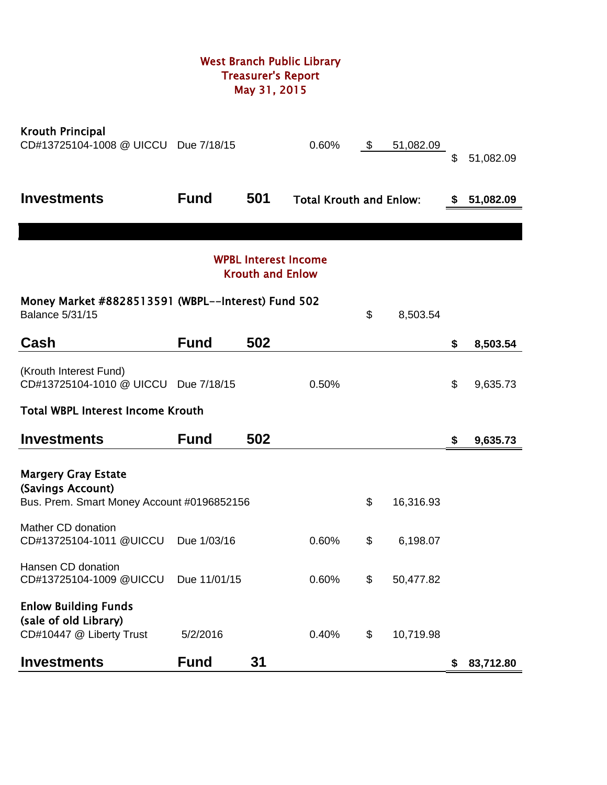# West Branch Public Library Treasurer's Report May 31, 2015

| <b>Krouth Principal</b><br>CD#13725104-1008 @ UICCU Due 7/18/15                  |              |                         | 0.60%                          | \$<br>51,082.09 | \$ | 51,082.09 |
|----------------------------------------------------------------------------------|--------------|-------------------------|--------------------------------|-----------------|----|-----------|
| <b>Investments</b>                                                               | <b>Fund</b>  | 501                     | <b>Total Krouth and Enlow:</b> |                 | S. | 51,082.09 |
|                                                                                  |              |                         |                                |                 |    |           |
|                                                                                  |              | <b>Krouth and Enlow</b> | <b>WPBL Interest Income</b>    |                 |    |           |
| Money Market #8828513591 (WBPL--Interest) Fund 502<br><b>Balance 5/31/15</b>     |              |                         |                                | \$<br>8,503.54  |    |           |
| Cash                                                                             | <b>Fund</b>  | 502                     |                                |                 | \$ | 8,503.54  |
| (Krouth Interest Fund)<br>CD#13725104-1010 @ UICCU Due 7/18/15                   |              |                         | 0.50%                          |                 | \$ | 9,635.73  |
| <b>Total WBPL Interest Income Krouth</b>                                         |              |                         |                                |                 |    |           |
| <b>Investments</b>                                                               | <b>Fund</b>  | 502                     |                                |                 | \$ | 9,635.73  |
| <b>Margery Gray Estate</b><br>(Savings Account)                                  |              |                         |                                |                 |    |           |
| Bus. Prem. Smart Money Account #0196852156                                       |              |                         |                                | \$<br>16,316.93 |    |           |
| Mather CD donation<br>CD#13725104-1011 @UICCU                                    | Due 1/03/16  |                         | 0.60%                          | \$<br>6,198.07  |    |           |
| Hansen CD donation<br>CD#13725104-1009 @UICCU                                    | Due 11/01/15 |                         | 0.60%                          | \$<br>50,477.82 |    |           |
| <b>Enlow Building Funds</b><br>(sale of old Library)<br>CD#10447 @ Liberty Trust | 5/2/2016     |                         | 0.40%                          | \$<br>10,719.98 |    |           |
| <b>Investments</b>                                                               | <b>Fund</b>  | 31                      |                                |                 | \$ | 83,712.80 |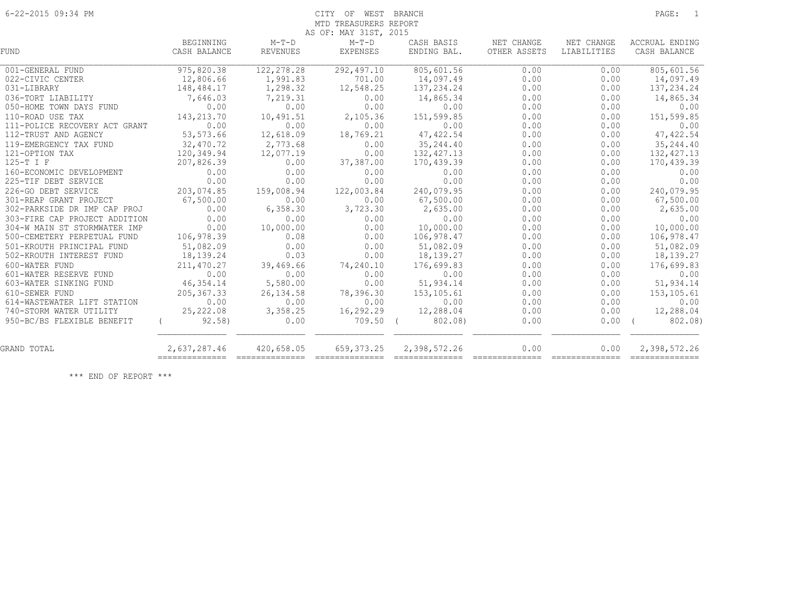## 6-22-2015 09:34 PM CITY OF WEST BRANCH PAGE: 1 MTD TREASURERS REPORT

|                               |              |                                                                                                                                                                                                                                                                                                                                                                                                                                                                                        | AS OF: MAY 31ST, 2015                                                                                                                                                                                                                                                                                                                                                                                                                                                                  |              |              |                |                       |
|-------------------------------|--------------|----------------------------------------------------------------------------------------------------------------------------------------------------------------------------------------------------------------------------------------------------------------------------------------------------------------------------------------------------------------------------------------------------------------------------------------------------------------------------------------|----------------------------------------------------------------------------------------------------------------------------------------------------------------------------------------------------------------------------------------------------------------------------------------------------------------------------------------------------------------------------------------------------------------------------------------------------------------------------------------|--------------|--------------|----------------|-----------------------|
|                               | BEGINNING    | $M-T-D$                                                                                                                                                                                                                                                                                                                                                                                                                                                                                | $M-T-D$                                                                                                                                                                                                                                                                                                                                                                                                                                                                                | CASH BASIS   | NET CHANGE   | NET CHANGE     | ACCRUAL ENDING        |
| <b>FUND</b>                   | CASH BALANCE | <b>REVENUES</b>                                                                                                                                                                                                                                                                                                                                                                                                                                                                        | <b>EXPENSES</b>                                                                                                                                                                                                                                                                                                                                                                                                                                                                        | ENDING BAL.  | OTHER ASSETS | LIABILITIES    | CASH BALANCE          |
| 001-GENERAL FUND              | 975,820.38   | 122,278.28                                                                                                                                                                                                                                                                                                                                                                                                                                                                             | 292,497.10                                                                                                                                                                                                                                                                                                                                                                                                                                                                             | 805,601.56   | 0.00         | 0.00           | 805,601.56            |
| 022-CIVIC CENTER              | 12,806.66    | 1,991.83                                                                                                                                                                                                                                                                                                                                                                                                                                                                               | 701.00                                                                                                                                                                                                                                                                                                                                                                                                                                                                                 | 14,097.49    | 0.00         | 0.00           | 14,097.49             |
| 031-LIBRARY                   | 148,484.17   | 1,298.32                                                                                                                                                                                                                                                                                                                                                                                                                                                                               | 12,548.25                                                                                                                                                                                                                                                                                                                                                                                                                                                                              | 137,234.24   | 0.00         | 0.00           | 137, 234.24           |
| 036-TORT LIABILITY            | 7,646.03     | 7,219.31                                                                                                                                                                                                                                                                                                                                                                                                                                                                               | 0.00                                                                                                                                                                                                                                                                                                                                                                                                                                                                                   | 14,865.34    | 0.00         | 0.00           | 14,865.34             |
| 050-HOME TOWN DAYS FUND       | 0.00         | 0.00                                                                                                                                                                                                                                                                                                                                                                                                                                                                                   | 0.00                                                                                                                                                                                                                                                                                                                                                                                                                                                                                   | 0.00         | 0.00         | 0.00           | 0.00                  |
| 110-ROAD USE TAX              | 143,213.70   | 10,491.51                                                                                                                                                                                                                                                                                                                                                                                                                                                                              | 2,105.36                                                                                                                                                                                                                                                                                                                                                                                                                                                                               | 151,599.85   | 0.00         | 0.00           | 151,599.85            |
| 111-POLICE RECOVERY ACT GRANT | 0.00         | 0.00                                                                                                                                                                                                                                                                                                                                                                                                                                                                                   | 0.00                                                                                                                                                                                                                                                                                                                                                                                                                                                                                   | 0.00         | 0.00         | 0.00           | 0.00                  |
| 112-TRUST AND AGENCY          | 53,573.66    | 12,618.09                                                                                                                                                                                                                                                                                                                                                                                                                                                                              | 18,769.21                                                                                                                                                                                                                                                                                                                                                                                                                                                                              | 47, 422.54   | 0.00         | 0.00           | 47, 422.54            |
| 119-EMERGENCY TAX FUND        | 32,470.72    | 2,773.68                                                                                                                                                                                                                                                                                                                                                                                                                                                                               | 0.00                                                                                                                                                                                                                                                                                                                                                                                                                                                                                   | 35, 244.40   | 0.00         | 0.00           | 35, 244.40            |
| 121-OPTION TAX                | 120,349.94   | 12,077.19                                                                                                                                                                                                                                                                                                                                                                                                                                                                              | 0.00                                                                                                                                                                                                                                                                                                                                                                                                                                                                                   | 132, 427.13  | 0.00         | 0.00           | 132, 427.13           |
| 125-T I F                     | 207,826.39   | 0.00                                                                                                                                                                                                                                                                                                                                                                                                                                                                                   | 37,387.00                                                                                                                                                                                                                                                                                                                                                                                                                                                                              | 170,439.39   | 0.00         | 0.00           | 170,439.39            |
| 160-ECONOMIC DEVELOPMENT      | 0.00         | 0.00                                                                                                                                                                                                                                                                                                                                                                                                                                                                                   | 0.00                                                                                                                                                                                                                                                                                                                                                                                                                                                                                   | 0.00         | 0.00         | 0.00           | 0.00                  |
| 225-TIF DEBT SERVICE          | 0.00         | 0.00                                                                                                                                                                                                                                                                                                                                                                                                                                                                                   | 0.00                                                                                                                                                                                                                                                                                                                                                                                                                                                                                   | 0.00         | 0.00         | 0.00           | 0.00                  |
| 226-GO DEBT SERVICE           | 203,074.85   | 159,008.94                                                                                                                                                                                                                                                                                                                                                                                                                                                                             | 122,003.84                                                                                                                                                                                                                                                                                                                                                                                                                                                                             | 240,079.95   | 0.00         | 0.00           | 240,079.95            |
| 301-REAP GRANT PROJECT        | 67,500.00    | 0.00                                                                                                                                                                                                                                                                                                                                                                                                                                                                                   | 0.00                                                                                                                                                                                                                                                                                                                                                                                                                                                                                   | 67,500.00    | 0.00         | 0.00           | 67,500.00             |
| 302-PARKSIDE DR IMP CAP PROJ  | 0.00         | 6,358.30                                                                                                                                                                                                                                                                                                                                                                                                                                                                               | 3,723.30                                                                                                                                                                                                                                                                                                                                                                                                                                                                               | 2,635.00     | 0.00         | 0.00           | 2,635.00              |
| 303-FIRE CAP PROJECT ADDITION | 0.00         | 0.00                                                                                                                                                                                                                                                                                                                                                                                                                                                                                   | 0.00                                                                                                                                                                                                                                                                                                                                                                                                                                                                                   | 0.00         | 0.00         | 0.00           | 0.00                  |
| 304-W MAIN ST STORMWATER IMP  | 0.00         | 10,000.00                                                                                                                                                                                                                                                                                                                                                                                                                                                                              | 0.00                                                                                                                                                                                                                                                                                                                                                                                                                                                                                   | 10,000.00    | 0.00         | 0.00           | 10,000.00             |
| 500-CEMETERY PERPETUAL FUND   | 106,978.39   | 0.08                                                                                                                                                                                                                                                                                                                                                                                                                                                                                   | 0.00                                                                                                                                                                                                                                                                                                                                                                                                                                                                                   | 106,978.47   | 0.00         | 0.00           | 106,978.47            |
| 501-KROUTH PRINCIPAL FUND     | 51,082.09    | 0.00                                                                                                                                                                                                                                                                                                                                                                                                                                                                                   | 0.00                                                                                                                                                                                                                                                                                                                                                                                                                                                                                   | 51,082.09    | 0.00         | 0.00           | 51,082.09             |
| 502-KROUTH INTEREST FUND      | 18,139.24    | 0.03                                                                                                                                                                                                                                                                                                                                                                                                                                                                                   | 0.00                                                                                                                                                                                                                                                                                                                                                                                                                                                                                   | 18,139.27    | 0.00         | 0.00           | 18, 139. 27           |
| 600-WATER FUND                | 211,470.27   | 39,469.66                                                                                                                                                                                                                                                                                                                                                                                                                                                                              | 74,240.10                                                                                                                                                                                                                                                                                                                                                                                                                                                                              | 176,699.83   | 0.00         | 0.00           | 176,699.83            |
| 601-WATER RESERVE FUND        | 0.00         | 0.00                                                                                                                                                                                                                                                                                                                                                                                                                                                                                   | 0.00                                                                                                                                                                                                                                                                                                                                                                                                                                                                                   | 0.00         | 0.00         | 0.00           | 0.00                  |
| 603-WATER SINKING FUND        | 46,354.14    | 5,580.00                                                                                                                                                                                                                                                                                                                                                                                                                                                                               | 0.00                                                                                                                                                                                                                                                                                                                                                                                                                                                                                   | 51,934.14    | 0.00         | 0.00           | 51,934.14             |
| 610-SEWER FUND                | 205, 367.33  | 26, 134.58                                                                                                                                                                                                                                                                                                                                                                                                                                                                             | 78,396.30                                                                                                                                                                                                                                                                                                                                                                                                                                                                              | 153,105.61   | 0.00         | 0.00           | 153, 105.61           |
| 614-WASTEWATER LIFT STATION   | 0.00         | 0.00                                                                                                                                                                                                                                                                                                                                                                                                                                                                                   | 0.00                                                                                                                                                                                                                                                                                                                                                                                                                                                                                   | 0.00         | 0.00         | 0.00           | 0.00                  |
| 740-STORM WATER UTILITY       | 25, 222.08   | 3,358.25                                                                                                                                                                                                                                                                                                                                                                                                                                                                               | 16,292.29                                                                                                                                                                                                                                                                                                                                                                                                                                                                              | 12,288.04    | 0.00         | 0.00           | 12,288.04             |
| 950-BC/BS FLEXIBLE BENEFIT    | 92.58)       | 0.00                                                                                                                                                                                                                                                                                                                                                                                                                                                                                   | 709.50 (                                                                                                                                                                                                                                                                                                                                                                                                                                                                               | 802.08)      | 0.00         | 0.00           | 802.08)<br>$\sqrt{2}$ |
| GRAND TOTAL                   | 2,637,287.46 | 420,658.05                                                                                                                                                                                                                                                                                                                                                                                                                                                                             | 659, 373.25                                                                                                                                                                                                                                                                                                                                                                                                                                                                            | 2,398,572.26 | 0.00         | 0.00           | 2,398,572.26          |
|                               |              | $\begin{array}{cccccccccc} \multicolumn{2}{c}{} & \multicolumn{2}{c}{} & \multicolumn{2}{c}{} & \multicolumn{2}{c}{} & \multicolumn{2}{c}{} & \multicolumn{2}{c}{} & \multicolumn{2}{c}{} & \multicolumn{2}{c}{} & \multicolumn{2}{c}{} & \multicolumn{2}{c}{} & \multicolumn{2}{c}{} & \multicolumn{2}{c}{} & \multicolumn{2}{c}{} & \multicolumn{2}{c}{} & \multicolumn{2}{c}{} & \multicolumn{2}{c}{} & \multicolumn{2}{c}{} & \multicolumn{2}{c}{} & \multicolumn{2}{c}{} & \mult$ | $\begin{array}{cccccccccc} \multicolumn{2}{c}{} & \multicolumn{2}{c}{} & \multicolumn{2}{c}{} & \multicolumn{2}{c}{} & \multicolumn{2}{c}{} & \multicolumn{2}{c}{} & \multicolumn{2}{c}{} & \multicolumn{2}{c}{} & \multicolumn{2}{c}{} & \multicolumn{2}{c}{} & \multicolumn{2}{c}{} & \multicolumn{2}{c}{} & \multicolumn{2}{c}{} & \multicolumn{2}{c}{} & \multicolumn{2}{c}{} & \multicolumn{2}{c}{} & \multicolumn{2}{c}{} & \multicolumn{2}{c}{} & \multicolumn{2}{c}{} & \mult$ |              |              | ============== | ==============        |

\*\*\* END OF REPORT \*\*\*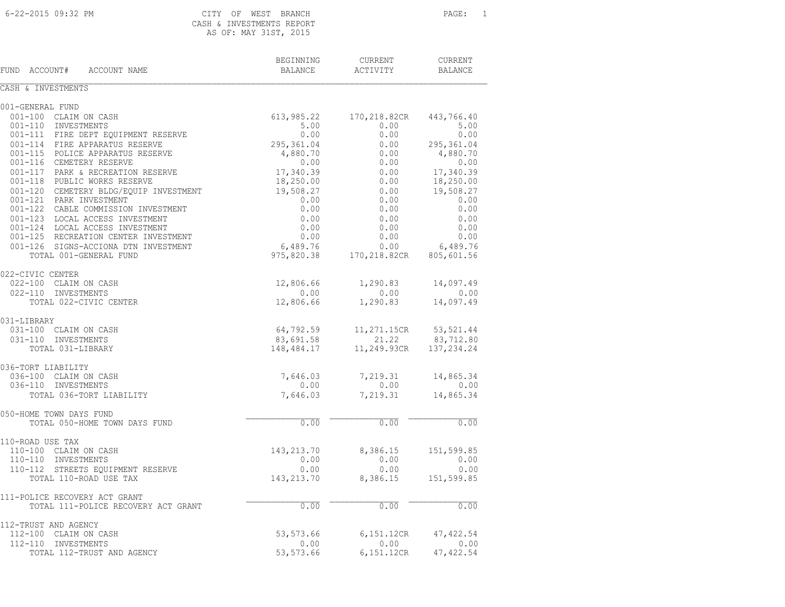### CASH & INVESTMENTS REPORT AS OF: MAY 31ST, 2015

| FUND ACCOUNT#<br>ACCOUNT NAME                                  | BEGINNING<br>BALANCE   | CURRENT<br>ACTIVITY  | <b>CURRENT</b><br><b>BALANCE</b> |
|----------------------------------------------------------------|------------------------|----------------------|----------------------------------|
| CASH & INVESTMENTS                                             |                        |                      |                                  |
| 001-GENERAL FUND                                               |                        |                      |                                  |
| 001-100 CLAIM ON CASH                                          | 613,985.22             | 170,218.82CR         | 443,766.40                       |
| 001-110 INVESTMENTS                                            | 5.00                   | 0.00                 | 5.00                             |
| 001-111 FIRE DEPT EOUIPMENT RESERVE                            | 0.00                   | 0.00                 | 0.00                             |
| 001-114 FIRE APPARATUS RESERVE                                 | 295,361.04             | 0.00                 | 295,361.04                       |
| 001-115 POLICE APPARATUS RESERVE                               | 4,880.70               | 0.00                 | 4,880.70                         |
| 001-116 CEMETERY RESERVE                                       | 0.00                   | 0.00                 | 0.00                             |
| 001-117 PARK & RECREATION RESERVE                              | 17,340.39              | 0.00                 | 17,340.39                        |
| 001-118 PUBLIC WORKS RESERVE                                   | 18,250.00              | 0.00                 | 18,250.00                        |
| 001-120 CEMETERY BLDG/EQUIP INVESTMENT                         | 19,508.27              | 0.00                 | 19,508.27                        |
| 001-121 PARK INVESTMENT                                        | 0.00                   | 0.00                 | 0.00                             |
| 001-122 CABLE COMMISSION INVESTMENT                            | 0.00                   | 0.00                 | 0.00                             |
| 001-123 LOCAL ACCESS INVESTMENT                                | 0.00                   | 0.00                 | 0.00                             |
| 001-124 LOCAL ACCESS INVESTMENT                                | 0.00                   | 0.00                 | 0.00                             |
| 001-125 RECREATION CENTER INVESTMENT                           | 0.00                   | 0.00                 | 0.00                             |
| 001-126 SIGNS-ACCIONA DTN INVESTMENT<br>TOTAL 001-GENERAL FUND | 6,489.76<br>975,820.38 | 0.00<br>170,218.82CR | 6,489.76<br>805,601.56           |
|                                                                |                        |                      |                                  |
| 022-CIVIC CENTER                                               |                        |                      |                                  |
| 022-100 CLAIM ON CASH                                          | 12,806.66              | 1,290.83             | 14,097.49                        |
| 022-110 INVESTMENTS                                            | 0.00                   | 0.00                 | 0.00                             |
| TOTAL 022-CIVIC CENTER                                         | 12,806.66              | 1,290.83             | 14,097.49                        |
| 031-LIBRARY                                                    |                        |                      |                                  |
| 031-100 CLAIM ON CASH                                          | 64,792.59              | 11,271.15CR          | 53, 521.44                       |
| 031-110 INVESTMENTS                                            | 83,691.58              | 21.22                | 83,712.80                        |
| TOTAL 031-LIBRARY                                              | 148,484.17             | 11,249.93CR          | 137, 234.24                      |
| 036-TORT LIABILITY                                             |                        |                      |                                  |
| 036-100 CLAIM ON CASH                                          | 7,646.03               | 7,219.31             | 14,865.34                        |
| 036-110 INVESTMENTS                                            | 0.00                   | 0.00                 | 0.00                             |
| TOTAL 036-TORT LIABILITY                                       | 7,646.03               | 7,219.31             | 14,865.34                        |
| 050-HOME TOWN DAYS FUND                                        |                        |                      |                                  |
| TOTAL 050-HOME TOWN DAYS FUND                                  | 0.00                   | 0.00                 | 0.00                             |
| 110-ROAD USE TAX                                               |                        |                      |                                  |
| 110-100 CLAIM ON CASH                                          | 143,213.70             | 8,386.15             | 151,599.85                       |
| 110-110 INVESTMENTS                                            | 0.00                   | 0.00                 | 0.00                             |
| 110-112 STREETS EQUIPMENT RESERVE                              | 0.00                   | 0.00                 | 0.00                             |
| TOTAL 110-ROAD USE TAX                                         | 143,213.70             | 8,386.15             | 151,599.85                       |
| 111-POLICE RECOVERY ACT GRANT                                  |                        |                      |                                  |
| TOTAL 111-POLICE RECOVERY ACT GRANT                            | 0.00                   | 0.00                 | 0.00                             |
| 112-TRUST AND AGENCY                                           |                        |                      |                                  |
| 112-100 CLAIM ON CASH                                          | 53,573.66              | 6,151.12CR           | 47, 422.54                       |
| 112-110 INVESTMENTS                                            | 0.00                   | 0.00                 | 0.00                             |
| TOTAL 112-TRUST AND AGENCY                                     | 53,573.66              | 6,151.12CR           | 47, 422.54                       |
|                                                                |                        |                      |                                  |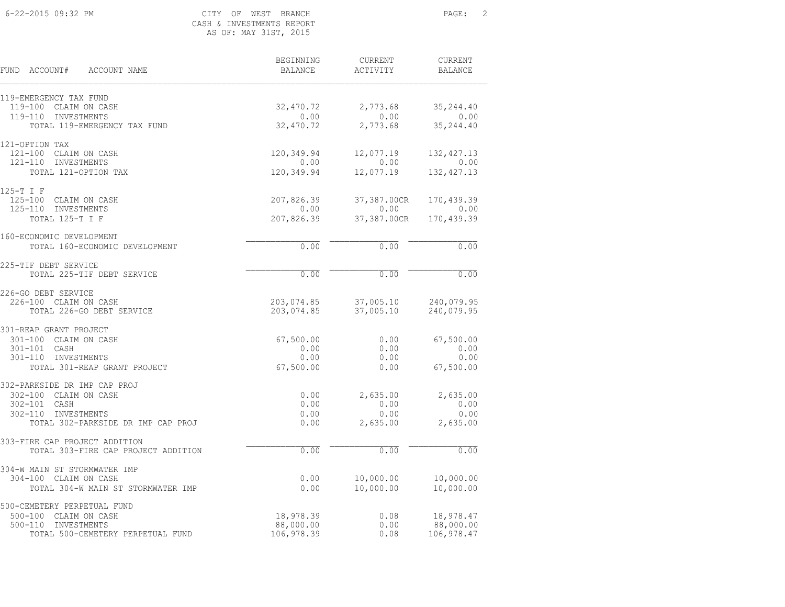#### 6-22-2015 09:32 PM CITY OF WEST BRANCH PAGE: 2 CASH & INVESTMENTS REPORT AS OF: MAY 31ST, 2015

BEGINNING CURRENT CURRENT

FUND ACCOUNT# ACCOUNT NAME BALANCE ACTIVITY BALANCE

| 119-EMERGENCY TAX FUND<br>119-100 CLAIM ON CASH | 32,470.72  | 2,773.68    | 35, 244.40  |
|-------------------------------------------------|------------|-------------|-------------|
| 119-110 INVESTMENTS                             | 0.00       | 0.00        | 0.00        |
| TOTAL 119-EMERGENCY TAX FUND                    | 32,470.72  | 2,773.68    | 35, 244.40  |
|                                                 |            |             |             |
| 121-OPTION TAX<br>121-100 CLAIM ON CASH         | 120,349.94 | 12,077.19   | 132, 427.13 |
| 121-110 INVESTMENTS                             | 0.00       | 0.00        | 0.00        |
| TOTAL 121-OPTION TAX                            | 120,349.94 | 12,077.19   | 132, 427.13 |
| 125-T I F                                       |            |             |             |
| 125-100 CLAIM ON CASH                           | 207,826.39 | 37,387.00CR | 170,439.39  |
| 125-110 INVESTMENTS                             | 0.00       | 0.00        | 0.00        |
| TOTAL 125-T I F                                 | 207,826.39 | 37,387.00CR | 170,439.39  |
| 160-ECONOMIC DEVELOPMENT                        |            |             |             |
| TOTAL 160-ECONOMIC DEVELOPMENT                  | 0.00       | 0.00        | 0.00        |
| 225-TIF DEBT SERVICE                            |            |             |             |
| TOTAL 225-TIF DEBT SERVICE                      | 0.00       | 0.00        | 0.00        |
| 226-GO DEBT SERVICE                             |            |             |             |
| 226-100 CLAIM ON CASH                           | 203,074.85 | 37,005.10   | 240,079.95  |
| TOTAL 226-GO DEBT SERVICE                       | 203,074.85 | 37,005.10   | 240,079.95  |
| 301-REAP GRANT PROJECT                          |            |             |             |
| 301-100 CLAIM ON CASH                           | 67,500.00  | 0.00        | 67,500.00   |
| 301-101 CASH                                    | 0.00       | 0.00        | 0.00        |
| 301-110 INVESTMENTS                             | 0.00       | 0.00        | 0.00        |
| TOTAL 301-REAP GRANT PROJECT                    | 67,500.00  | 0.00        | 67,500.00   |
| 302-PARKSIDE DR IMP CAP PROJ                    |            |             |             |
| 302-100 CLAIM ON CASH                           | 0.00       | 2,635.00    | 2,635.00    |
| 302-101 CASH                                    | 0.00       | 0.00        | 0.00        |
| 302-110 INVESTMENTS                             | 0.00       | 0.00        | 0.00        |
| TOTAL 302-PARKSIDE DR IMP CAP PROJ              | 0.00       | 2,635.00    | 2,635.00    |
| 303-FIRE CAP PROJECT ADDITION                   |            |             |             |
| TOTAL 303-FIRE CAP PROJECT ADDITION             | 0.00       | 0.00        | 0.00        |
| 304-W MAIN ST STORMWATER IMP                    |            |             |             |
| 304-100 CLAIM ON CASH                           | 0.00       | 10,000.00   | 10,000.00   |
| TOTAL 304-W MAIN ST STORMWATER IMP              | 0.00       | 10,000.00   | 10,000.00   |
| 500-CEMETERY PERPETUAL FUND                     |            |             |             |
| 500-100 CLAIM ON CASH                           | 18,978.39  | 0.08        | 18,978.47   |
| 500-110 INVESTMENTS                             | 88,000.00  | 0.00        | 88,000.00   |
| TOTAL 500-CEMETERY PERPETUAL FUND               | 106,978.39 | 0.08        | 106,978.47  |
|                                                 |            |             |             |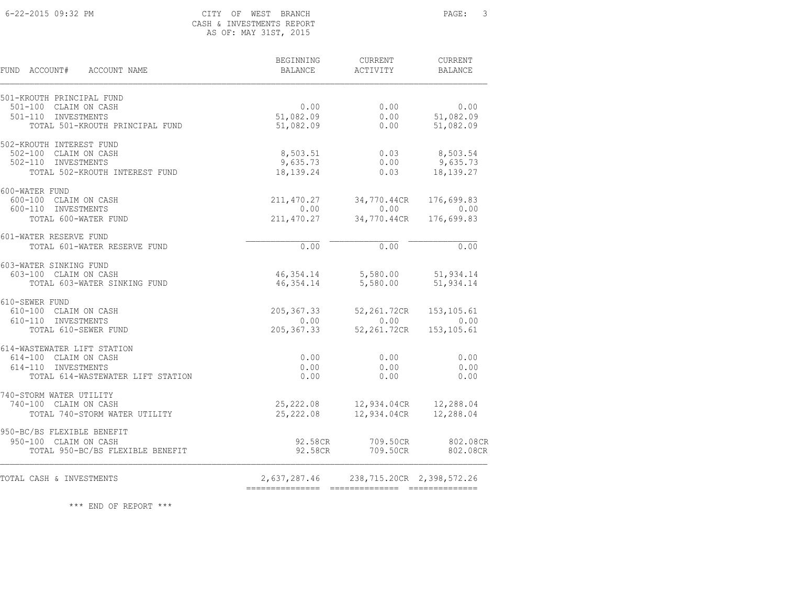#### 6-22-2015 09:32 PM CITY OF WEST BRANCH PAGE: 3 CASH & INVESTMENTS REPORT AS OF: MAY 31ST, 2015

BEGINNING CURRENT CURRENT

FUND ACCOUNT# ACCOUNT NAME **BALANCE** BALANCE ACTIVITY BALANCE

| TOTAL CASH & INVESTMENTS                                                                                         | 2,637,287.46                      |                                      | 238,715.20CR 2,398,572.26          |
|------------------------------------------------------------------------------------------------------------------|-----------------------------------|--------------------------------------|------------------------------------|
| 950-BC/BS FLEXIBLE BENEFIT<br>950-100 CLAIM ON CASH<br>TOTAL 950-BC/BS FLEXIBLE BENEFIT                          | 92.58CR<br>92.58CR                | 709.50CR<br>709.50CR                 | 802.08CR<br>802.08CR               |
| 740-STORM WATER UTILITY<br>740-100 CLAIM ON CASH<br>TOTAL 740-STORM WATER UTILITY                                | 25,222.08<br>25,222.08            |                                      | 12,934.04CR 12,288.04              |
| 614-WASTEWATER LIFT STATION<br>614-100 CLAIM ON CASH<br>614-110 INVESTMENTS<br>TOTAL 614-WASTEWATER LIFT STATION | 0.00<br>0.00<br>0.00              | 0.00<br>0.00<br>0.00                 | 0.00<br>0.00<br>0.00               |
| 610-SEWER FUND<br>610-100 CLAIM ON CASH<br>610-110 INVESTMENTS<br>TOTAL 610-SEWER FUND                           | 205,367.33<br>0.00<br>205, 367.33 | 52,261.72CR<br>$0.00$<br>52,261.72CR | 153, 105.61<br>0.00<br>153, 105.61 |
| 603-WATER SINKING FUND<br>603-100 CLAIM ON CASH<br>TOTAL 603-WATER SINKING FUND                                  | 46, 354.14<br>46,354.14           | 5,580.00<br>5,580.00                 | 51,934.14<br>51,934.14             |
| 601-WATER RESERVE FUND<br>TOTAL 601-WATER RESERVE FUND                                                           | 0.00                              | 0.00                                 | 0.00                               |
| 600-WATER FUND<br>600-100 CLAIM ON CASH<br>600-110 INVESTMENTS<br>TOTAL 600-WATER FUND                           | 211,470.27<br>0.00<br>211,470.27  | 34,770.44CR<br>0.00<br>34,770.44CR   | 176,699.83<br>0.00<br>176,699.83   |
| 502-KROUTH INTEREST FUND<br>502-100 CLAIM ON CASH<br>502-110 INVESTMENTS<br>TOTAL 502-KROUTH INTEREST FUND       | 8,503.51<br>9,635.73<br>18,139.24 | 0.03<br>0.00<br>0.03                 | 8,503.54<br>9,635.73<br>18,139.27  |
| 501-100 CLAIM ON CASH<br>501-110 INVESTMENTS<br>TOTAL 501-KROUTH PRINCIPAL FUND                                  | 0.00<br>51,082.09<br>51,082.09    | 0.00<br>0.00<br>0.00                 | 0.00<br>51,082.09<br>51,082.09     |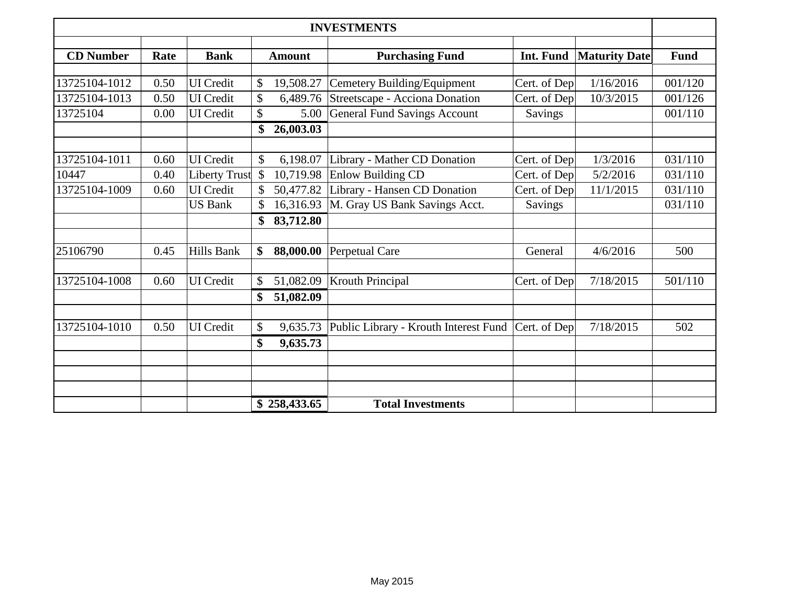| <b>INVESTMENTS</b> |      |                      |               |               |                                       |                |                      |             |
|--------------------|------|----------------------|---------------|---------------|---------------------------------------|----------------|----------------------|-------------|
| <b>CD</b> Number   | Rate | <b>Bank</b>          |               | <b>Amount</b> | <b>Purchasing Fund</b>                | Int. Fund      | <b>Maturity Date</b> | <b>Fund</b> |
|                    |      |                      |               |               |                                       |                |                      |             |
| 13725104-1012      | 0.50 | <b>UI</b> Credit     | \$            | 19,508.27     | Cemetery Building/Equipment           | Cert. of Dep   | 1/16/2016            | 001/120     |
| 13725104-1013      | 0.50 | <b>UI</b> Credit     | \$            | 6,489.76      | Streetscape - Acciona Donation        | Cert. of Dep   | 10/3/2015            | 001/126     |
| 13725104           | 0.00 | <b>UI</b> Credit     | \$            | 5.00          | <b>General Fund Savings Account</b>   | <b>Savings</b> |                      | 001/110     |
|                    |      |                      | \$            | 26,003.03     |                                       |                |                      |             |
|                    |      |                      |               |               |                                       |                |                      |             |
| 13725104-1011      | 0.60 | <b>UI</b> Credit     | $\mathcal{S}$ | 6,198.07      | Library - Mather CD Donation          | Cert. of Dep   | 1/3/2016             | 031/110     |
| 10447              | 0.40 | <b>Liberty Trust</b> | $\mathcal{S}$ | 10,719.98     | <b>Enlow Building CD</b>              | Cert. of Dep   | 5/2/2016             | 031/110     |
| 13725104-1009      | 0.60 | <b>UI</b> Credit     |               | 50,477.82     | Library - Hansen CD Donation          | Cert. of Dep   | 11/1/2015            | 031/110     |
|                    |      | <b>US Bank</b>       |               | 16,316.93     | M. Gray US Bank Savings Acct.         | Savings        |                      | 031/110     |
|                    |      |                      | \$            | 83,712.80     |                                       |                |                      |             |
| 25106790           | 0.45 | Hills Bank           | \$            | 88,000.00     | Perpetual Care                        | General        | 4/6/2016             | 500         |
|                    |      |                      |               |               |                                       |                |                      |             |
| 13725104-1008      | 0.60 | <b>UI</b> Credit     | \$            | 51,082.09     | <b>Krouth Principal</b>               | Cert. of Dep   | 7/18/2015            | 501/110     |
|                    |      |                      | \$            | 51,082.09     |                                       |                |                      |             |
| 13725104-1010      | 0.50 | <b>UI</b> Credit     | \$            | 9,635.73      | Public Library - Krouth Interest Fund | Cert. of Dep   | 7/18/2015            | 502         |
|                    |      |                      | \$            | 9,635.73      |                                       |                |                      |             |
|                    |      |                      |               |               |                                       |                |                      |             |
|                    |      |                      |               |               |                                       |                |                      |             |
|                    |      |                      |               |               |                                       |                |                      |             |
|                    |      |                      |               | \$258,433.65  | <b>Total Investments</b>              |                |                      |             |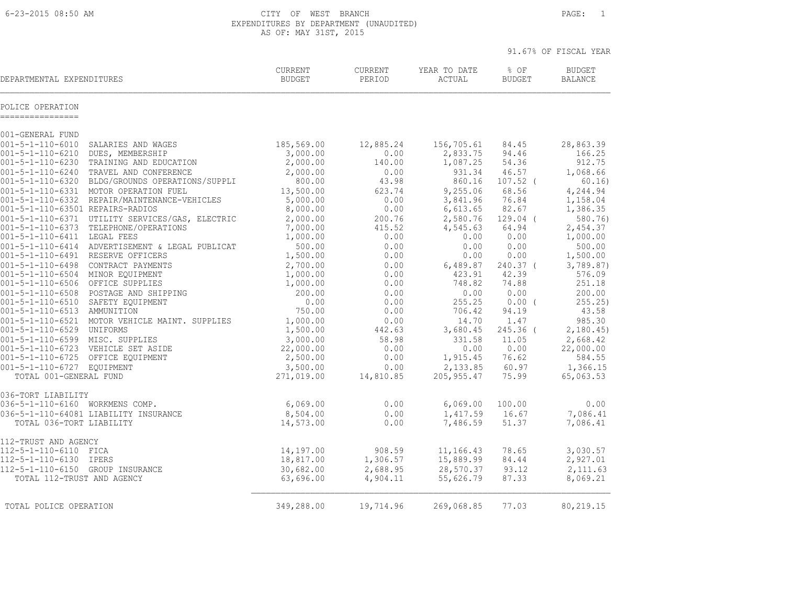6-23-2015 08:50 AM CITY OF WEST BRANCH PAGE: 1 EXPENDITURES BY DEPARTMENT (UNAUDITED) AS OF: MAY 31ST, 2015

|                                      |                                                                                          |                                 |                   |                        |                       | 91.67% OF FISCAL YEAR           |
|--------------------------------------|------------------------------------------------------------------------------------------|---------------------------------|-------------------|------------------------|-----------------------|---------------------------------|
| DEPARTMENTAL EXPENDITURES            |                                                                                          | <b>CURRENT</b><br><b>BUDGET</b> | CURRENT<br>PERIOD | YEAR TO DATE<br>ACTUAL | % OF<br><b>BUDGET</b> | <b>BUDGET</b><br><b>BALANCE</b> |
| POLICE OPERATION<br>---------------- |                                                                                          |                                 |                   |                        |                       |                                 |
| 001-GENERAL FUND                     |                                                                                          |                                 |                   |                        |                       |                                 |
| $001 - 5 - 1 - 110 - 6010$           | SALARIES AND WAGES                                                                       | 185,569.00                      | 12,885.24         | 156,705.61             | 84.45                 | 28,863.39                       |
| $001 - 5 - 1 - 110 - 6210$           | DUES, MEMBERSHIP                                                                         | 3,000.00                        | 0.00              | 2,833.75               | 94.46                 | 166.25                          |
|                                      | 001-5-1-110-6230 TRAINING AND EDUCATION                                                  | 2,000.00                        | 140.00            | 1,087.25               | 54.36                 | 912.75                          |
| 001-5-1-110-6240                     | TRAVEL AND CONFERENCE                                                                    | 2,000.00                        | 0.00              | 931.34                 | 46.57                 | 1,068.66                        |
|                                      | 001-5-1-110-6320 BLDG/GROUNDS OPERATIONS/SUPPLI                                          | 800.00                          | 43.98             | 860.16                 | $107.52$ (            | 60.16)                          |
|                                      | 001-5-1-110-6331 MOTOR OPERATION FUEL                                                    | 13,500.00                       | 623.74            | 9,255.06               | 68.56                 | 4,244.94                        |
|                                      | 001-5-1-110-6332 REPAIR/MAINTENANCE-VEHICLES                                             | 5,000.00                        | 0.00              | 3,841.96               | 76.84                 | 1,158.04                        |
| 001-5-1-110-63501 REPAIRS-RADIOS     |                                                                                          | 8,000.00                        | 0.00              | 6,613.65               | 82.67                 | 1,386.35                        |
|                                      | 001-5-1-110-6371 UTILITY SERVICES/GAS, ELECTRIC<br>001-5-1-110-6373 TELEPHONE/OPERATIONS | 2,000.00<br>7,000.00            | 200.76<br>415.52  | 2,580.76<br>4,545.63   | $129.04$ (<br>64.94   | 580.76)<br>2,454.37             |
| 001-5-1-110-6411 LEGAL FEES          |                                                                                          | 1,000.00                        | 0.00              | 0.00                   | 0.00                  | 1,000.00                        |
|                                      | 001-5-1-110-6414 ADVERTISEMENT & LEGAL PUBLICAT                                          | 500.00                          | 0.00              | 0.00                   | 0.00                  | 500.00                          |
| 001-5-1-110-6491 RESERVE OFFICERS    |                                                                                          | 1,500.00                        | 0.00              | 0.00                   | 0.00                  | 1,500.00                        |
| 001-5-1-110-6498                     | CONTRACT PAYMENTS                                                                        | 2,700.00                        | 0.00              | 6,489.87               | $240.37$ (            | 3,789.87)                       |
| 001-5-1-110-6504 MINOR EOUIPMENT     |                                                                                          | 1,000.00                        | 0.00              | 423.91                 | 42.39                 | 576.09                          |
| 001-5-1-110-6506 OFFICE SUPPLIES     |                                                                                          | 1,000.00                        | 0.00              | 748.82                 | 74.88                 | 251.18                          |
|                                      | 001-5-1-110-6508 POSTAGE AND SHIPPING                                                    | 200.00                          | 0.00              | 0.00                   | 0.00                  | 200.00                          |
| 001-5-1-110-6510                     | SAFETY EQUIPMENT                                                                         | 0.00                            | 0.00              | 255.25                 | $0.00$ (              | 255.25)                         |
| 001-5-1-110-6513 AMMUNITION          |                                                                                          | 750.00                          | 0.00              | 706.42                 | 94.19                 | 43.58                           |
|                                      | 001-5-1-110-6521 MOTOR VEHICLE MAINT. SUPPLIES                                           | 1,000.00                        | 0.00              | 14.70                  | 1.47                  | 985.30                          |
| 001-5-1-110-6529 UNIFORMS            |                                                                                          | 1,500.00                        | 442.63            | 3,680.45               | $245.36$ (            | 2,180.45                        |
| 001-5-1-110-6599 MISC. SUPPLIES      |                                                                                          | 3,000.00                        | 58.98             | 331.58                 | 11.05                 | 2,668.42                        |
| 001-5-1-110-6725 OFFICE EQUIPMENT    | 001-5-1-110-6723 VEHICLE SET ASIDE                                                       | 22,000.00<br>2,500.00           | 0.00<br>0.00      | 0.00<br>1,915.45       | 0.00<br>76.62         | 22,000.00<br>584.55             |
| 001-5-1-110-6727 EQUIPMENT           |                                                                                          | 3,500.00                        | 0.00              | 2,133.85               | 60.97                 | 1,366.15                        |
| TOTAL 001-GENERAL FUND               |                                                                                          | 271,019.00                      | 14,810.85         | 205, 955.47            | 75.99                 | 65,063.53                       |
|                                      |                                                                                          |                                 |                   |                        |                       |                                 |
| 036-TORT LIABILITY                   |                                                                                          |                                 |                   |                        |                       |                                 |
| 036-5-1-110-6160 WORKMENS COMP.      |                                                                                          | 6,069.00                        | 0.00              | 6,069.00               | 100.00                | 0.00                            |
|                                      | 036-5-1-110-64081 LIABILITY INSURANCE                                                    | 8,504.00                        | 0.00              | 1,417.59               | 16.67                 | 7,086.41                        |
| TOTAL 036-TORT LIABILITY             |                                                                                          | 14,573.00                       | 0.00              | 7,486.59               | 51.37                 | 7,086.41                        |
| 112-TRUST AND AGENCY                 |                                                                                          |                                 |                   |                        |                       |                                 |
| 112-5-1-110-6110 FICA                |                                                                                          | 14,197.00                       | 908.59            | 11,166.43              | 78.65                 | 3,030.57                        |
| 112-5-1-110-6130 IPERS               |                                                                                          | 18,817.00                       | 1,306.57          | 15,889.99              | 84.44                 | 2,927.01                        |
| 112-5-1-110-6150 GROUP INSURANCE     |                                                                                          | 30,682.00                       | 2,688.95          | 28,570.37              | 93.12                 | 2,111.63                        |
| TOTAL 112-TRUST AND AGENCY           |                                                                                          | 63,696.00                       | 4,904.11          | 55,626.79              | 87.33                 | 8,069.21                        |
|                                      |                                                                                          |                                 |                   |                        |                       |                                 |
| TOTAL POLICE OPERATION               |                                                                                          | 349,288.00                      | 19,714.96         | 269,068.85             | 77.03                 | 80,219.15                       |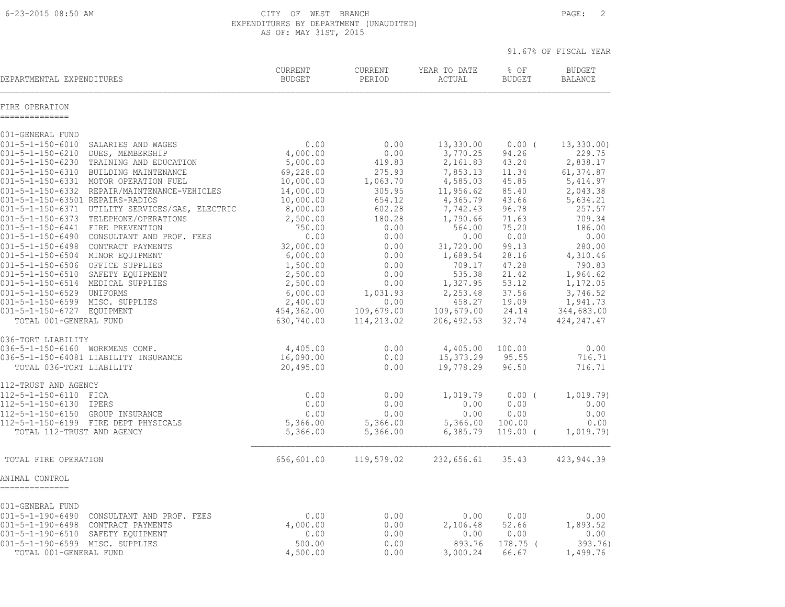6-23-2015 08:50 AM CITY OF WEST BRANCH PAGE: 2 EXPENDITURES BY DEPARTMENT (UNAUDITED) AS OF: MAY 31ST, 2015

|                                                                                                                                                                                                                                                                                                                                                                                                                                                                                                                                                                                                                                                                                                                                                                                                         |                                                                                                                                                                                                                               |                                                                                                                                                                                |                                                                                                                                                                                                                           |                                                                                                                                                                           | 91.67% OF FISCAL YEAR                                                                                                                                                                                                  |
|---------------------------------------------------------------------------------------------------------------------------------------------------------------------------------------------------------------------------------------------------------------------------------------------------------------------------------------------------------------------------------------------------------------------------------------------------------------------------------------------------------------------------------------------------------------------------------------------------------------------------------------------------------------------------------------------------------------------------------------------------------------------------------------------------------|-------------------------------------------------------------------------------------------------------------------------------------------------------------------------------------------------------------------------------|--------------------------------------------------------------------------------------------------------------------------------------------------------------------------------|---------------------------------------------------------------------------------------------------------------------------------------------------------------------------------------------------------------------------|---------------------------------------------------------------------------------------------------------------------------------------------------------------------------|------------------------------------------------------------------------------------------------------------------------------------------------------------------------------------------------------------------------|
| DEPARTMENTAL EXPENDITURES                                                                                                                                                                                                                                                                                                                                                                                                                                                                                                                                                                                                                                                                                                                                                                               | CURRENT<br><b>BUDGET</b>                                                                                                                                                                                                      | <b>CURRENT</b><br>PERIOD                                                                                                                                                       | YEAR TO DATE<br>ACTUAL                                                                                                                                                                                                    | % OF<br><b>BUDGET</b>                                                                                                                                                     | <b>BUDGET</b><br><b>BALANCE</b>                                                                                                                                                                                        |
| FIRE OPERATION<br>--------------                                                                                                                                                                                                                                                                                                                                                                                                                                                                                                                                                                                                                                                                                                                                                                        |                                                                                                                                                                                                                               |                                                                                                                                                                                |                                                                                                                                                                                                                           |                                                                                                                                                                           |                                                                                                                                                                                                                        |
| 001-GENERAL FUND                                                                                                                                                                                                                                                                                                                                                                                                                                                                                                                                                                                                                                                                                                                                                                                        |                                                                                                                                                                                                                               |                                                                                                                                                                                |                                                                                                                                                                                                                           |                                                                                                                                                                           |                                                                                                                                                                                                                        |
| $001 - 5 - 1 - 150 - 6010$<br>SALARIES AND WAGES<br>$001 - 5 - 1 - 150 - 6210$<br>DUES, MEMBERSHIP<br>001-5-1-150-6230<br>TRAINING AND EDUCATION<br>$001 - 5 - 1 - 150 - 6310$<br>BUILDING MAINTENANCE<br>001-5-1-150-6331 MOTOR OPERATION FUEL<br>001-5-1-150-6332 REPAIR/MAINTENANCE-VEHICLES<br>001-5-1-150-63501 REPAIRS-RADIOS<br>001-5-1-150-6371 UTILITY SERVICES/GAS, ELECTRIC<br>001-5-1-150-6373 TELEPHONE/OPERATIONS<br>001-5-1-150-6441 FIRE PREVENTION<br>001-5-1-150-6490 CONSULTANT AND PROF. FEES<br>001-5-1-150-6498 CONTRACT PAYMENTS<br>001-5-1-150-6504 MINOR EQUIPMENT<br>001-5-1-150-6506 OFFICE SUPPLIES<br>001-5-1-150-6510 SAFETY EQUIPMENT<br>001-5-1-150-6514 MEDICAL SUPPLIES<br>001-5-1-150-6529 UNIFORMS<br>001-5-1-150-6599 MISC. SUPPLIES<br>001-5-1-150-6727 EQUIPMENT | 0.00<br>4,000.00<br>5,000.00<br>69,228.00<br>10,000.00<br>14,000.00<br>10,000.00<br>8,000.00<br>2,500.00<br>750.00<br>0.00<br>32,000.00<br>6,000.00<br>1,500.00<br>2,500.00<br>2,500.00<br>6,000.00<br>2,400.00<br>454,362.00 | 0.00<br>0.00<br>419.83<br>275.93<br>1,063.70<br>305.95<br>654.12<br>602.28<br>180.28<br>0.00<br>0.00<br>0.00<br>0.00<br>0.00<br>0.00<br>0.00<br>1,031.93<br>0.00<br>109,679.00 | 13,330.00<br>3,770.25<br>2,161.83<br>7,853.13<br>4,585.03<br>11,956.62<br>4,365.79<br>7,742.43<br>1,790.66<br>564.00<br>0.00<br>31,720.00<br>1,689.54<br>709.17<br>535.38<br>1,327.95<br>2,253.48<br>458.27<br>109,679.00 | $0.00$ (<br>94.26<br>43.24<br>11.34<br>45.85<br>85.40<br>43.66<br>96.78<br>71.63<br>75.20<br>0.00<br>99.13<br>28.16<br>47.28<br>21.42<br>53.12<br>37.56<br>19.09<br>24.14 | 13,330.00<br>229.75<br>2,838.17<br>61, 374.87<br>5, 414.97<br>2,043.38<br>5,634.21<br>257.57<br>709.34<br>186.00<br>0.00<br>280.00<br>4,310.46<br>790.83<br>1,964.62<br>1,172.05<br>3,746.52<br>1,941.73<br>344,683.00 |
| TOTAL 001-GENERAL FUND                                                                                                                                                                                                                                                                                                                                                                                                                                                                                                                                                                                                                                                                                                                                                                                  | 630,740.00                                                                                                                                                                                                                    | 114,213.02                                                                                                                                                                     | 206, 492.53                                                                                                                                                                                                               | 32.74                                                                                                                                                                     | 424, 247.47                                                                                                                                                                                                            |
| 036-TORT LIABILITY<br>036-5-1-150-6160 WORKMENS COMP.<br>036-5-1-150-64081 LIABILITY INSURANCE<br>TOTAL 036-TORT LIABILITY                                                                                                                                                                                                                                                                                                                                                                                                                                                                                                                                                                                                                                                                              | 4,405.00<br>16,090.00<br>20,495.00                                                                                                                                                                                            | 0.00<br>0.00<br>0.00                                                                                                                                                           | 4,405.00<br>15,373.29<br>19,778.29                                                                                                                                                                                        | 100.00<br>95.55<br>96.50                                                                                                                                                  | 0.00<br>716.71<br>716.71                                                                                                                                                                                               |
| 112-TRUST AND AGENCY<br>112-5-1-150-6110 FICA<br>112-5-1-150-6130 IPERS<br>112-5-1-150-6150 GROUP INSURANCE<br>112-5-1-150-6199 FIRE DEPT PHYSICALS<br>TOTAL 112-TRUST AND AGENCY                                                                                                                                                                                                                                                                                                                                                                                                                                                                                                                                                                                                                       | 0.00<br>0.00<br>0.00<br>5,366.00<br>5,366.00                                                                                                                                                                                  | 0.00<br>0.00<br>0.00<br>5,366.00<br>5,366.00                                                                                                                                   | 1,019.79<br>0.00<br>0.00<br>5,366.00<br>6,385.79                                                                                                                                                                          | $0.00$ (<br>0.00<br>0.00<br>100.00<br>$119.00$ (                                                                                                                          | 1,019.79)<br>0.00<br>0.00<br>0.00<br>1,019.79)                                                                                                                                                                         |
| TOTAL FIRE OPERATION                                                                                                                                                                                                                                                                                                                                                                                                                                                                                                                                                                                                                                                                                                                                                                                    | 656,601.00                                                                                                                                                                                                                    | 119,579.02                                                                                                                                                                     | 232,656.61                                                                                                                                                                                                                | 35.43                                                                                                                                                                     | 423, 944.39                                                                                                                                                                                                            |
| ANIMAL CONTROL<br>--------------                                                                                                                                                                                                                                                                                                                                                                                                                                                                                                                                                                                                                                                                                                                                                                        |                                                                                                                                                                                                                               |                                                                                                                                                                                |                                                                                                                                                                                                                           |                                                                                                                                                                           |                                                                                                                                                                                                                        |
| 001-GENERAL FUND<br>001-5-1-190-6490 CONSULTANT AND PROF. FEES<br>001-5-1-190-6498<br>CONTRACT PAYMENTS<br>001-5-1-190-6510 SAFETY EQUIPMENT<br>001-5-1-190-6599 MISC. SUPPLIES<br>TOTAL 001-GENERAL FUND                                                                                                                                                                                                                                                                                                                                                                                                                                                                                                                                                                                               | 0.00<br>4,000.00<br>0.00<br>500.00<br>4,500.00                                                                                                                                                                                | 0.00<br>0.00<br>0.00<br>0.00<br>0.00                                                                                                                                           | 0.00<br>2,106.48<br>0.00<br>893.76<br>3,000.24                                                                                                                                                                            | 0.00<br>52.66<br>0.00<br>$178.75$ (<br>66.67                                                                                                                              | 0.00<br>1,893.52<br>0.00<br>393.76)<br>1,499.76                                                                                                                                                                        |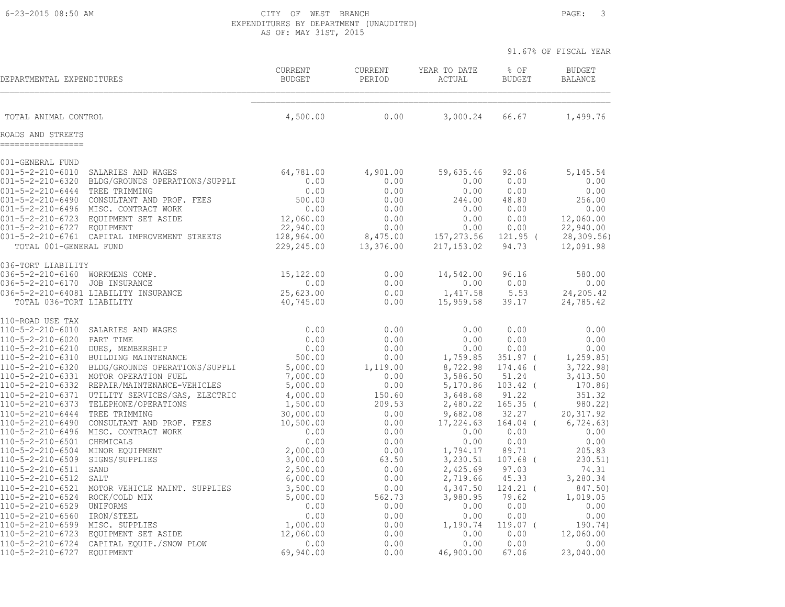6-23-2015 08:50 AM CITY OF WEST BRANCH PAGE: 3 EXPENDITURES BY DEPARTMENT (UNAUDITED) AS OF: MAY 31ST, 2015

|                                                                                                  |                                                                                                                                                                                                        |                                                                    |                                                          |                                                                      |                                                                       | 91.67% OF FISCAL YEAR                                                 |
|--------------------------------------------------------------------------------------------------|--------------------------------------------------------------------------------------------------------------------------------------------------------------------------------------------------------|--------------------------------------------------------------------|----------------------------------------------------------|----------------------------------------------------------------------|-----------------------------------------------------------------------|-----------------------------------------------------------------------|
| DEPARTMENTAL EXPENDITURES                                                                        |                                                                                                                                                                                                        | <b>CURRENT</b><br><b>BUDGET</b>                                    | CURRENT<br>PERIOD                                        | YEAR TO DATE<br>ACTUAL                                               | % OF<br><b>BUDGET</b>                                                 | <b>BUDGET</b><br><b>BALANCE</b>                                       |
| TOTAL ANIMAL CONTROL                                                                             |                                                                                                                                                                                                        | 4,500.00                                                           | 0.00                                                     | 3,000.24                                                             | 66.67                                                                 | 1,499.76                                                              |
| ROADS AND STREETS                                                                                |                                                                                                                                                                                                        |                                                                    |                                                          |                                                                      |                                                                       |                                                                       |
| 001-GENERAL FUND                                                                                 |                                                                                                                                                                                                        |                                                                    |                                                          |                                                                      |                                                                       |                                                                       |
| $001 - 5 - 2 - 210 - 6010$<br>$001 - 5 - 2 - 210 - 6320$<br>$001 - 5 - 2 - 210 - 6444$           | SALARIES AND WAGES<br>BLDG/GROUNDS OPERATIONS/SUPPLI<br>TREE TRIMMING<br>001-5-2-210-6490 CONSULTANT AND PROF. FEES<br>001-5-2-210-6496 MISC. CONTRACT WORK                                            | 64,781.00<br>0.00<br>0.00<br>500.00<br>0.00                        | 4,901.00<br>0.00<br>0.00<br>0.00<br>0.00                 | 59,635.46<br>0.00<br>0.00<br>244.00<br>0.00                          | 92.06<br>0.00<br>0.00<br>48.80<br>0.00                                | 5, 145.54<br>0.00<br>0.00<br>256.00<br>0.00                           |
| $001 - 5 - 2 - 210 - 6723$<br>001-5-2-210-6727 EQUIPMENT<br>TOTAL 001-GENERAL FUND               | EQUIPMENT SET ASIDE<br>001-5-2-210-6761 CAPITAL IMPROVEMENT STREETS                                                                                                                                    | 12,060.00<br>22,940.00<br>128,964.00<br>229,245.00                 | 0.00<br>0.00<br>8,475.00<br>13,376.00                    | 0.00<br>0.00<br>157, 273.56<br>217, 153.02                           | 0.00<br>0.00<br>121.95 (<br>94.73                                     | 12,060.00<br>22,940.00<br>28,309.56)<br>12,091.98                     |
| 036-TORT LIABILITY                                                                               |                                                                                                                                                                                                        |                                                                    |                                                          |                                                                      |                                                                       |                                                                       |
| 036-5-2-210-6160<br>036-5-2-210-6170<br>TOTAL 036-TORT LIABILITY                                 | WORKMENS COMP.<br>JOB INSURANCE<br>036-5-2-210-64081 LIABILITY INSURANCE                                                                                                                               | 15,122.00<br>0.00<br>25,623.00<br>40,745.00                        | 0.00<br>0.00<br>0.00<br>0.00                             | 14,542.00<br>0.00<br>1,417.58<br>15,959.58                           | 96.16<br>0.00<br>5.53<br>39.17                                        | 580.00<br>0.00<br>24, 205.42<br>24,785.42                             |
| 110-ROAD USE TAX                                                                                 |                                                                                                                                                                                                        |                                                                    |                                                          |                                                                      |                                                                       |                                                                       |
| 110-5-2-210-6010<br>110-5-2-210-6020<br>110-5-2-210-6210<br>110-5-2-210-6310<br>110-5-2-210-6331 | SALARIES AND WAGES<br>PART TIME<br>DUES, MEMBERSHIP<br>BUILDING MAINTENANCE<br>110-5-2-210-6320 BLDG/GROUNDS OPERATIONS/SUPPLI<br>MOTOR OPERATION FUEL<br>110-5-2-210-6332 REPAIR/MAINTENANCE-VEHICLES | 0.00<br>0.00<br>0.00<br>500.00<br>5,000.00<br>7,000.00<br>5,000.00 | 0.00<br>0.00<br>0.00<br>0.00<br>1,119.00<br>0.00<br>0.00 | 0.00<br>0.00<br>0.00<br>1,759.85<br>8,722.98<br>3,586.50<br>5,170.86 | 0.00<br>0.00<br>0.00<br>$351.97$ (<br>174.46 (<br>51.24<br>$103.42$ ( | 0.00<br>0.00<br>0.00<br>1, 259.85<br>3,722.98)<br>3,413.50<br>170.86) |
| 110-5-2-210-6444<br>110-5-2-210-6490                                                             | 110-5-2-210-6371 UTILITY SERVICES/GAS, ELECTRIC<br>110-5-2-210-6373 TELEPHONE/OPERATIONS<br>TREE TRIMMING<br>CONSULTANT AND PROF. FEES<br>110-5-2-210-6496 MISC. CONTRACT WORK                         | 4,000.00<br>1,500.00<br>30,000.00<br>10,500.00<br>0.00             | 150.60<br>209.53<br>0.00<br>0.00<br>0.00                 | 3,648.68<br>2,480.22<br>9,682.08<br>17,224.63<br>0.00                | 91.22<br>$165.35$ (<br>32.27<br>164.04 (<br>0.00                      | 351.32<br>980.22)<br>20, 317.92<br>6, 724.63)<br>0.00                 |
| 110-5-2-210-6501 CHEMICALS<br>110-5-2-210-6504<br>110-5-2-210-6509<br>110-5-2-210-6511 SAND      | MINOR EQUIPMENT<br>SIGNS/SUPPLIES                                                                                                                                                                      | 0.00<br>2,000.00<br>3,000.00<br>2,500.00                           | 0.00<br>0.00<br>63.50<br>0.00                            | 0.00<br>1,794.17<br>3,230.51<br>2,425.69                             | 0.00<br>89.71<br>$107.68$ (<br>97.03                                  | 0.00<br>205.83<br>230.51)<br>74.31                                    |
| 110-5-2-210-6512<br>110-5-2-210-6521<br>110-5-2-210-6524<br>110-5-2-210-6529<br>110-5-2-210-6560 | SALT<br>MOTOR VEHICLE MAINT. SUPPLIES<br>ROCK/COLD MIX<br>UNIFORMS<br>IRON/STEEL                                                                                                                       | 6,000.00<br>3,500.00<br>5,000.00<br>0.00<br>0.00                   | 0.00<br>0.00<br>562.73<br>0.00<br>0.00                   | 2,719.66<br>4,347.50<br>3,980.95<br>0.00<br>0.00                     | 45.33<br>$124.21$ (<br>79.62<br>0.00<br>0.00                          | 3,280.34<br>847.50)<br>1,019.05<br>0.00<br>0.00                       |
| 110-5-2-210-6599<br>110-5-2-210-6724<br>110-5-2-210-6727                                         | MISC. SUPPLIES<br>110-5-2-210-6723 EQUIPMENT SET ASIDE<br>CAPITAL EQUIP./SNOW PLOW<br>EQUIPMENT                                                                                                        | 1,000.00<br>12,060.00<br>0.00<br>69,940.00                         | 0.00<br>0.00<br>0.00<br>0.00                             | 1,190.74<br>0.00<br>0.00<br>46,900.00                                | $119.07$ (<br>0.00<br>0.00<br>67.06                                   | 190.74)<br>12,060.00<br>0.00<br>23,040.00                             |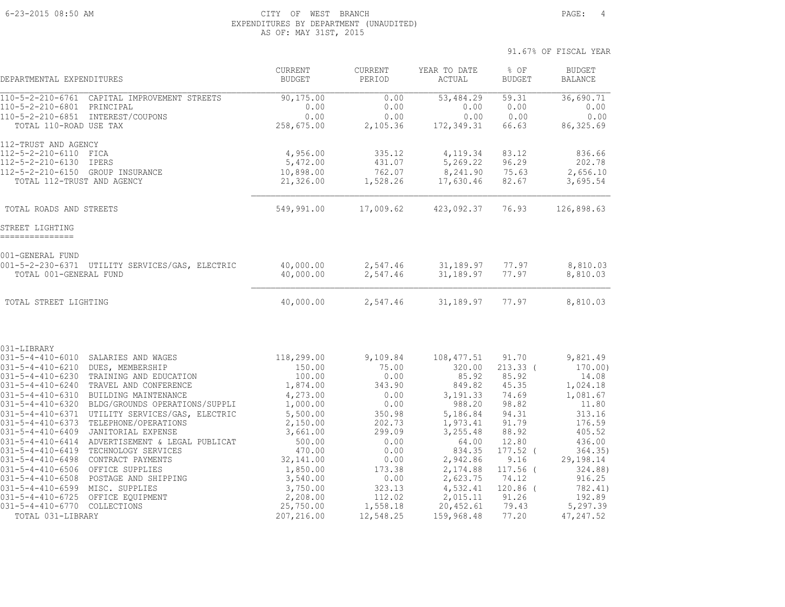#### 6-23-2015 08:50 AM CITY OF WEST BRANCH PAGE: 4 EXPENDITURES BY DEPARTMENT (UNAUDITED) AS OF: MAY 31ST, 2015

| DEPARTMENTAL EXPENDITURES                                                                                                                                                                                                                                                                                                                                                                     |                                                                                                                                                                                                                                                                                                                                                              | CURRENT<br><b>BUDGET</b>                                                                                                                                                    | CURRENT<br>PERIOD                                                                                                                     | YEAR TO DATE<br>$\verb ACTUAL $                                                                                                                                       | % OF<br><b>BUDGET</b>                                                                                                                                  | <b>BUDGET</b><br><b>BALANCE</b>                                                                                                                               |
|-----------------------------------------------------------------------------------------------------------------------------------------------------------------------------------------------------------------------------------------------------------------------------------------------------------------------------------------------------------------------------------------------|--------------------------------------------------------------------------------------------------------------------------------------------------------------------------------------------------------------------------------------------------------------------------------------------------------------------------------------------------------------|-----------------------------------------------------------------------------------------------------------------------------------------------------------------------------|---------------------------------------------------------------------------------------------------------------------------------------|-----------------------------------------------------------------------------------------------------------------------------------------------------------------------|--------------------------------------------------------------------------------------------------------------------------------------------------------|---------------------------------------------------------------------------------------------------------------------------------------------------------------|
| $\frac{110 - 5 - 2 - 210 - 6761}{110 - 5 - 2 - 210 - 6761}$<br>110-5-2-210-6801<br>TOTAL 110-ROAD USE TAX                                                                                                                                                                                                                                                                                     | CAPITAL IMPROVEMENT STREETS<br>PRINCIPAL<br>110-5-2-210-6851 INTEREST/COUPONS                                                                                                                                                                                                                                                                                | 90, 175.00<br>0.00<br>0.00<br>258,675.00                                                                                                                                    | 0.00<br>0.00<br>0.00<br>2,105.36                                                                                                      | $\overline{53,484.29}$<br>0.00<br>0.00<br>172,349.31                                                                                                                  | 59.31<br>0.00<br>0.00<br>66.63                                                                                                                         | 36,690.71<br>0.00<br>0.00<br>86, 325.69                                                                                                                       |
| 112-TRUST AND AGENCY<br>112-5-2-210-6110<br>112-5-2-210-6130<br>112-5-2-210-6150 GROUP INSURANCE<br>TOTAL 112-TRUST AND AGENCY                                                                                                                                                                                                                                                                | FICA<br>IPERS                                                                                                                                                                                                                                                                                                                                                | 4,956.00<br>5,472.00<br>10,898.00<br>21,326.00                                                                                                                              | 335.12<br>431.07<br>762.07<br>1,528.26                                                                                                | 4,119.34<br>5,269.22<br>8,241.90<br>17,630.46                                                                                                                         | 83.12<br>96.29<br>75.63<br>82.67                                                                                                                       | 836.66<br>202.78<br>2,656.10<br>3,695.54                                                                                                                      |
| TOTAL ROADS AND STREETS                                                                                                                                                                                                                                                                                                                                                                       |                                                                                                                                                                                                                                                                                                                                                              | 549,991.00                                                                                                                                                                  | 17,009.62                                                                                                                             | 423,092.37                                                                                                                                                            | 76.93                                                                                                                                                  | 126,898.63                                                                                                                                                    |
| STREET LIGHTING<br>===============                                                                                                                                                                                                                                                                                                                                                            |                                                                                                                                                                                                                                                                                                                                                              |                                                                                                                                                                             |                                                                                                                                       |                                                                                                                                                                       |                                                                                                                                                        |                                                                                                                                                               |
| 001-GENERAL FUND<br>TOTAL 001-GENERAL FUND                                                                                                                                                                                                                                                                                                                                                    | 001-5-2-230-6371 UTILITY SERVICES/GAS, ELECTRIC                                                                                                                                                                                                                                                                                                              | 40,000.00<br>40,000.00                                                                                                                                                      | 2,547.46<br>2,547.46                                                                                                                  | 31,189.97<br>31,189.97                                                                                                                                                | 77.97<br>77.97                                                                                                                                         | 8,810.03<br>8,810.03                                                                                                                                          |
| TOTAL STREET LIGHTING                                                                                                                                                                                                                                                                                                                                                                         |                                                                                                                                                                                                                                                                                                                                                              | 40,000.00                                                                                                                                                                   | 2,547.46                                                                                                                              | 31,189.97                                                                                                                                                             | 77.97                                                                                                                                                  | 8,810.03                                                                                                                                                      |
| 031-LIBRARY                                                                                                                                                                                                                                                                                                                                                                                   |                                                                                                                                                                                                                                                                                                                                                              |                                                                                                                                                                             |                                                                                                                                       |                                                                                                                                                                       |                                                                                                                                                        |                                                                                                                                                               |
| $031 - 5 - 4 - 410 - 6010$<br>$031 - 5 - 4 - 410 - 6210$<br>$031 - 5 - 4 - 410 - 6230$<br>031-5-4-410-6240<br>$031 - 5 - 4 - 410 - 6310$<br>031-5-4-410-6320<br>$031 - 5 - 4 - 410 - 6371$<br>031-5-4-410-6373<br>031-5-4-410-6409<br>031-5-4-410-6414<br>031-5-4-410-6419<br>031-5-4-410-6498<br>$031 - 5 - 4 - 410 - 6506$<br>$031 - 5 - 4 - 410 - 6508$<br>031-5-4-410-6599 MISC. SUPPLIES | SALARIES AND WAGES<br>DUES, MEMBERSHIP<br>TRAINING AND EDUCATION<br>TRAVEL AND CONFERENCE<br>BUILDING MAINTENANCE<br>BLDG/GROUNDS OPERATIONS/SUPPLI<br>UTILITY SERVICES/GAS, ELECTRIC<br>TELEPHONE/OPERATIONS<br>JANITORIAL EXPENSE<br>ADVERTISEMENT & LEGAL PUBLICAT<br>TECHNOLOGY SERVICES<br>CONTRACT PAYMENTS<br>OFFICE SUPPLIES<br>POSTAGE AND SHIPPING | 118,299.00<br>150.00<br>100.00<br>1,874.00<br>4,273.00<br>1,000.00<br>5,500.00<br>2,150.00<br>3,661.00<br>500.00<br>470.00<br>32,141.00<br>1,850.00<br>3,540.00<br>3,750.00 | 9,109.84<br>75.00<br>0.00<br>343.90<br>0.00<br>0.00<br>350.98<br>202.73<br>299.09<br>0.00<br>0.00<br>0.00<br>173.38<br>0.00<br>323.13 | 108, 477.51<br>320.00<br>85.92<br>849.82<br>3,191.33<br>988.20<br>5,186.84<br>1,973.41<br>3,255.48<br>64.00<br>834.35<br>2,942.86<br>2,174.88<br>2,623.75<br>4,532.41 | 91.70<br>$213.33$ (<br>85.92<br>45.35<br>74.69<br>98.82<br>94.31<br>91.79<br>88.92<br>12.80<br>$177.52$ (<br>9.16<br>$117.56$ (<br>74.12<br>$120.86$ ( | 9,821.49<br>170.00)<br>14.08<br>1,024.18<br>1,081.67<br>11.80<br>313.16<br>176.59<br>405.52<br>436.00<br>364.35)<br>29,198.14<br>324.88)<br>916.25<br>782.41) |
| 031-5-4-410-6725<br>031-5-4-410-6770<br>TOTAL 031-LIBRARY                                                                                                                                                                                                                                                                                                                                     | OFFICE EQUIPMENT<br>COLLECTIONS                                                                                                                                                                                                                                                                                                                              | 2,208.00<br>25,750.00<br>207,216.00                                                                                                                                         | 112.02<br>1,558.18<br>12,548.25                                                                                                       | 2,015.11<br>20,452.61<br>159,968.48                                                                                                                                   | 91.26<br>79.43<br>77.20                                                                                                                                | 192.89<br>5,297.39<br>47, 247.52                                                                                                                              |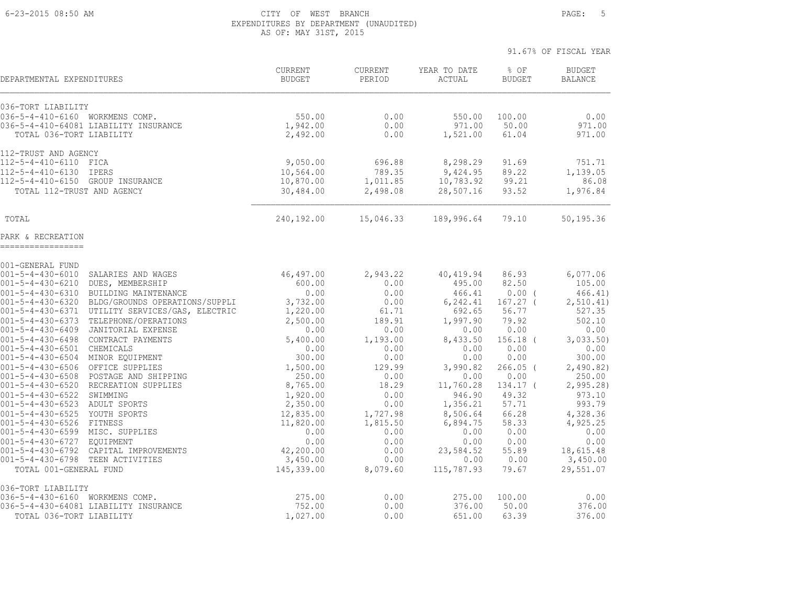#### 6-23-2015 08:50 AM CITY OF WEST BRANCH PAGE: 5 EXPENDITURES BY DEPARTMENT (UNAUDITED) AS OF: MAY 31ST, 2015

| DEPARTMENTAL EXPENDITURES                                |                                       | CURRENT<br><b>BUDGET</b> | CURRENT<br>PERIOD | YEAR TO DATE<br>ACTUAL | % OF<br><b>BUDGET</b> | <b>BUDGET</b><br><b>BALANCE</b> |
|----------------------------------------------------------|---------------------------------------|--------------------------|-------------------|------------------------|-----------------------|---------------------------------|
| 036-TORT LIABILITY                                       |                                       |                          |                   |                        |                       |                                 |
| 036-5-4-410-6160 WORKMENS COMP.                          |                                       | 550.00                   | 0.00              | 550.00                 | 100.00                | 0.00                            |
| TOTAL 036-TORT LIABILITY                                 | 036-5-4-410-64081 LIABILITY INSURANCE | 1,942.00<br>2,492.00     | 0.00<br>0.00      | 971.00<br>1,521.00     | 50.00<br>61.04        | 971.00<br>971.00                |
|                                                          |                                       |                          |                   |                        |                       |                                 |
| 112-TRUST AND AGENCY<br>112-5-4-410-6110 FICA            |                                       | 9,050.00                 | 696.88            | 8,298.29               | 91.69                 | 751.71                          |
| $112 - 5 - 4 - 410 - 6130$                               | <b>IPERS</b>                          | 10,564.00                | 789.35            | 9,424.95               | 89.22                 | 1,139.05                        |
| $112 - 5 - 4 - 410 - 6150$                               | GROUP INSURANCE                       | 10,870.00                | 1,011.85          | 10,783.92              | 99.21                 | 86.08                           |
| TOTAL 112-TRUST AND AGENCY                               |                                       | 30,484.00                | 2,498.08          | 28,507.16              | 93.52                 | 1,976.84                        |
|                                                          |                                       |                          |                   |                        |                       |                                 |
| TOTAL                                                    |                                       | 240,192.00               | 15,046.33         | 189,996.64             | 79.10                 | 50,195.36                       |
| PARK & RECREATION<br>------------------                  |                                       |                          |                   |                        |                       |                                 |
| 001-GENERAL FUND                                         |                                       |                          |                   |                        |                       |                                 |
| $001 - 5 - 4 - 430 - 6010$                               | SALARIES AND WAGES                    | 46,497.00                | 2,943.22          | 40,419.94              | 86.93                 | 6,077.06                        |
| $001 - 5 - 4 - 430 - 6210$                               | DUES, MEMBERSHIP                      | 600.00                   | 0.00              | 495.00                 | 82.50                 | 105.00                          |
| $001 - 5 - 4 - 430 - 6310$                               | BUILDING MAINTENANCE                  | 0.00                     | 0.00              | 466.41                 | $0.00$ (              | 466.41)                         |
| $001 - 5 - 4 - 430 - 6320$                               | BLDG/GROUNDS OPERATIONS/SUPPLI        | 3,732.00                 | 0.00              | 6,242.41               | $167.27$ (            | 2, 510.41)                      |
| $001 - 5 - 4 - 430 - 6371$                               | UTILITY SERVICES/GAS, ELECTRIC        | 1,220.00                 | 61.71             | 692.65                 | 56.77                 | 527.35                          |
| $001 - 5 - 4 - 430 - 6373$                               | TELEPHONE/OPERATIONS                  | 2,500.00                 | 189.91            | 1,997.90               | 79.92                 | 502.10                          |
| $001 - 5 - 4 - 430 - 6409$                               | JANITORIAL EXPENSE                    | 0.00                     | 0.00              | 0.00                   | 0.00                  | 0.00                            |
| $001 - 5 - 4 - 430 - 6498$                               | CONTRACT PAYMENTS                     | 5,400.00                 | 1,193.00          | 8,433.50               | $156.18$ (            | 3,033.50                        |
| $001 - 5 - 4 - 430 - 6501$<br>$001 - 5 - 4 - 430 - 6504$ | CHEMICALS<br>MINOR EQUIPMENT          | 0.00<br>300.00           | 0.00<br>0.00      | 0.00<br>0.00           | 0.00<br>0.00          | 0.00<br>300.00                  |
| $001 - 5 - 4 - 430 - 6506$                               | OFFICE SUPPLIES                       | 1,500.00                 | 129.99            | 3,990.82               | $266.05$ (            | 2,490.82)                       |
| $001 - 5 - 4 - 430 - 6508$                               | POSTAGE AND SHIPPING                  | 250.00                   | 0.00              | 0.00                   | 0.00                  | 250.00                          |
| $001 - 5 - 4 - 430 - 6520$                               | RECREATION SUPPLIES                   | 8,765.00                 | 18.29             | 11,760.28              | 134.17 (              | 2,995.28                        |
| $001 - 5 - 4 - 430 - 6522$                               | SWIMMING                              | 1,920.00                 | 0.00              | 946.90                 | 49.32                 | 973.10                          |
| 001-5-4-430-6523                                         | ADULT SPORTS                          | 2,350.00                 | 0.00              | 1,356.21               | 57.71                 | 993.79                          |
| $001 - 5 - 4 - 430 - 6525$                               | YOUTH SPORTS                          | 12,835.00                | 1,727.98          | 8,506.64               | 66.28                 | 4,328.36                        |
| $001 - 5 - 4 - 430 - 6526$                               | FITNESS                               | 11,820.00                | 1,815.50          | 6,894.75               | 58.33                 | 4,925.25                        |
| 001-5-4-430-6599 MISC. SUPPLIES                          |                                       | 0.00                     | 0.00              | 0.00                   | 0.00                  | 0.00                            |
| $001 - 5 - 4 - 430 - 6727$                               | <b>EOUIPMENT</b>                      | 0.00                     | 0.00              | 0.00                   | 0.00                  | 0.00                            |
| $001 - 5 - 4 - 430 - 6792$                               | CAPITAL IMPROVEMENTS                  | 42,200.00                | 0.00              | 23,584.52              | 55.89                 | 18,615.48                       |
| $001 - 5 - 4 - 430 - 6798$                               | TEEN ACTIVITIES                       | 3,450.00                 | 0.00              | 0.00                   | 0.00                  | 3,450.00                        |
| TOTAL 001-GENERAL FUND                                   |                                       | 145,339.00               | 8,079.60          | 115,787.93             | 79.67                 | 29,551.07                       |
| 036-TORT LIABILITY                                       |                                       |                          |                   |                        |                       |                                 |
| 036-5-4-430-6160 WORKMENS COMP.                          | 036-5-4-430-64081 LIABILITY INSURANCE | 275.00<br>752.00         | 0.00<br>0.00      | 275.00<br>376.00       | 100.00<br>50.00       | 0.00<br>376.00                  |
| TOTAL 036-TORT LIABILITY                                 |                                       | 1,027.00                 | 0.00              | 651.00                 | 63.39                 | 376.00                          |
|                                                          |                                       |                          |                   |                        |                       |                                 |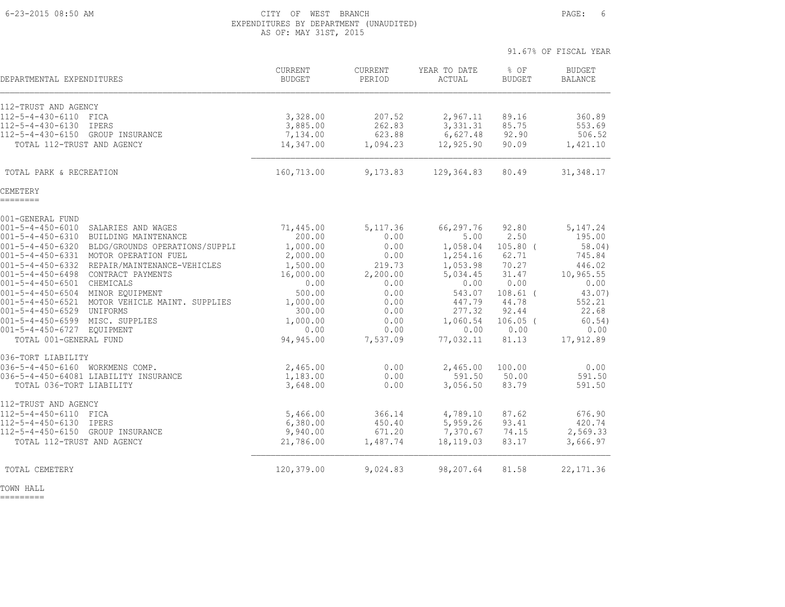#### 6-23-2015 08:50 AM CITY OF WEST BRANCH PAGE: 6 EXPENDITURES BY DEPARTMENT (UNAUDITED) AS OF: MAY 31ST, 2015

|                                                                                    |                          |                   |                        | 91.67% OF FISCAL YEAR |                                 |
|------------------------------------------------------------------------------------|--------------------------|-------------------|------------------------|-----------------------|---------------------------------|
| DEPARTMENTAL EXPENDITURES                                                          | CURRENT<br><b>BUDGET</b> | CURRENT<br>PERIOD | YEAR TO DATE<br>ACTUAL | % OF<br><b>BUDGET</b> | <b>BUDGET</b><br><b>BALANCE</b> |
| 112-TRUST AND AGENCY                                                               |                          |                   |                        |                       |                                 |
| 112-5-4-430-6110 FICA                                                              | 3,328.00                 | 207.52            | 2,967.11               | 89.16                 | 360.89                          |
| 112-5-4-430-6130 IPERS                                                             | 3,885.00                 | 262.83            | 3,331.31               | 85.75                 | 553.69                          |
| 112-5-4-430-6150 GROUP INSURANCE                                                   | 7,134.00                 | 623.88            | 6,627.48               | 92.90                 | 506.52                          |
| TOTAL 112-TRUST AND AGENCY                                                         | 14,347.00                | 1,094.23          | 12,925.90              | 90.09                 | 1,421.10                        |
| TOTAL PARK & RECREATION                                                            | 160,713.00               | 9,173.83          | 129,364.83             | 80.49                 | 31, 348.17                      |
| CEMETERY<br>========                                                               |                          |                   |                        |                       |                                 |
| 001-GENERAL FUND                                                                   |                          |                   |                        |                       |                                 |
| 001-5-4-450-6010 SALARIES AND WAGES                                                | 71,445.00                | 5, 117.36         | 66,297.76              | 92.80                 | 5, 147.24                       |
| 001-5-4-450-6310 BUILDING MAINTENANCE                                              | 200.00                   | 0.00              | 5.00                   | 2.50                  | 195.00                          |
| 001-5-4-450-6320 BLDG/GROUNDS OPERATIONS/SUPPLI                                    | 1,000.00                 | 0.00              | 1,058.04               | $105.80$ (            | 58.04)                          |
| 001-5-4-450-6331 MOTOR OPERATION FUEL                                              | 2,000.00                 | 0.00              | 1,254.16               | 62.71                 | 745.84                          |
| 001-5-4-450-6332 REPAIR/MAINTENANCE-VEHICLES                                       | 1,500.00                 | 219.73            | 1,053.98               | 70.27                 | 446.02                          |
| 001-5-4-450-6498 CONTRACT PAYMENTS                                                 | 16,000.00                | 2,200.00          | 5,034.45               | 31.47                 | 10,965.55                       |
| 001-5-4-450-6501 CHEMICALS                                                         | 0.00                     | 0.00              | 0.00                   | 0.00                  | 0.00                            |
| 001-5-4-450-6504 MINOR EQUIPMENT<br>001-5-4-450-6521 MOTOR VEHICLE MAINT. SUPPLIES | 500.00                   | 0.00              | 543.07                 | $108.61$ (<br>44.78   | 43.07)                          |
| 001-5-4-450-6529 UNIFORMS                                                          | 1,000.00<br>300.00       | 0.00<br>0.00      | 447.79<br>277.32       | 92.44                 | 552.21<br>22.68                 |
| 001-5-4-450-6599 MISC. SUPPLIES                                                    | 1,000.00                 | 0.00              | 1,060.54               | $106.05$ (            | 60.54)                          |
| 001-5-4-450-6727 EQUIPMENT                                                         | 0.00                     | 0.00              | 0.00                   | 0.00                  | 0.00                            |
| TOTAL 001-GENERAL FUND                                                             | 94,945.00                | 7,537.09          | 77,032.11              | 81.13                 | 17,912.89                       |
| 036-TORT LIABILITY                                                                 |                          |                   |                        |                       |                                 |
| 036-5-4-450-6160 WORKMENS COMP.                                                    | 2,465.00                 | 0.00              | 2,465.00               | 100.00                | 0.00                            |
| 036-5-4-450-64081 LIABILITY INSURANCE<br>TOTAL 036-TORT LIABILITY                  | 1,183.00<br>3,648.00     | 0.00<br>0.00      | 591.50<br>3,056.50     | 50.00<br>83.79        | 591.50<br>591.50                |
| 112-TRUST AND AGENCY                                                               |                          |                   |                        |                       |                                 |
| 112-5-4-450-6110 FICA                                                              | 5,466.00                 | 366.14            | 4,789.10               | 87.62                 | 676.90                          |
| $112 - 5 - 4 - 450 - 6130$<br>IPERS                                                | 6,380.00                 | 450.40            | 5,959.26               | 93.41                 | 420.74                          |
| 112-5-4-450-6150 GROUP INSURANCE                                                   | 9,940.00                 | 671.20            | 7,370.67               | 74.15                 | 2,569.33                        |
| TOTAL 112-TRUST AND AGENCY                                                         | 21,786.00                | 1,487.74          | 18,119.03              | 83.17                 | 3,666.97                        |
| TOTAL CEMETERY                                                                     | 120,379.00               | 9,024.83          | 98,207.64              | 81.58                 | 22, 171.36                      |

TOWN HALL

=========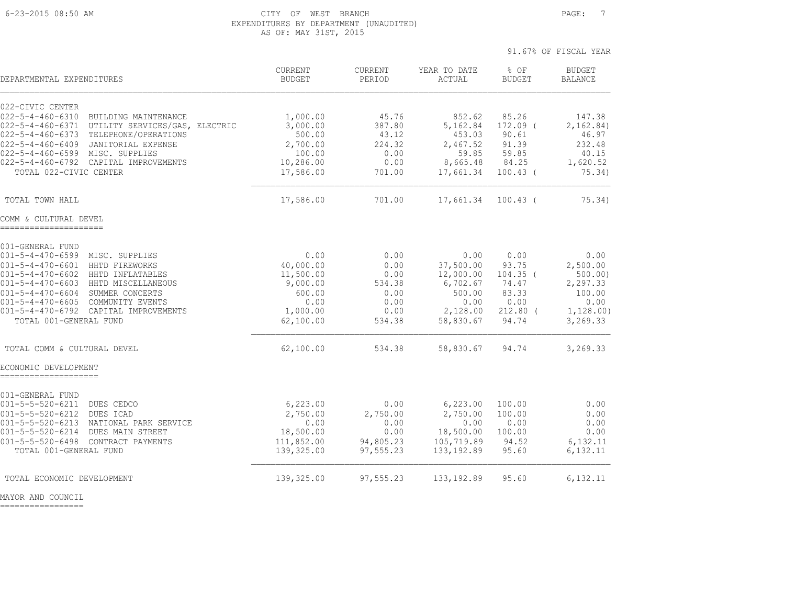#### 6-23-2015 08:50 AM CITY OF WEST BRANCH PAGE: 7 EXPENDITURES BY DEPARTMENT (UNAUDITED) AS OF: MAY 31ST, 2015

91.67% OF FISCAL YEAR

| DEPARTMENTAL EXPENDITURES                                                                                                                                                                                                                                                                                                                             | CURRENT<br><b>BUDGET</b>                                                              | CURRENT<br>PERIOD                                                | YEAR TO DATE<br>ACTUAL                                                                | % OF<br><b>BUDGET</b>                                                        | <b>BUDGET</b><br><b>BALANCE</b>                                                    |
|-------------------------------------------------------------------------------------------------------------------------------------------------------------------------------------------------------------------------------------------------------------------------------------------------------------------------------------------------------|---------------------------------------------------------------------------------------|------------------------------------------------------------------|---------------------------------------------------------------------------------------|------------------------------------------------------------------------------|------------------------------------------------------------------------------------|
| 022-CIVIC CENTER<br>$022 - 5 - 4 - 460 - 6310$<br>BUILDING MAINTENANCE<br>$022 - 5 - 4 - 460 - 6371$<br>UTILITY SERVICES/GAS, ELECTRIC<br>$022 - 5 - 4 - 460 - 6373$<br>TELEPHONE/OPERATIONS<br>022-5-4-460-6409 JANITORIAL EXPENSE<br>022-5-4-460-6599 MISC. SUPPLIES<br>022-5-4-460-6792 CAPITAL IMPROVEMENTS<br>TOTAL 022-CIVIC CENTER             | 1,000.00<br>3,000.00<br>500.00<br>2,700.00<br>100.00<br>10,286.00<br>17,586.00        | 45.76<br>387.80<br>43.12<br>224.32<br>0.00<br>0.00<br>701.00     | 852.62<br>5,162.84<br>453.03<br>2,467.52<br>59.85<br>8,665.48<br>17,661.34            | 85.26<br>$172.09$ (<br>90.61<br>91.39<br>59.85<br>84.25<br>$100.43$ (        | 147.38<br>2,162.84)<br>46.97<br>232.48<br>40.15<br>1,620.52<br>75.34)              |
| TOTAL TOWN HALL                                                                                                                                                                                                                                                                                                                                       | 17,586.00                                                                             | 701.00                                                           | 17,661.34                                                                             | $100.43$ (                                                                   | 75.34)                                                                             |
| COMM & CULTURAL DEVEL                                                                                                                                                                                                                                                                                                                                 |                                                                                       |                                                                  |                                                                                       |                                                                              |                                                                                    |
| 001-GENERAL FUND<br>$001 - 5 - 4 - 470 - 6599$<br>MISC. SUPPLIES<br>001-5-4-470-6601 HHTD FIREWORKS<br>$001 - 5 - 4 - 470 - 6602$<br>HHTD INFLATABLES<br>$001 - 5 - 4 - 470 - 6603$<br>HHTD MISCELLANEOUS<br>001-5-4-470-6604 SUMMER CONCERTS<br>001-5-4-470-6605 COMMUNITY EVENTS<br>001-5-4-470-6792 CAPITAL IMPROVEMENTS<br>TOTAL 001-GENERAL FUND | 0.00<br>40,000.00<br>11,500.00<br>9,000.00<br>600.00<br>0.00<br>1,000.00<br>62,100.00 | 0.00<br>0.00<br>0.00<br>534.38<br>0.00<br>0.00<br>0.00<br>534.38 | 0.00<br>37,500.00<br>12,000.00<br>6,702.67<br>500.00<br>0.00<br>2,128.00<br>58,830.67 | 0.00<br>93.75<br>$104.35$ (<br>74.47<br>83.33<br>0.00<br>$212.80$ (<br>94.74 | 0.00<br>2,500.00<br>500.00)<br>2,297.33<br>100.00<br>0.00<br>1,128.00)<br>3,269.33 |
| TOTAL COMM & CULTURAL DEVEL                                                                                                                                                                                                                                                                                                                           | 62,100.00                                                                             | 534.38                                                           | 58,830.67                                                                             | 94.74                                                                        | 3,269.33                                                                           |
| ECONOMIC DEVELOPMENT                                                                                                                                                                                                                                                                                                                                  |                                                                                       |                                                                  |                                                                                       |                                                                              |                                                                                    |
| 001-GENERAL FUND<br>$001 - 5 - 5 - 520 - 6211$<br>DUES CEDCO<br>$001 - 5 - 5 - 520 - 6212$<br>DUES ICAD<br>$001 - 5 - 5 - 520 - 6213$<br>NATIONAL PARK SERVICE<br>$001 - 5 - 5 - 520 - 6214$<br>DUES MAIN STREET<br>001-5-5-520-6498 CONTRACT PAYMENTS<br>TOTAL 001-GENERAL FUND                                                                      | 6, 223.00<br>2,750.00<br>0.00<br>18,500.00<br>111,852.00<br>139,325.00                | 0.00<br>2,750.00<br>0.00<br>0.00<br>94,805.23<br>97,555.23       | 6,223.00<br>2,750.00<br>0.00<br>18,500.00<br>105,719.89<br>133, 192.89                | 100.00<br>100.00<br>0.00<br>100.00<br>94.52<br>95.60                         | 0.00<br>0.00<br>0.00<br>0.00<br>6,132.11<br>6,132.11                               |
| TOTAL ECONOMIC DEVELOPMENT                                                                                                                                                                                                                                                                                                                            | 139,325.00                                                                            | 97,555.23                                                        | 133, 192.89                                                                           | 95.60                                                                        | 6,132.11                                                                           |

MAYOR AND COUNCIL

=================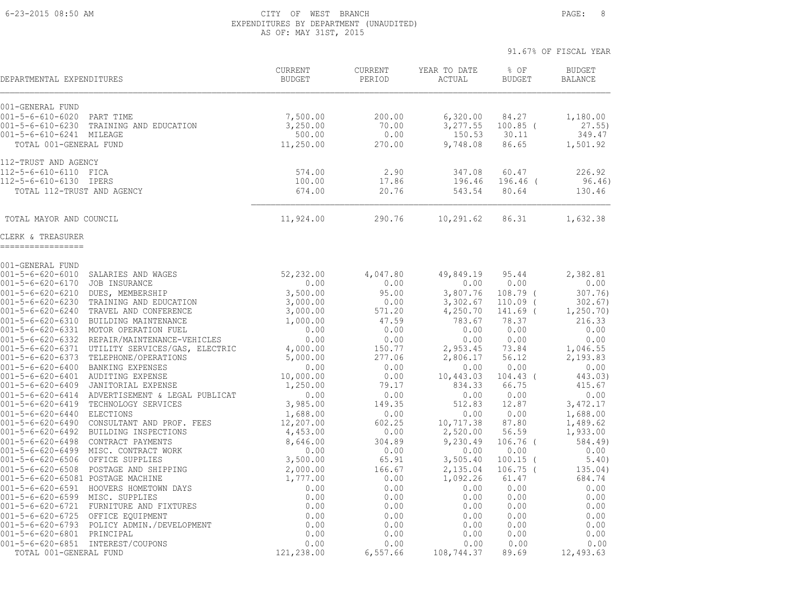#### 6-23-2015 08:50 AM CITY OF WEST BRANCH PAGE: 8 EXPENDITURES BY DEPARTMENT (UNAUDITED) AS OF: MAY 31ST, 2015

| DEPARTMENTAL EXPENDITURES                                                                                                                       | <b>CURRENT</b><br><b>BUDGET</b> | <b>CURRENT</b><br>PERIOD | YEAR TO DATE<br>ACTUAL         | % OF<br><b>BUDGET</b>        | <b>BUDGET</b><br><b>BALANCE</b> |
|-------------------------------------------------------------------------------------------------------------------------------------------------|---------------------------------|--------------------------|--------------------------------|------------------------------|---------------------------------|
| 001-GENERAL FUND<br>$001 - 5 - 6 - 610 - 6020$<br>PART TIME<br>$001 - 5 - 6 - 610 - 6230$<br>TRAINING AND EDUCATION<br>001-5-6-610-6241 MILEAGE | 7,500.00<br>3,250.00<br>500.00  | 200.00<br>70.00<br>0.00  | 6,320.00<br>3,277.55<br>150.53 | 84.27<br>$100.85$ (<br>30.11 | 1,180.00<br>27.55<br>349.47     |
| TOTAL 001-GENERAL FUND                                                                                                                          | 11,250.00                       | 270.00                   | 9,748.08                       | 86.65                        | 1,501.92                        |
| 112-TRUST AND AGENCY                                                                                                                            |                                 |                          |                                |                              |                                 |
| 112-5-6-610-6110 FICA                                                                                                                           | 574.00                          | 2.90                     | 347.08                         | 60.47                        | 226.92                          |
| 112-5-6-610-6130 IPERS                                                                                                                          | 100.00                          | 17.86                    | 196.46                         | $196.46$ (                   | 96.46)                          |
| TOTAL 112-TRUST AND AGENCY                                                                                                                      | 674.00                          | 20.76                    | 543.54                         | 80.64                        | 130.46                          |
| TOTAL MAYOR AND COUNCIL                                                                                                                         | 11,924.00                       | 290.76                   | 10,291.62                      | 86.31                        | 1,632.38                        |
| CLERK & TREASURER<br>_________________                                                                                                          |                                 |                          |                                |                              |                                 |
| 001-GENERAL FUND                                                                                                                                |                                 |                          |                                |                              |                                 |
| $001 - 5 - 6 - 620 - 6010$<br>SALARIES AND WAGES                                                                                                | 52,232.00                       | 4,047.80                 | 49,849.19                      | 95.44                        | 2,382.81                        |
| $001 - 5 - 6 - 620 - 6170$<br>JOB INSURANCE                                                                                                     | 0.00                            | 0.00                     | 0.00                           | 0.00                         | 0.00                            |
| $001 - 5 - 6 - 620 - 6210$<br>DUES, MEMBERSHIP                                                                                                  | 3,500.00                        | 95.00                    | 3,807.76                       | $108.79$ $($                 | 307.76)                         |
| $001 - 5 - 6 - 620 - 6230$<br>TRAINING AND EDUCATION                                                                                            | 3,000.00                        | 0.00                     | 3,302.67                       | $110.09$ (                   | 302.67)                         |
| $001 - 5 - 6 - 620 - 6240$<br>TRAVEL AND CONFERENCE                                                                                             | 3,000.00                        | 571.20                   | 4,250.70                       | 141.69 (                     | 1,250.70)                       |
| $001 - 5 - 6 - 620 - 6310$<br>BUILDING MAINTENANCE<br>$001 - 5 - 6 - 620 - 6331$<br>MOTOR OPERATION FUEL                                        | 1,000.00<br>0.00                | 47.59<br>0.00            | 783.67<br>0.00                 | 78.37<br>0.00                | 216.33<br>0.00                  |
| $001 - 5 - 6 - 620 - 6332$<br>REPAIR/MAINTENANCE-VEHICLES                                                                                       | 0.00                            | 0.00                     | 0.00                           | 0.00                         | 0.00                            |
| $001 - 5 - 6 - 620 - 6371$<br>UTILITY SERVICES/GAS, ELECTRIC                                                                                    | 4,000.00                        | 150.77                   | 2,953.45                       | 73.84                        | 1,046.55                        |
| $001 - 5 - 6 - 620 - 6373$<br>TELEPHONE/OPERATIONS                                                                                              | 5,000.00                        | 277.06                   | 2,806.17                       | 56.12                        | 2,193.83                        |
| $001 - 5 - 6 - 620 - 6400$<br><b>BANKING EXPENSES</b>                                                                                           | 0.00                            | 0.00                     | 0.00                           | 0.00                         | 0.00                            |
| $001 - 5 - 6 - 620 - 6401$<br>AUDITING EXPENSE                                                                                                  | 10,000.00                       | 0.00                     | 10,443.03                      | $104.43$ (                   | 443.03)                         |
| $001 - 5 - 6 - 620 - 6409$<br>JANITORIAL EXPENSE                                                                                                | 1,250.00                        | 79.17                    | 834.33                         | 66.75                        | 415.67                          |
| $001 - 5 - 6 - 620 - 6414$<br>ADVERTISEMENT & LEGAL PUBLICAT                                                                                    | 0.00                            | 0.00                     | 0.00                           | 0.00                         | 0.00                            |
| $001 - 5 - 6 - 620 - 6419$<br>TECHNOLOGY SERVICES                                                                                               | 3,985.00                        | 149.35                   | 512.83                         | 12.87                        | 3,472.17                        |
| $001 - 5 - 6 - 620 - 6440$<br><b>ELECTIONS</b>                                                                                                  | 1,688.00                        | 0.00                     | 0.00                           | 0.00                         | 1,688.00                        |
| $001 - 5 - 6 - 620 - 6490$<br>CONSULTANT AND PROF. FEES<br>$001 - 5 - 6 - 620 - 6492$<br>BUILDING INSPECTIONS                                   | 12,207.00                       | 602.25                   | 10,717.38                      | 87.80<br>56.59               | 1,489.62                        |
| $001 - 5 - 6 - 620 - 6498$<br>CONTRACT PAYMENTS                                                                                                 | 4,453.00<br>8,646.00            | 0.00<br>304.89           | 2,520.00<br>9,230.49           | $106.76$ $($                 | 1,933.00<br>584.49)             |
| MISC. CONTRACT WORK<br>$001 - 5 - 6 - 620 - 6499$                                                                                               | 0.00                            | 0.00                     | 0.00                           | 0.00                         | 0.00                            |
| $001 - 5 - 6 - 620 - 6506$<br>OFFICE SUPPLIES                                                                                                   | 3,500.00                        | 65.91                    | 3,505.40                       | $100.15$ (                   | 5.40)                           |
| POSTAGE AND SHIPPING<br>$001 - 5 - 6 - 620 - 6508$                                                                                              | 2,000.00                        | 166.67                   | 2,135.04                       | $106.75$ (                   | 135.04)                         |
| 001-5-6-620-65081 POSTAGE MACHINE                                                                                                               | 1,777.00                        | 0.00                     | 1,092.26                       | 61.47                        | 684.74                          |
| 001-5-6-620-6591 HOOVERS HOMETOWN DAYS                                                                                                          | 0.00                            | 0.00                     | 0.00                           | 0.00                         | 0.00                            |
| $001 - 5 - 6 - 620 - 6599$<br>MISC. SUPPLIES                                                                                                    | 0.00                            | 0.00                     | 0.00                           | 0.00                         | 0.00                            |
| $001 - 5 - 6 - 620 - 6721$<br>FURNITURE AND FIXTURES                                                                                            | 0.00                            | 0.00                     | 0.00                           | 0.00                         | 0.00                            |
| $001 - 5 - 6 - 620 - 6725$<br>OFFICE EQUIPMENT                                                                                                  | 0.00                            | 0.00                     | 0.00                           | 0.00                         | 0.00                            |
| POLICY ADMIN./DEVELOPMENT<br>001-5-6-620-6793                                                                                                   | 0.00                            | 0.00                     | 0.00                           | 0.00                         | 0.00                            |
| $001 - 5 - 6 - 620 - 6801$<br>PRINCIPAL                                                                                                         | 0.00                            | 0.00                     | 0.00                           | 0.00                         | 0.00                            |
| 001-5-6-620-6851 INTEREST/COUPONS                                                                                                               | 0.00                            | 0.00                     | 0.00                           | 0.00                         | 0.00                            |
| TOTAL 001-GENERAL FUND                                                                                                                          | 121,238.00                      | 6,557.66                 | 108,744.37                     | 89.69                        | 12,493.63                       |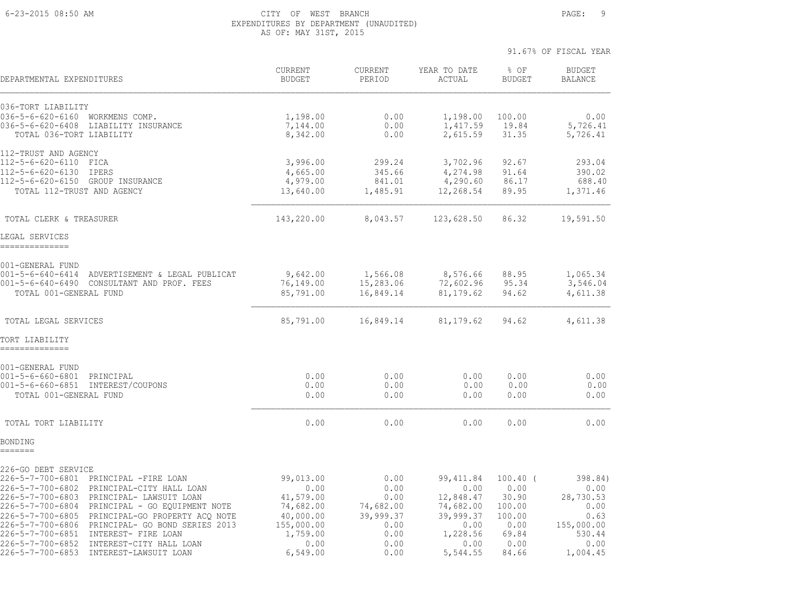#### 6-23-2015 08:50 AM CITY OF WEST BRANCH PAGE: 9 EXPENDITURES BY DEPARTMENT (UNAUDITED) AS OF: MAY 31ST, 2015

| DEPARTMENTAL EXPENDITURES                                                                                                                                                                                                                                                                                                                                                                            | <b>CURRENT</b><br><b>BUDGET</b>                                                            | <b>CURRENT</b><br>PERIOD                                               | YEAR TO DATE<br>ACTUAL                                                                | % OF<br><b>BUDGET</b>                                                    | <b>BUDGET</b><br><b>BALANCE</b>                                              |
|------------------------------------------------------------------------------------------------------------------------------------------------------------------------------------------------------------------------------------------------------------------------------------------------------------------------------------------------------------------------------------------------------|--------------------------------------------------------------------------------------------|------------------------------------------------------------------------|---------------------------------------------------------------------------------------|--------------------------------------------------------------------------|------------------------------------------------------------------------------|
| 036-TORT LIABILITY<br>036-5-6-620-6160 WORKMENS COMP.<br>036-5-6-620-6408 LIABILITY INSURANCE<br>TOTAL 036-TORT LIABILITY                                                                                                                                                                                                                                                                            | 1,198.00<br>7,144.00<br>8,342.00                                                           | 0.00<br>0.00<br>0.00                                                   | 1,198.00<br>1,417.59<br>2,615.59                                                      | 100.00<br>19.84<br>31.35                                                 | 0.00<br>5,726.41<br>5,726.41                                                 |
| 112-TRUST AND AGENCY<br>112-5-6-620-6110<br>FICA<br>112-5-6-620-6130 IPERS<br>112-5-6-620-6150 GROUP INSURANCE<br>TOTAL 112-TRUST AND AGENCY                                                                                                                                                                                                                                                         | 3,996.00<br>4,665.00<br>4,979.00<br>13,640.00                                              | 299.24<br>345.66<br>841.01<br>1,485.91                                 | 3,702.96<br>4,274.98<br>4,290.60<br>12,268.54                                         | 92.67<br>91.64<br>86.17<br>89.95                                         | 293.04<br>390.02<br>688.40<br>1,371.46                                       |
| TOTAL CLERK & TREASURER                                                                                                                                                                                                                                                                                                                                                                              | 143,220.00                                                                                 | 8,043.57                                                               | 123,628.50                                                                            | 86.32                                                                    | 19,591.50                                                                    |
| LEGAL SERVICES<br>--------------                                                                                                                                                                                                                                                                                                                                                                     |                                                                                            |                                                                        |                                                                                       |                                                                          |                                                                              |
| 001-GENERAL FUND<br>001-5-6-640-6414 ADVERTISEMENT & LEGAL PUBLICAT<br>001-5-6-640-6490 CONSULTANT AND PROF. FEES<br>TOTAL 001-GENERAL FUND                                                                                                                                                                                                                                                          | 9,642.00<br>76,149.00<br>85,791.00                                                         | 1,566.08<br>15,283.06<br>16,849.14                                     | 8,576.66<br>72,602.96<br>81, 179.62                                                   | 88.95<br>95.34<br>94.62                                                  | 1,065.34<br>3,546.04<br>4,611.38                                             |
| TOTAL LEGAL SERVICES                                                                                                                                                                                                                                                                                                                                                                                 | 85,791.00                                                                                  | 16,849.14                                                              | 81,179.62                                                                             | 94.62                                                                    | 4,611.38                                                                     |
| TORT LIABILITY<br>--------------                                                                                                                                                                                                                                                                                                                                                                     |                                                                                            |                                                                        |                                                                                       |                                                                          |                                                                              |
| 001-GENERAL FUND<br>001-5-6-660-6801 PRINCIPAL<br>001-5-6-660-6851 INTEREST/COUPONS<br>TOTAL 001-GENERAL FUND                                                                                                                                                                                                                                                                                        | 0.00<br>0.00<br>0.00                                                                       | 0.00<br>0.00<br>0.00                                                   | 0.00<br>0.00<br>0.00                                                                  | 0.00<br>0.00<br>0.00                                                     | 0.00<br>0.00<br>0.00                                                         |
| TOTAL TORT LIABILITY                                                                                                                                                                                                                                                                                                                                                                                 | 0.00                                                                                       | 0.00                                                                   | 0.00                                                                                  | 0.00                                                                     | 0.00                                                                         |
| BONDING<br>=======                                                                                                                                                                                                                                                                                                                                                                                   |                                                                                            |                                                                        |                                                                                       |                                                                          |                                                                              |
| 226-GO DEBT SERVICE<br>226-5-7-700-6801 PRINCIPAL -FIRE LOAN<br>226-5-7-700-6802 PRINCIPAL-CITY HALL LOAN<br>226-5-7-700-6803 PRINCIPAL- LAWSUIT LOAN<br>226-5-7-700-6804 PRINCIPAL - GO EQUIPMENT NOTE<br>226-5-7-700-6805 PRINCIPAL-GO PROPERTY ACQ NOTE<br>226-5-7-700-6806<br>PRINCIPAL- GO BOND SERIES 2013<br>226-5-7-700-6851 INTEREST- FIRE LOAN<br>226-5-7-700-6852 INTEREST-CITY HALL LOAN | 99,013.00<br>0.00<br>41,579.00<br>74,682.00<br>40,000.00<br>155,000.00<br>1,759.00<br>0.00 | 0.00<br>0.00<br>0.00<br>74,682.00<br>39,999.37<br>0.00<br>0.00<br>0.00 | 99, 411.84<br>0.00<br>12,848.47<br>74,682.00<br>39,999.37<br>0.00<br>1,228.56<br>0.00 | $100.40$ (<br>0.00<br>30.90<br>100.00<br>100.00<br>0.00<br>69.84<br>0.00 | 398.84)<br>0.00<br>28,730.53<br>0.00<br>0.63<br>155,000.00<br>530.44<br>0.00 |
| 226-5-7-700-6853 INTEREST-LAWSUIT LOAN                                                                                                                                                                                                                                                                                                                                                               | 6,549.00                                                                                   | 0.00                                                                   | 5,544.55                                                                              | 84.66                                                                    | 1,004.45                                                                     |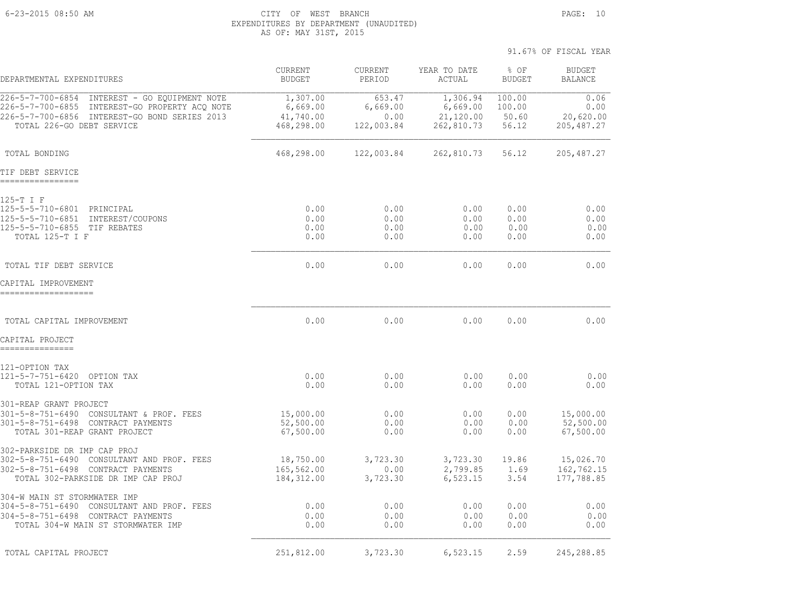6-23-2015 08:50 AM CITY OF WEST BRANCH PAGE: 10 EXPENDITURES BY DEPARTMENT (UNAUDITED) AS OF: MAY 31ST, 2015

| DEPARTMENTAL EXPENDITURES                                                                                                                                                     | <b>CURRENT</b><br><b>BUDGET</b>                 | CURRENT<br>PERIOD                        | YEAR TO DATE<br>ACTUAL                          | % OF<br><b>BUDGET</b>              | <b>BUDGET</b><br><b>BALANCE</b>          |
|-------------------------------------------------------------------------------------------------------------------------------------------------------------------------------|-------------------------------------------------|------------------------------------------|-------------------------------------------------|------------------------------------|------------------------------------------|
| 226-5-7-700-6854 INTEREST - GO EQUIPMENT NOTE<br>226-5-7-700-6855 INTEREST-GO PROPERTY ACQ NOTE<br>226-5-7-700-6856 INTEREST-GO BOND SERIES 2013<br>TOTAL 226-GO DEBT SERVICE | 1,307.00<br>6,669.00<br>41,740.00<br>468,298.00 | 653.47<br>6,669.00<br>0.00<br>122,003.84 | 1,306.94<br>6,669.00<br>21,120.00<br>262,810.73 | 100.00<br>100.00<br>50.60<br>56.12 | 0.06<br>0.00<br>20,620.00<br>205, 487.27 |
| TOTAL BONDING                                                                                                                                                                 | 468,298.00                                      | 122,003.84                               | 262,810.73                                      | 56.12                              | 205, 487.27                              |
| TIF DEBT SERVICE<br>----------------                                                                                                                                          |                                                 |                                          |                                                 |                                    |                                          |
| 125-T I F<br>125-5-5-710-6801 PRINCIPAL<br>125-5-5-710-6851 INTEREST/COUPONS<br>125-5-5-710-6855 TIF REBATES<br>TOTAL 125-T I F                                               | 0.00<br>0.00<br>0.00<br>0.00                    | 0.00<br>0.00<br>0.00<br>0.00             | 0.00<br>0.00<br>0.00<br>0.00                    | 0.00<br>0.00<br>0.00<br>0.00       | 0.00<br>0.00<br>0.00<br>0.00             |
| TOTAL TIF DEBT SERVICE                                                                                                                                                        | 0.00                                            | 0.00                                     | 0.00                                            | 0.00                               | 0.00                                     |
| CAPITAL IMPROVEMENT<br>-------------------                                                                                                                                    |                                                 |                                          |                                                 |                                    |                                          |
| TOTAL CAPITAL IMPROVEMENT                                                                                                                                                     | 0.00                                            | 0.00                                     | 0.00                                            | 0.00                               | 0.00                                     |
| CAPITAL PROJECT                                                                                                                                                               |                                                 |                                          |                                                 |                                    |                                          |
| 121-OPTION TAX<br>121-5-7-751-6420 OPTION TAX<br>TOTAL 121-OPTION TAX                                                                                                         | 0.00<br>0.00                                    | 0.00<br>0.00                             | 0.00<br>0.00                                    | 0.00<br>0.00                       | 0.00<br>0.00                             |
| 301-REAP GRANT PROJECT<br>301-5-8-751-6490 CONSULTANT & PROF. FEES<br>301-5-8-751-6498 CONTRACT PAYMENTS<br>TOTAL 301-REAP GRANT PROJECT                                      | 15,000.00<br>52,500.00<br>67,500.00             | 0.00<br>0.00<br>0.00                     | 0.00<br>0.00<br>0.00                            | 0.00<br>0.00<br>0.00               | 15,000.00<br>52,500.00<br>67,500.00      |
| 302-PARKSIDE DR IMP CAP PROJ<br>302-5-8-751-6490 CONSULTANT AND PROF. FEES<br>302-5-8-751-6498 CONTRACT PAYMENTS<br>TOTAL 302-PARKSIDE DR IMP CAP PROJ                        | 18,750.00<br>165,562.00<br>184, 312.00          | 3,723.30<br>0.00<br>3,723.30             | 3,723.30<br>2,799.85<br>6,523.15                | 19.86<br>1.69<br>3.54              | 15,026.70<br>162,762.15<br>177,788.85    |
| 304-W MAIN ST STORMWATER IMP<br>304-5-8-751-6490 CONSULTANT AND PROF. FEES<br>304-5-8-751-6498 CONTRACT PAYMENTS<br>TOTAL 304-W MAIN ST STORMWATER IMP                        | 0.00<br>0.00<br>0.00                            | 0.00<br>0.00<br>0.00                     | 0.00<br>0.00<br>0.00                            | 0.00<br>0.00<br>0.00               | 0.00<br>0.00<br>0.00                     |
| TOTAL CAPITAL PROJECT                                                                                                                                                         | 251,812.00                                      | 3,723.30                                 | 6,523.15                                        | 2.59                               | 245,288.85                               |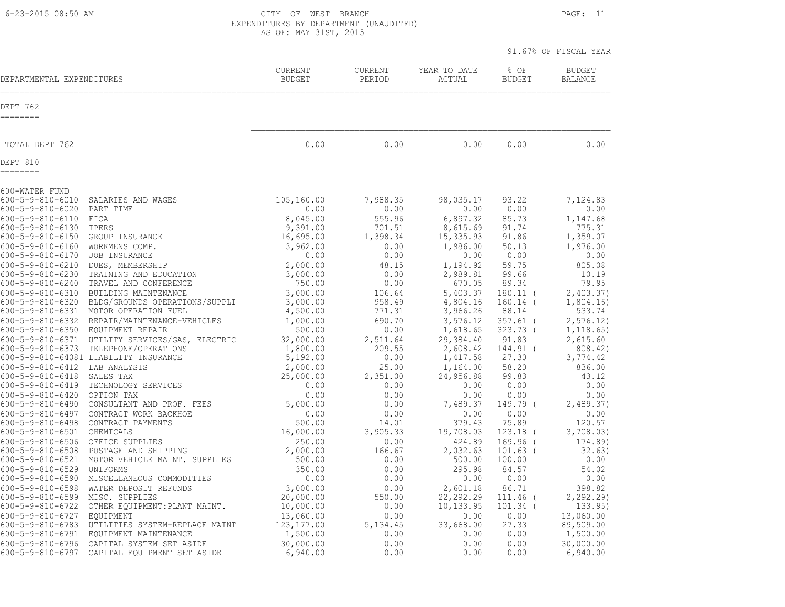6-23-2015 08:50 AM CITY OF WEST BRANCH PAGE: 11 EXPENDITURES BY DEPARTMENT (UNAUDITED) AS OF: MAY 31ST, 2015

| DEPARTMENTAL EXPENDITURES                                       |                                                                                | <b>CURRENT</b><br><b>BUDGET</b> | <b>CURRENT</b><br>PERIOD   | YEAR TO DATE<br>ACTUAL            | % OF<br><b>BUDGET</b>             | <b>BUDGET</b><br><b>BALANCE</b>     |
|-----------------------------------------------------------------|--------------------------------------------------------------------------------|---------------------------------|----------------------------|-----------------------------------|-----------------------------------|-------------------------------------|
| DEPT 762<br>========                                            |                                                                                |                                 |                            |                                   |                                   |                                     |
| TOTAL DEPT 762                                                  |                                                                                | 0.00                            | 0.00                       | 0.00                              | 0.00                              | 0.00                                |
| DEPT 810<br>========                                            |                                                                                |                                 |                            |                                   |                                   |                                     |
| 600-WATER FUND                                                  |                                                                                |                                 |                            |                                   |                                   |                                     |
| $600 - 5 - 9 - 810 - 6010$                                      | SALARIES AND WAGES                                                             | 105,160.00                      | 7,988.35                   | 98,035.17                         | 93.22                             | 7,124.83                            |
| $600 - 5 - 9 - 810 - 6020$                                      | PART TIME                                                                      | 0.00                            | 0.00                       | 0.00                              | 0.00                              | 0.00                                |
| $600 - 5 - 9 - 810 - 6110$                                      | FICA                                                                           | 8,045.00                        | 555.96                     | 6,897.32                          | 85.73                             | 1,147.68                            |
| $600 - 5 - 9 - 810 - 6130$                                      | <b>IPERS</b>                                                                   | 9,391.00                        | 701.51                     | 8,615.69                          | 91.74                             | 775.31                              |
| $600 - 5 - 9 - 810 - 6150$                                      | GROUP INSURANCE                                                                | 16,695.00                       | 1,398.34                   | 15,335.93                         | 91.86                             | 1,359.07                            |
| $600 - 5 - 9 - 810 - 6160$                                      | WORKMENS COMP.                                                                 | 3,962.00                        | 0.00                       | 1,986.00                          | 50.13                             | 1,976.00                            |
| $600 - 5 - 9 - 810 - 6170$                                      | JOB INSURANCE                                                                  | 0.00                            | 0.00                       | 0.00                              | 0.00                              | 0.00                                |
| $600 - 5 - 9 - 810 - 6210$                                      | DUES, MEMBERSHIP                                                               | 2,000.00                        | 48.15                      | 1,194.92                          | 59.75                             | 805.08                              |
| $600 - 5 - 9 - 810 - 6230$                                      | TRAINING AND EDUCATION                                                         | 3,000.00                        | 0.00                       | 2,989.81                          | 99.66                             | 10.19                               |
| $600 - 5 - 9 - 810 - 6240$                                      | TRAVEL AND CONFERENCE                                                          | 750.00                          | 0.00                       | 670.05                            | 89.34                             | 79.95                               |
| $600 - 5 - 9 - 810 - 6310$                                      | BUILDING MAINTENANCE                                                           | 3,000.00                        | 106.64                     | 5,403.37                          | $180.11$ (                        | 2,403.37)                           |
|                                                                 | 600-5-9-810-6320 BLDG/GROUNDS OPERATIONS/SUPPLI                                | 3,000.00                        | 958.49                     | 4,804.16                          | $160.14$ (                        | 1,804.16                            |
|                                                                 | 600-5-9-810-6331 MOTOR OPERATION FUEL                                          | 4,500.00                        | 771.31                     | 3,966.26                          | 88.14                             | 533.74                              |
| $600 - 5 - 9 - 810 - 6332$<br>600-5-9-810-6350 EQUIPMENT REPAIR | REPAIR/MAINTENANCE-VEHICLES<br>600-5-9-810-6371 UTILITY SERVICES/GAS, ELECTRIC | 1,000.00<br>500.00<br>32,000.00 | 690.70<br>0.00<br>2,511.64 | 3,576.12<br>1,618.65<br>29,384.40 | $357.61$ (<br>$323.73$ (<br>91.83 | 2, 576.12<br>1, 118.65)<br>2,615.60 |
| $600 - 5 - 9 - 810 - 6373$                                      | TELEPHONE/OPERATIONS                                                           | 1,800.00                        | 209.55                     | 2,608.42                          | 144.91 (                          | 808.42)                             |
|                                                                 | 600-5-9-810-64081 LIABILITY INSURANCE                                          | 5,192.00                        | 0.00                       | 1,417.58                          | 27.30                             | 3,774.42                            |
| $600 - 5 - 9 - 810 - 6412$                                      | LAB ANALYSIS                                                                   | 2,000.00                        | 25.00                      | 1,164.00                          | 58.20                             | 836.00                              |
| $600 - 5 - 9 - 810 - 6418$                                      | SALES TAX                                                                      | 25,000.00                       | 2,351.00                   | 24,956.88                         | 99.83                             | 43.12                               |
| $600 - 5 - 9 - 810 - 6419$                                      | TECHNOLOGY SERVICES                                                            | 0.00                            | 0.00                       | 0.00                              | 0.00                              | 0.00                                |
| $600 - 5 - 9 - 810 - 6420$                                      | OPTION TAX                                                                     | 0.00                            | 0.00                       | 0.00                              | 0.00                              | 0.00                                |
| $600 - 5 - 9 - 810 - 6490$                                      | CONSULTANT AND PROF. FEES                                                      | 5,000.00                        | 0.00                       | 7,489.37                          | 149.79 (                          | 2,489.37                            |
| 600-5-9-810-6497                                                | CONTRACT WORK BACKHOE                                                          | 0.00                            | 0.00                       | 0.00                              | 0.00                              | 0.00                                |
| $600 - 5 - 9 - 810 - 6498$                                      | CONTRACT PAYMENTS                                                              | 500.00                          | 14.01                      | 379.43                            | 75.89                             | 120.57                              |
| $600 - 5 - 9 - 810 - 6501$                                      | CHEMICALS                                                                      | 16,000.00                       | 3,905.33                   | 19,708.03                         | $123.18$ (                        | 3,708.03)                           |
| $600 - 5 - 9 - 810 - 6506$                                      | OFFICE SUPPLIES                                                                | 250.00                          | 0.00                       | 424.89                            | 169.96 (                          | 174.89)                             |
| $600 - 5 - 9 - 810 - 6508$                                      | POSTAGE AND SHIPPING                                                           | 2,000.00                        | 166.67                     | 2,032.63                          | $101.63$ (                        | 32.63)                              |
| $600 - 5 - 9 - 810 - 6521$                                      | MOTOR VEHICLE MAINT. SUPPLIES                                                  | 500.00                          | 0.00                       | 500.00                            | 100.00                            | 0.00                                |
| $600 - 5 - 9 - 810 - 6529$                                      | UNIFORMS                                                                       | 350.00                          | 0.00                       | 295.98                            | 84.57                             | 54.02                               |
| $600 - 5 - 9 - 810 - 6590$                                      | MISCELLANEOUS COMMODITIES                                                      | 0.00                            | 0.00                       | 0.00                              | 0.00                              | 0.00                                |
| $600 - 5 - 9 - 810 - 6598$                                      | WATER DEPOSIT REFUNDS                                                          | 3,000.00                        | 0.00                       | 2,601.18                          | 86.71                             | 398.82                              |
| $600 - 5 - 9 - 810 - 6599$                                      | MISC. SUPPLIES                                                                 | 20,000.00                       | 550.00                     | 22,292.29                         | 111.46                            | 2, 292.29                           |
| $600 - 5 - 9 - 810 - 6722$                                      | OTHER EQUIPMENT: PLANT MAINT.                                                  | 10,000.00                       | 0.00                       | 10,133.95                         | $101.34$ (                        | 133.95)                             |
| 600-5-9-810-6727                                                | EQUIPMENT                                                                      | 13,060.00                       | 0.00                       | 0.00                              | 0.00                              | 13,060.00                           |
| $600 - 5 - 9 - 810 - 6783$                                      | UTILITIES SYSTEM-REPLACE MAINT                                                 | 123, 177.00                     | 5, 134.45                  | 33,668.00                         | 27.33                             | 89,509.00                           |
| $600 - 5 - 9 - 810 - 6791$                                      | EQUIPMENT MAINTENANCE                                                          | 1,500.00                        | 0.00                       | 0.00                              | 0.00                              | 1,500.00                            |
| $600 - 5 - 9 - 810 - 6796$                                      | CAPITAL SYSTEM SET ASIDE                                                       | 30,000.00                       | 0.00                       | 0.00                              | 0.00                              | 30,000.00                           |
| $600 - 5 - 9 - 810 - 6797$                                      | CAPITAL EQUIPMENT SET ASIDE                                                    | 6,940.00                        | 0.00                       | 0.00                              | 0.00                              | 6,940.00                            |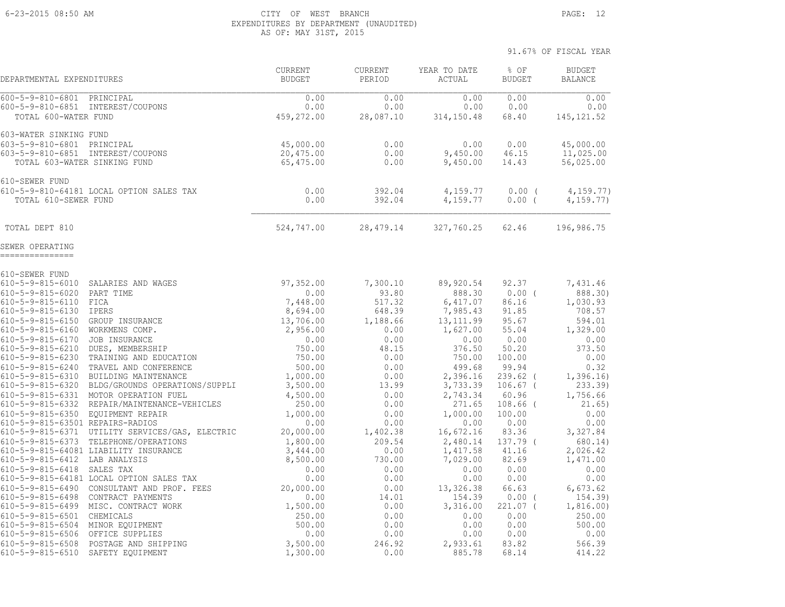#### 6-23-2015 08:50 AM CITY OF WEST BRANCH PAGE: 12 EXPENDITURES BY DEPARTMENT (UNAUDITED) AS OF: MAY 31ST, 2015

91.67% OF FISCAL YEAR

 CURRENT CURRENT YEAR TO DATE % OF BUDGET DEPARTMENTAL EXPENDITURES BUDGET PERIOD ACTUAL BUDGET BALANCE 600-5-9-810-6801 PRINCIPAL 0.00 0.00 0.00 0.00 0.00 600-5-9-810-6851 INTEREST/COUPONS 0.00 0.00 0.00 0.00 0.00 TOTAL 600-WATER FUND 459,272.00 28,087.10 314,150.48 68.40 145,121.52 603-WATER SINKING FUND 603-5-9-810-6801 PRINCIPAL 45,000.00 0.00 0.00 0.00 45,000.00 603-5-9-810-6851 INTEREST/COUPONS 20,475.00 0.00 9,450.00 46.15 11,025.00 TOTAL 603-WATER SINKING FUND 65,475.00 0.00 9,450.00 14.43 56,025.00 610-SEWER FUND 610-5-9-810-64181 LOCAL OPTION SALES TAX 0.00 392.04 4,159.77 0.00 ( 4,159.77) TOTAL 610-SEWER FUND 0.00 392.04 4,159.77 0.00 ( 4,159.77) TOTAL DEPT 810 524,747.00 28,479.14 327,760.25 62.46 196,986.75 SEWER OPERATING =============== 610-SEWER FUND 610-5-9-815-6010 SALARIES AND WAGES 97,352.00 7,300.10 89,920.54 92.37 7,431.46 610-5-9-815-6020 PART TIME 0.00 93.80 888.30 0.00 ( 888.30) 610-5-9-815-6110 FICA 7,448.00 517.32 6,417.07 86.16 1,030.93 610-5-9-815-6130 IPERS 8,694.00 648.39 7,985.43 91.85 708.57 610-5-9-815-6150 GROUP INSURANCE 13,706.00 1,188.66 13,111.99 95.67 594.01 610-5-9-815-6160 WORKMENS COMP. 2,956.00 0.00 1,627.00 55.04 1,329.00 610-5-9-815-6170 JOB INSURANCE 0.00 0.00 0.00 0.00 0.00 610-5-9-815-6210 DUES, MEMBERSHIP 750.00 48.15 376.50 50.20 373.50 610-5-9-815-6230 TRAINING AND EDUCATION 750.00 0.00 750.00 100.00 0.00 610-5-9-815-6240 TRAVEL AND CONFERENCE 500.00 0.00 499.68 99.94 0.32 610-5-9-815-6310 BUILDING MAINTENANCE 1,000.00 0.00 2,396.16 239.62 ( 1,396.16) 610-5-9-815-6320 BLDG/GROUNDS OPERATIONS/SUPPLI 3,500.00 13.99 3,733.39 106.67 ( 233.39) 610-5-9-815-6331 MOTOR OPERATION FUEL 4,500.00 0.00 2,743.34 60.96 1,756.66 610-5-9-815-6332 REPAIR/MAINTENANCE-VEHICLES 250.00 0.00 271.65 108.66 ( 21.65) 610-5-9-815-6350 EQUIPMENT REPAIR 1,000.00 0.00 1,000.00 100.00 0.00 610-5-9-815-63501 REPAIRS-RADIOS 0.00 0.00 0.00 0.00 0.00 610-5-9-815-6371 UTILITY SERVICES/GAS, ELECTRIC 20,000.00 1,402.38 16,672.16 83.36 3,327.84 610-5-9-815-6373 TELEPHONE/OPERATIONS 1,800.00 209.54 2,480.14 137.79 ( 680.14) 610-5-9-815-64081 LIABILITY INSURANCE 3,444.00 0.00 1,417.58 41.16 2,026.42 610-5-9-815-6412 LAB ANALYSIS 8,500.00 730.00 7,029.00 82.69 1,471.00 610-5-9-815-6418 SALES TAX 0.00 0.00 0.00 0.00 0.00 610-5-9-815-64181 LOCAL OPTION SALES TAX 0.00 0.00 0.00 0.00 0.00 610-5-9-815-6490 CONSULTANT AND PROF. FEES 20,000.00 0.00 13,326.38 66.63 6,673.62 610-5-9-815-6498 CONTRACT PAYMENTS 0.00 14.01 154.39 0.00 ( 154.39) 610-5-9-815-6499 MISC. CONTRACT WORK 1,500.00 0.00 3,316.00 221.07 ( 1,816.00) 610-5-9-815-6501 CHEMICALS 250.00 0.00 0.00 0.00 250.00 610-5-9-815-6504 MINOR EQUIPMENT 500.00 0.00 0.00 0.00 500.00 610-5-9-815-6506 OFFICE SUPPLIES 0.00 0.00 0.00 0.00 0.00 610-5-9-815-6508 POSTAGE AND SHIPPING 3,500.00 246.92 2,933.61 83.82 566.39 610-5-9-815-6510 SAFETY EQUIPMENT 1,300.00 0.00 885.78 68.14 414.22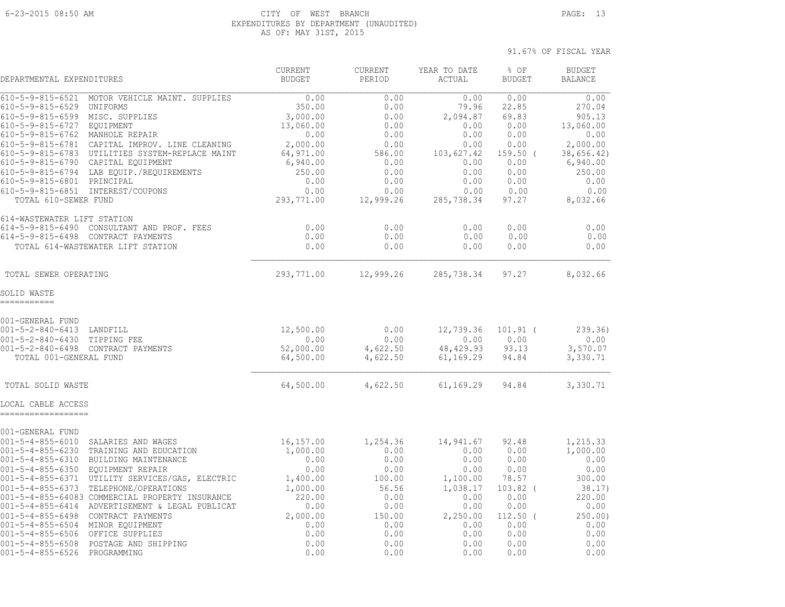#### 6-23-2015 08:50 AM CITY OF WEST BRANCH PAGE: 13 EXPENDITURES BY DEPARTMENT (UNAUDITED) AS OF: MAY 31ST, 2015

| DEPARTMENTAL EXPENDITURES                                                                                                            |                                                                                                                                             | <b>CURRENT</b><br><b>BUDGET</b>             | <b>CURRENT</b><br>PERIOD             | YEAR TO DATE<br>ACTUAL                       | % OF<br><b>BUDGET</b>                | <b>BUDGET</b><br><b>BALANCE</b>              |
|--------------------------------------------------------------------------------------------------------------------------------------|---------------------------------------------------------------------------------------------------------------------------------------------|---------------------------------------------|--------------------------------------|----------------------------------------------|--------------------------------------|----------------------------------------------|
| $610 - 5 - 9 - 815 - 6521$<br>$610 - 5 - 9 - 815 - 6529$<br>$610 - 5 - 9 - 815 - 6599$<br>610-5-9-815-6727                           | MOTOR VEHICLE MAINT. SUPPLIES<br>UNIFORMS<br>MISC. SUPPLIES<br><b>EOUIPMENT</b>                                                             | 0.00<br>350.00<br>3,000.00<br>13,060.00     | 0.00<br>0.00<br>0.00<br>0.00         | 0.00<br>79.96<br>2,094.87<br>0.00            | 0.00<br>22.85<br>69.83<br>0.00       | 0.00<br>270.04<br>905.13<br>13,060.00        |
| 610-5-9-815-6762                                                                                                                     | MANHOLE REPAIR                                                                                                                              | 0.00                                        | 0.00                                 | 0.00                                         | 0.00                                 | 0.00                                         |
| 610-5-9-815-6781<br>610-5-9-815-6783<br>$610 - 5 - 9 - 815 - 6790$<br>610-5-9-815-6794                                               | CAPITAL IMPROV. LINE CLEANING<br>UTILITIES SYSTEM-REPLACE MAINT<br>CAPITAL EQUIPMENT<br>LAB EQUIP./REQUIREMENTS                             | 2,000.00<br>64,971.00<br>6,940.00<br>250.00 | 0.00<br>586.00<br>0.00<br>0.00       | 0.00<br>103,627.42<br>0.00<br>0.00           | 0.00<br>$159.50$ (<br>0.00<br>0.00   | 2,000.00<br>38,656.42)<br>6,940.00<br>250.00 |
| 610-5-9-815-6801<br>610-5-9-815-6851<br>TOTAL 610-SEWER FUND                                                                         | PRINCIPAL<br>INTEREST/COUPONS                                                                                                               | 0.00<br>0.00<br>293,771.00                  | 0.00<br>0.00<br>12,999.26            | 0.00<br>0.00<br>285,738.34                   | 0.00<br>0.00<br>97.27                | 0.00<br>0.00<br>8,032.66                     |
| 614-WASTEWATER LIFT STATION<br>$614 - 5 - 9 - 815 - 6490$                                                                            | CONSULTANT AND PROF. FEES<br>614-5-9-815-6498 CONTRACT PAYMENTS<br>TOTAL 614-WASTEWATER LIFT STATION                                        | 0.00<br>0.00<br>0.00                        | 0.00<br>0.00<br>0.00                 | 0.00<br>0.00<br>0.00                         | 0.00<br>0.00<br>0.00                 | 0.00<br>0.00<br>0.00                         |
| TOTAL SEWER OPERATING                                                                                                                |                                                                                                                                             | 293,771.00                                  | 12,999.26                            | 285,738.34                                   | 97.27                                | 8,032.66                                     |
| SOLID WASTE<br>-----------                                                                                                           |                                                                                                                                             |                                             |                                      |                                              |                                      |                                              |
| 001-GENERAL FUND<br>$001 - 5 - 2 - 840 - 6413$<br>$001 - 5 - 2 - 840 - 6430$<br>$001 - 5 - 2 - 840 - 6498$<br>TOTAL 001-GENERAL FUND | LANDFILL<br>TIPPING FEE<br>CONTRACT PAYMENTS                                                                                                | 12,500.00<br>0.00<br>52,000.00<br>64,500.00 | 0.00<br>0.00<br>4,622.50<br>4,622.50 | 12,739.36<br>0.00<br>48, 429.93<br>61,169.29 | $101.91$ (<br>0.00<br>93.13<br>94.84 | 239.36<br>0.00<br>3,570.07<br>3,330.71       |
| TOTAL SOLID WASTE                                                                                                                    |                                                                                                                                             | 64,500.00                                   | 4,622.50                             | 61,169.29                                    | 94.84                                | 3,330.71                                     |
| LOCAL CABLE ACCESS<br>------------------                                                                                             |                                                                                                                                             |                                             |                                      |                                              |                                      |                                              |
| 001-GENERAL FUND<br>$001 - 5 - 4 - 855 - 6010$                                                                                       |                                                                                                                                             |                                             | 1,254.36                             | 14,941.67                                    |                                      |                                              |
| $001 - 5 - 4 - 855 - 6230$<br>$001 - 5 - 4 - 855 - 6310$<br>$001 - 5 - 4 - 855 - 6350$                                               | SALARIES AND WAGES<br>TRAINING AND EDUCATION<br>BUILDING MAINTENANCE<br>EQUIPMENT REPAIR                                                    | 16,157.00<br>1,000.00<br>0.00<br>0.00       | 0.00<br>0.00<br>0.00                 | 0.00<br>0.00<br>0.00                         | 92.48<br>0.00<br>0.00<br>0.00        | 1,215.33<br>1,000.00<br>0.00<br>0.00         |
| $001 - 5 - 4 - 855 - 6371$<br>$001 - 5 - 4 - 855 - 6373$<br>$001 - 5 - 4 - 855 - 6414$                                               | UTILITY SERVICES/GAS, ELECTRIC<br>TELEPHONE/OPERATIONS<br>001-5-4-855-64083 COMMERCIAL PROPERTY INSURANCE<br>ADVERTISEMENT & LEGAL PUBLICAT | 1,400.00<br>1,000.00<br>220.00<br>0.00      | 100.00<br>56.56<br>0.00<br>0.00      | 1,100.00<br>1,038.17<br>0.00<br>0.00         | 78.57<br>$103.82$ (<br>0.00<br>0.00  | 300.00<br>38.17)<br>220.00<br>0.00           |
| $001 - 5 - 4 - 855 - 6498$<br>001-5-4-855-6504<br>$001 - 5 - 4 - 855 - 6506$                                                         | CONTRACT PAYMENTS<br>MINOR EQUIPMENT<br>OFFICE SUPPLIES                                                                                     | 2,000.00<br>0.00<br>0.00                    | 150.00<br>0.00<br>0.00               | 2,250.00<br>0.00<br>0.00                     | 112.50<br>0.00<br>0.00               | 250.00)<br>0.00<br>0.00                      |
| $001 - 5 - 4 - 855 - 6508$<br>$001 - 5 - 4 - 855 - 6526$                                                                             | POSTAGE AND SHIPPING<br>PROGRAMMING                                                                                                         | 0.00<br>0.00                                | 0.00<br>0.00                         | 0.00<br>0.00                                 | 0.00<br>0.00                         | 0.00<br>0.00                                 |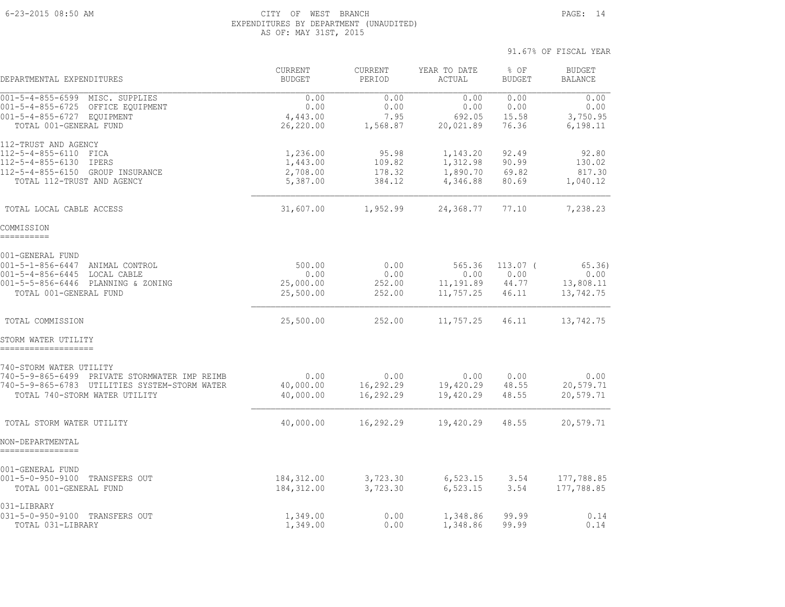#### 6-23-2015 08:50 AM CITY OF WEST BRANCH PAGE: 14 EXPENDITURES BY DEPARTMENT (UNAUDITED) AS OF: MAY 31ST, 2015

| DEPARTMENTAL EXPENDITURES                                                                                                                                     | <b>CURRENT</b><br><b>BUDGET</b>              | <b>CURRENT</b><br>PERIOD            | YEAR TO DATE<br>ACTUAL                       | % OF<br><b>BUDGET</b>                | <b>BUDGET</b><br><b>BALANCE</b>         |
|---------------------------------------------------------------------------------------------------------------------------------------------------------------|----------------------------------------------|-------------------------------------|----------------------------------------------|--------------------------------------|-----------------------------------------|
| $001 - 5 - 4 - 855 - 6599$<br>MISC. SUPPLIES<br>001-5-4-855-6725 OFFICE EQUIPMENT<br>001-5-4-855-6727 EOUIPMENT<br>TOTAL 001-GENERAL FUND                     | 0.00<br>0.00<br>4,443.00<br>26,220.00        | 0.00<br>0.00<br>7.95<br>1,568.87    | 0.00<br>0.00<br>692.05<br>20,021.89          | 0.00<br>0.00<br>15.58<br>76.36       | 0.00<br>0.00<br>3,750.95<br>6,198.11    |
| 112-TRUST AND AGENCY<br>112-5-4-855-6110<br>FICA<br>112-5-4-855-6130<br>IPERS<br>112-5-4-855-6150 GROUP INSURANCE<br>TOTAL 112-TRUST AND AGENCY               | 1,236.00<br>1,443.00<br>2,708.00<br>5,387.00 | 95.98<br>109.82<br>178.32<br>384.12 | 1,143.20<br>1,312.98<br>1,890.70<br>4,346.88 | 92.49<br>90.99<br>69.82<br>80.69     | 92.80<br>130.02<br>817.30<br>1,040.12   |
| TOTAL LOCAL CABLE ACCESS                                                                                                                                      | 31,607.00                                    | 1,952.99                            | 24,368.77                                    | 77.10                                | 7,238.23                                |
| COMMISSION<br>__________                                                                                                                                      |                                              |                                     |                                              |                                      |                                         |
| 001-GENERAL FUND<br>001-5-1-856-6447 ANIMAL CONTROL<br>001-5-4-856-6445 LOCAL CABLE<br>001-5-5-856-6446 PLANNING & ZONING<br>TOTAL 001-GENERAL FUND           | 500.00<br>0.00<br>25,000.00<br>25,500.00     | 0.00<br>0.00<br>252.00<br>252.00    | 565.36<br>0.00<br>11,191.89<br>11,757.25     | $113.07$ (<br>0.00<br>44.77<br>46.11 | 65.36<br>0.00<br>13,808.11<br>13,742.75 |
| TOTAL COMMISSION                                                                                                                                              | 25,500.00                                    | 252.00                              | 11,757.25                                    | 46.11                                | 13,742.75                               |
| STORM WATER UTILITY<br>-------------------                                                                                                                    |                                              |                                     |                                              |                                      |                                         |
| 740-STORM WATER UTILITY<br>740-5-9-865-6499<br>PRIVATE STORMWATER IMP REIMB<br>740-5-9-865-6783 UTILITIES SYSTEM-STORM WATER<br>TOTAL 740-STORM WATER UTILITY | 0.00<br>40,000.00<br>40,000.00               | 0.00<br>16,292.29<br>16,292.29      | 0.00<br>19,420.29<br>19,420.29               | 0.00<br>48.55<br>48.55               | 0.00<br>20,579.71<br>20,579.71          |
| TOTAL STORM WATER UTILITY                                                                                                                                     | 40,000.00                                    | 16,292.29                           | 19,420.29                                    | 48.55                                | 20,579.71                               |
| NON-DEPARTMENTAL                                                                                                                                              |                                              |                                     |                                              |                                      |                                         |
| 001-GENERAL FUND<br>001-5-0-950-9100 TRANSFERS OUT<br>TOTAL 001-GENERAL FUND                                                                                  | 184,312.00<br>184, 312.00                    | 3,723.30<br>3,723.30                | 6,523.15<br>6,523.15                         | 3.54<br>3.54                         | 177,788.85<br>177,788.85                |
| 031-LIBRARY<br>031-5-0-950-9100 TRANSFERS OUT<br>TOTAL 031-LIBRARY                                                                                            | 1,349.00<br>1,349.00                         | 0.00<br>0.00                        | 1,348.86<br>1,348.86                         | 99.99<br>99.99                       | 0.14<br>0.14                            |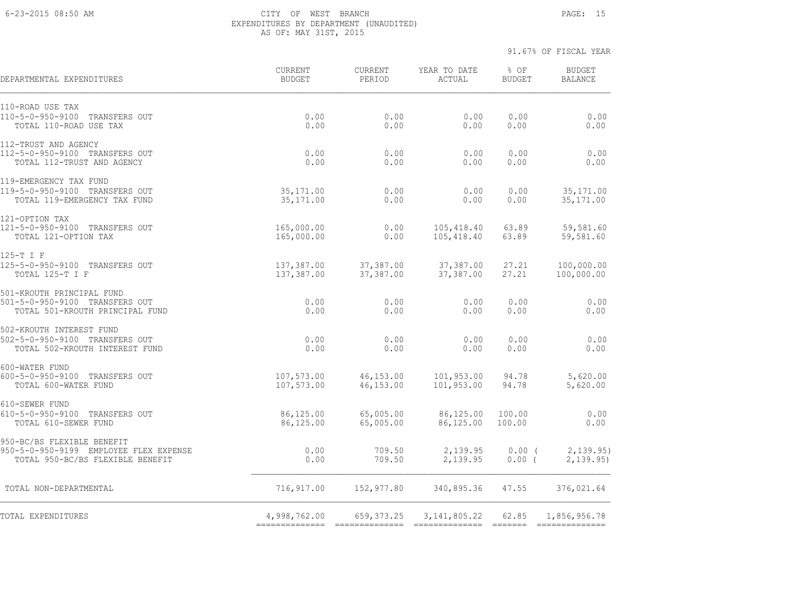#### 6-23-2015 08:50 AM CITY OF WEST BRANCH PAGE: 15 EXPENDITURES BY DEPARTMENT (UNAUDITED) AS OF: MAY 31ST, 2015

| DEPARTMENTAL EXPENDITURES                                                                                | CURRENT<br><b>BUDGET</b>       | <b>CURRENT</b><br>PERIOD | YEAR TO DATE<br><b>ACTUAL</b> | % OF<br><b>BUDGET</b> | <b>BUDGET</b><br><b>BALANCE</b> |
|----------------------------------------------------------------------------------------------------------|--------------------------------|--------------------------|-------------------------------|-----------------------|---------------------------------|
| 110-ROAD USE TAX<br>110-5-0-950-9100<br>TRANSFERS OUT<br>TOTAL 110-ROAD USE TAX                          | 0.00<br>0.00                   | 0.00<br>0.00             | 0.00<br>0.00                  | 0.00<br>0.00          | 0.00<br>0.00                    |
| 112-TRUST AND AGENCY<br>112-5-0-950-9100 TRANSFERS OUT<br>TOTAL 112-TRUST AND AGENCY                     | 0.00<br>0.00                   | 0.00<br>0.00             | 0.00<br>0.00                  | 0.00<br>0.00          | 0.00<br>0.00                    |
| 119-EMERGENCY TAX FUND<br>119-5-0-950-9100 TRANSFERS OUT<br>TOTAL 119-EMERGENCY TAX FUND                 | 35, 171.00<br>35, 171.00       | 0.00<br>0.00             | 0.00<br>0.00                  | 0.00<br>0.00          | 35, 171.00<br>35, 171.00        |
| 121-OPTION TAX<br>121-5-0-950-9100 TRANSFERS OUT<br>TOTAL 121-OPTION TAX                                 | 165,000.00<br>165,000.00       | 0.00<br>0.00             | 105,418.40<br>105,418.40      | 63.89<br>63.89        | 59,581.60<br>59,581.60          |
| 125-T I F<br>125-5-0-950-9100 TRANSFERS OUT<br>TOTAL 125-T I F                                           | 137,387.00<br>137,387.00       | 37,387.00<br>37,387.00   | 37,387.00<br>37,387.00        | 27.21<br>27.21        | 100,000.00<br>100,000.00        |
| 501-KROUTH PRINCIPAL FUND<br>501-5-0-950-9100 TRANSFERS OUT<br>TOTAL 501-KROUTH PRINCIPAL FUND           | 0.00<br>0.00                   | 0.00<br>0.00             | 0.00<br>0.00                  | 0.00<br>0.00          | 0.00<br>0.00                    |
| 502-KROUTH INTEREST FUND<br>502-5-0-950-9100 TRANSFERS OUT<br>TOTAL 502-KROUTH INTEREST FUND             | 0.00<br>0.00                   | 0.00<br>0.00             | 0.00<br>0.00                  | 0.00<br>0.00          | 0.00<br>0.00                    |
| 600-WATER FUND<br>600-5-0-950-9100 TRANSFERS OUT<br>TOTAL 600-WATER FUND                                 | 107,573.00<br>107,573.00       | 46,153.00<br>46,153.00   | 101,953.00<br>101,953.00      | 94.78<br>94.78        | 5,620.00<br>5,620.00            |
| 610-SEWER FUND<br>610-5-0-950-9100 TRANSFERS OUT<br>TOTAL 610-SEWER FUND                                 | 86,125.00<br>86,125.00         | 65,005.00<br>65,005.00   | 86,125.00<br>86,125.00        | 100.00<br>100.00      | 0.00<br>0.00                    |
| 950-BC/BS FLEXIBLE BENEFIT<br>950-5-0-950-9199 EMPLOYEE FLEX EXPENSE<br>TOTAL 950-BC/BS FLEXIBLE BENEFIT | 0.00<br>0.00                   | 709.50<br>709.50         | 2,139.95<br>2,139.95          | $0.00$ (<br>$0.00$ (  | 2,139.95)<br>2, 139.95          |
| TOTAL NON-DEPARTMENTAL                                                                                   | 716,917.00                     | 152,977.80               | 340,895.36                    | 47.55                 | 376,021.64                      |
| TOTAL EXPENDITURES                                                                                       | 4,998,762.00<br>============== | 659, 373.25              | 3, 141, 805.22                | 62.85                 | 1,856,956.78                    |
|                                                                                                          |                                |                          |                               |                       |                                 |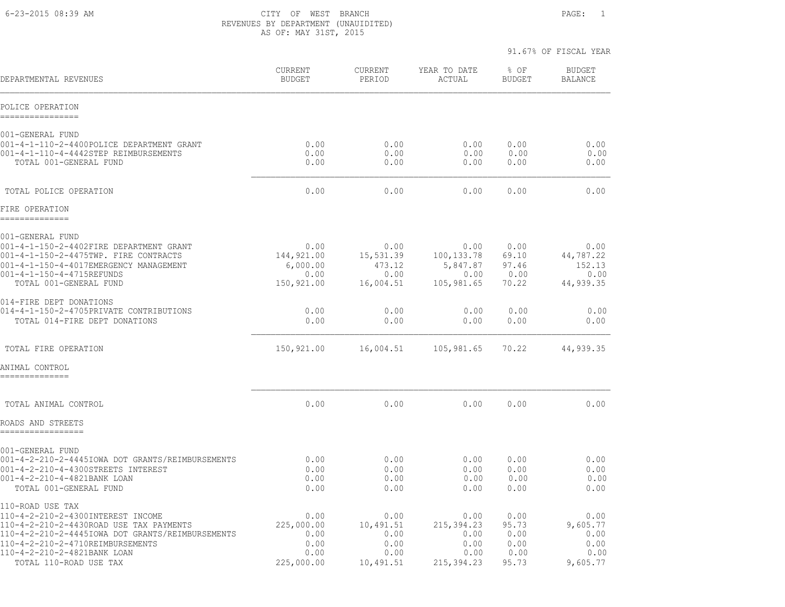6-23-2015 08:39 AM CITY OF WEST BRANCH PAGE: 1 REVENUES BY DEPARTMENT (UNAUIDITED) AS OF: MAY 31ST, 2015

|                                                                                                                                                                                                                                                   |                                                          |                                                        |                                                           | 91.67% OF FISCAL YEAR                          |                                                      |
|---------------------------------------------------------------------------------------------------------------------------------------------------------------------------------------------------------------------------------------------------|----------------------------------------------------------|--------------------------------------------------------|-----------------------------------------------------------|------------------------------------------------|------------------------------------------------------|
| DEPARTMENTAL REVENUES                                                                                                                                                                                                                             | CURRENT<br><b>BUDGET</b>                                 | CURRENT<br>PERIOD                                      | YEAR TO DATE<br>ACTUAL                                    | % OF<br><b>BUDGET</b>                          | <b>BUDGET</b><br><b>BALANCE</b>                      |
| POLICE OPERATION<br>----------------                                                                                                                                                                                                              |                                                          |                                                        |                                                           |                                                |                                                      |
| 001-GENERAL FUND<br>001-4-1-110-2-4400POLICE DEPARTMENT GRANT<br>001-4-1-110-4-4442STEP REIMBURSEMENTS<br>TOTAL 001-GENERAL FUND                                                                                                                  | 0.00<br>0.00<br>0.00                                     | 0.00<br>0.00<br>0.00                                   | 0.00<br>0.00<br>0.00                                      | 0.00<br>0.00<br>0.00                           | 0.00<br>0.00<br>0.00                                 |
| TOTAL POLICE OPERATION                                                                                                                                                                                                                            | 0.00                                                     | 0.00                                                   | 0.00                                                      | 0.00                                           | 0.00                                                 |
| FIRE OPERATION<br>--------------                                                                                                                                                                                                                  |                                                          |                                                        |                                                           |                                                |                                                      |
| 001-GENERAL FUND<br>001-4-1-150-2-4402FIRE DEPARTMENT GRANT<br>001-4-1-150-2-4475TWP. FIRE CONTRACTS<br>001-4-1-150-4-4017EMERGENCY MANAGEMENT<br>001-4-1-150-4-4715REFUNDS<br>TOTAL 001-GENERAL FUND                                             | 0.00<br>144,921.00<br>6,000.00<br>0.00<br>150,921.00     | 0.00<br>15,531.39<br>473.12<br>0.00<br>16,004.51       | 0.00<br>100, 133.78<br>5,847.87<br>0.00<br>105,981.65     | 0.00<br>69.10<br>97.46<br>0.00<br>70.22        | 0.00<br>44,787.22<br>152.13<br>0.00<br>44,939.35     |
| 014-FIRE DEPT DONATIONS<br>014-4-1-150-2-4705PRIVATE CONTRIBUTIONS<br>TOTAL 014-FIRE DEPT DONATIONS                                                                                                                                               | 0.00<br>0.00                                             | 0.00<br>0.00                                           | 0.00<br>0.00                                              | 0.00<br>0.00                                   | 0.00<br>0.00                                         |
| TOTAL FIRE OPERATION                                                                                                                                                                                                                              | 150,921.00                                               | 16,004.51                                              | 105,981.65                                                | 70.22                                          | 44,939.35                                            |
| ANIMAL CONTROL<br>==============                                                                                                                                                                                                                  |                                                          |                                                        |                                                           |                                                |                                                      |
| TOTAL ANIMAL CONTROL<br>ROADS AND STREETS                                                                                                                                                                                                         | 0.00                                                     | 0.00                                                   | 0.00                                                      | 0.00                                           | 0.00                                                 |
| =================                                                                                                                                                                                                                                 |                                                          |                                                        |                                                           |                                                |                                                      |
| 001-GENERAL FUND<br>001-4-2-210-2-4445IOWA DOT GRANTS/REIMBURSEMENTS<br>001-4-2-210-4-4300STREETS INTEREST<br>001-4-2-210-4-4821BANK LOAN<br>TOTAL 001-GENERAL FUND                                                                               | 0.00<br>0.00<br>0.00<br>0.00                             | 0.00<br>0.00<br>0.00<br>0.00                           | 0.00<br>0.00<br>0.00<br>0.00                              | 0.00<br>0.00<br>0.00<br>0.00                   | 0.00<br>0.00<br>0.00<br>0.00                         |
| 110-ROAD USE TAX<br>110-4-2-210-2-4300INTEREST INCOME<br>110-4-2-210-2-4430ROAD USE TAX PAYMENTS<br>110-4-2-210-2-4445IOWA DOT GRANTS/REIMBURSEMENTS<br>110-4-2-210-2-4710REIMBURSEMENTS<br>110-4-2-210-2-4821BANK LOAN<br>TOTAL 110-ROAD USE TAX | 0.00<br>225,000.00<br>0.00<br>0.00<br>0.00<br>225,000.00 | 0.00<br>10,491.51<br>0.00<br>0.00<br>0.00<br>10,491.51 | 0.00<br>215,394.23<br>0.00<br>0.00<br>0.00<br>215, 394.23 | 0.00<br>95.73<br>0.00<br>0.00<br>0.00<br>95.73 | 0.00<br>9,605.77<br>0.00<br>0.00<br>0.00<br>9,605.77 |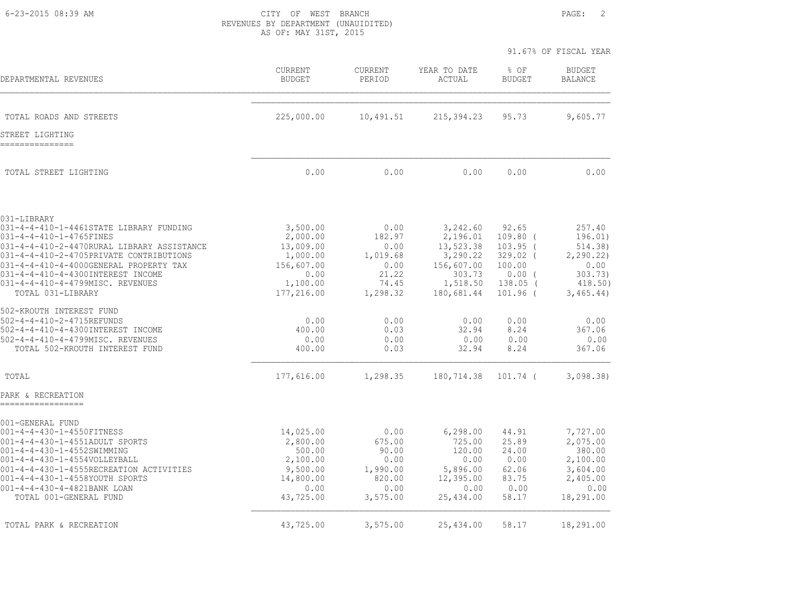6-23-2015 08:39 AM CITY OF WEST BRANCH PAGE: 2 REVENUES BY DEPARTMENT (UNAUIDITED) AS OF: MAY 31ST, 2015

|                                                                                                                                                             |                                               |                                    |                                                | 91.67% OF FISCAL YEAR                          |                                         |
|-------------------------------------------------------------------------------------------------------------------------------------------------------------|-----------------------------------------------|------------------------------------|------------------------------------------------|------------------------------------------------|-----------------------------------------|
| DEPARTMENTAL REVENUES                                                                                                                                       | <b>CURRENT</b><br><b>BUDGET</b>               | <b>CURRENT</b><br>PERIOD           | YEAR TO DATE<br><b>ACTUAL</b>                  | % OF<br><b>BUDGET</b>                          | <b>BUDGET</b><br><b>BALANCE</b>         |
| TOTAL ROADS AND STREETS                                                                                                                                     | 225,000.00                                    | 10,491.51                          | 215, 394.23                                    | 95.73                                          | 9,605.77                                |
| STREET LIGHTING                                                                                                                                             |                                               |                                    |                                                |                                                |                                         |
| TOTAL STREET LIGHTING                                                                                                                                       | 0.00                                          | 0.00                               | 0.00                                           | 0.00                                           | 0.00                                    |
| 031-LIBRARY                                                                                                                                                 |                                               | 0.00                               | 3,242.60                                       | 92.65                                          | 257.40                                  |
| 031-4-4-410-1-4461STATE LIBRARY FUNDING<br>031-4-4-410-1-4765FINES<br>031-4-4-410-2-4470RURAL LIBRARY ASSISTANCE<br>031-4-4-410-2-4705PRIVATE CONTRIBUTIONS | 3,500.00<br>2,000.00<br>13,009.00<br>1,000.00 | 182.97<br>0.00<br>1,019.68         | 2,196.01<br>13,523.38<br>3,290.22              | $109.80$ (<br>$103.95$ (<br>$329.02$ (         | 196.01)<br>514.38)<br>2, 290.22)        |
| 031-4-4-410-4-4000GENERAL PROPERTY TAX<br>031-4-4-410-4-4300INTEREST INCOME<br>031-4-4-410-4-4799MISC. REVENUES<br>TOTAL 031-LIBRARY                        | 156,607.00<br>0.00<br>1,100.00<br>177,216.00  | 0.00<br>21.22<br>74.45<br>1,298.32 | 156,607.00<br>303.73<br>1,518.50<br>180,681.44 | 100.00<br>$0.00$ (<br>$138.05$ (<br>$101.96$ ( | 0.00<br>303.73)<br>418.50)<br>3,465.44) |
| 502-KROUTH INTEREST FUND                                                                                                                                    |                                               |                                    |                                                |                                                |                                         |
| 502-4-4-410-2-4715REFUNDS<br>502-4-4-410-4-4300INTEREST INCOME<br>502-4-4-410-4-4799MISC. REVENUES<br>TOTAL 502-KROUTH INTEREST FUND                        | 0.00<br>400.00<br>0.00<br>400.00              | 0.00<br>0.03<br>0.00<br>0.03       | 0.00<br>32.94<br>0.00<br>32.94                 | 0.00<br>8.24<br>0.00<br>8.24                   | 0.00<br>367.06<br>0.00<br>367.06        |
| TOTAL                                                                                                                                                       | 177,616.00                                    | 1,298.35                           | 180,714.38                                     | 101.74 (                                       | 3,098.38                                |
| PARK & RECREATION                                                                                                                                           |                                               |                                    |                                                |                                                |                                         |
| 001-GENERAL FUND<br>001-4-4-430-1-4550FITNESS                                                                                                               | 14,025.00                                     | 0.00                               | 6, 298.00                                      | 44.91                                          | 7,727.00                                |
| 001-4-4-430-1-4551ADULT SPORTS<br>001-4-4-430-1-4552SWIMMING<br>001-4-4-430-1-4554VOLLEYBALL                                                                | 2,800.00<br>500.00<br>2,100.00                | 675.00<br>90.00<br>0.00            | 725.00<br>120.00<br>0.00                       | 25.89<br>24.00<br>0.00                         | 2,075.00<br>380.00<br>2,100.00          |
| 001-4-4-430-1-4555RECREATION ACTIVITIES<br>001-4-4-430-1-4558YOUTH SPORTS<br>001-4-4-430-4-4821BANK LOAN                                                    | 9,500.00<br>14,800.00<br>0.00                 | 1,990.00<br>820.00<br>0.00         | 5,896.00<br>12,395.00<br>0.00                  | 62.06<br>83.75<br>0.00                         | 3,604.00<br>2,405.00<br>0.00            |
| TOTAL 001-GENERAL FUND                                                                                                                                      | 43,725.00                                     | 3,575.00                           | 25,434.00                                      | 58.17                                          | 18,291.00                               |
| TOTAL PARK & RECREATION                                                                                                                                     | 43,725.00                                     | 3,575.00                           | 25,434.00                                      | 58.17                                          | 18,291.00                               |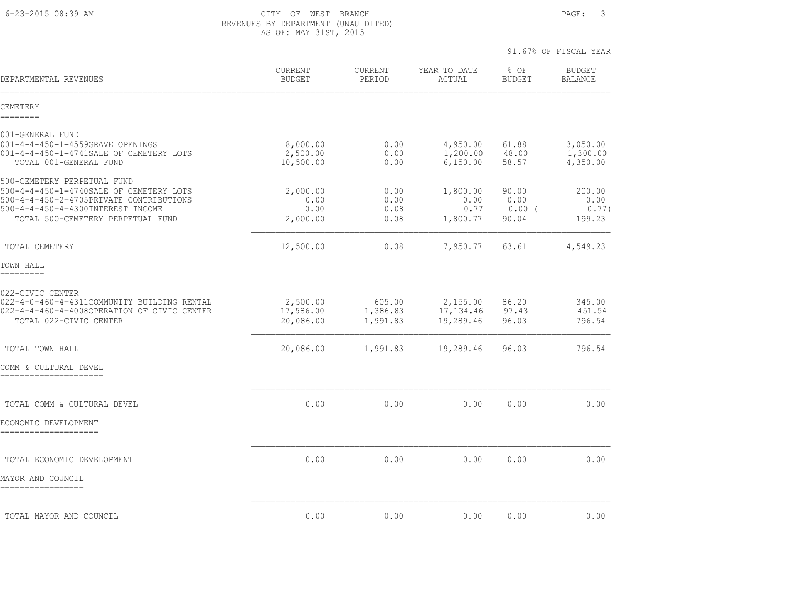6-23-2015 08:39 AM CITY OF WEST BRANCH PAGE: 3 REVENUES BY DEPARTMENT (UNAUIDITED) AS OF: MAY 31ST, 2015

| DEPARTMENTAL REVENUES                                                                                 | <b>CURRENT</b><br><b>BUDGET</b>   | <b>CURRENT</b><br>PERIOD | YEAR TO DATE<br>ACTUAL           | % OF<br><b>BUDGET</b>   | <b>BUDGET</b><br><b>BALANCE</b>  |
|-------------------------------------------------------------------------------------------------------|-----------------------------------|--------------------------|----------------------------------|-------------------------|----------------------------------|
| CEMETERY<br>========                                                                                  |                                   |                          |                                  |                         |                                  |
| 001-GENERAL FUND                                                                                      |                                   |                          |                                  |                         |                                  |
| 001-4-4-450-1-4559GRAVE OPENINGS<br>001-4-4-450-1-4741SALE OF CEMETERY LOTS<br>TOTAL 001-GENERAL FUND | 8,000.00<br>2,500.00<br>10,500.00 | 0.00<br>0.00<br>0.00     | 4,950.00<br>1,200.00<br>6,150.00 | 61.88<br>48.00<br>58.57 | 3,050.00<br>1,300.00<br>4,350.00 |
| 500-CEMETERY PERPETUAL FUND<br>500-4-4-450-1-4740SALE OF CEMETERY LOTS                                | 2,000.00                          | 0.00                     | 1,800.00                         | 90.00                   | 200.00                           |
| 500-4-4-450-2-4705PRIVATE CONTRIBUTIONS                                                               | 0.00                              | 0.00                     | 0.00                             | 0.00                    | 0.00                             |
| 500-4-4-450-4-4300INTEREST INCOME<br>TOTAL 500-CEMETERY PERPETUAL FUND                                | 0.00<br>2,000.00                  | 0.08<br>0.08             | 0.77<br>1,800.77                 | $0.00$ (<br>90.04       | 0.77)<br>199.23                  |
| TOTAL CEMETERY                                                                                        | 12,500.00                         | 0.08                     | 7,950.77                         | 63.61                   | 4,549.23                         |
| TOWN HALL<br>=========                                                                                |                                   |                          |                                  |                         |                                  |
| 022-CIVIC CENTER<br>022-4-0-460-4-4311COMMUNITY BUILDING RENTAL                                       | 2,500.00                          | 605.00                   | 2,155.00                         | 86.20                   | 345.00                           |
| 022-4-4-460-4-4008OPERATION OF CIVIC CENTER<br>TOTAL 022-CIVIC CENTER                                 | 17,586.00<br>20,086.00            | 1,386.83<br>1,991.83     | 17,134.46<br>19,289.46           | 97.43<br>96.03          | 451.54<br>796.54                 |
|                                                                                                       |                                   |                          |                                  |                         |                                  |
| TOTAL TOWN HALL                                                                                       | 20,086.00                         | 1,991.83                 | 19,289.46                        | 96.03                   | 796.54                           |
| COMM & CULTURAL DEVEL<br>======================                                                       |                                   |                          |                                  |                         |                                  |
| TOTAL COMM & CULTURAL DEVEL                                                                           | 0.00                              | 0.00                     | 0.00                             | 0.00                    | 0.00                             |
| ECONOMIC DEVELOPMENT<br>=====================                                                         |                                   |                          |                                  |                         |                                  |
|                                                                                                       |                                   |                          |                                  |                         |                                  |
| TOTAL ECONOMIC DEVELOPMENT                                                                            | 0.00                              | 0.00                     | 0.00                             | 0.00                    | 0.00                             |
| MAYOR AND COUNCIL<br>=================                                                                |                                   |                          |                                  |                         |                                  |
| TOTAL MAYOR AND COUNCIL                                                                               | 0.00                              | 0.00                     | 0.00                             | 0.00                    | 0.00                             |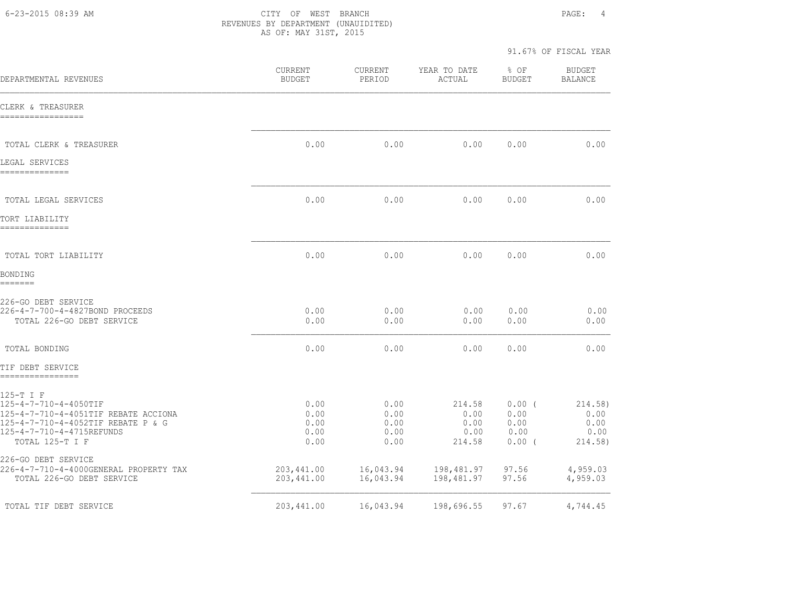6-23-2015 08:39 AM CITY OF WEST BRANCH PAGE: 4 REVENUES BY DEPARTMENT (UNAUIDITED) AS OF: MAY 31ST, 2015

| DEPARTMENTAL REVENUES                                                                                                                                            | CURRENT<br><b>BUDGET</b>             | CURRENT<br>PERIOD                    | YEAR TO DATE<br>ACTUAL                   | % OF<br><b>BUDGET</b>                        | <b>BUDGET</b><br><b>BALANCE</b>            |
|------------------------------------------------------------------------------------------------------------------------------------------------------------------|--------------------------------------|--------------------------------------|------------------------------------------|----------------------------------------------|--------------------------------------------|
| CLERK & TREASURER<br>-----------------                                                                                                                           |                                      |                                      |                                          |                                              |                                            |
| TOTAL CLERK & TREASURER                                                                                                                                          | 0.00                                 | 0.00                                 | 0.00                                     | 0.00                                         | 0.00                                       |
| LEGAL SERVICES<br>=============                                                                                                                                  |                                      |                                      |                                          |                                              |                                            |
| TOTAL LEGAL SERVICES                                                                                                                                             | 0.00                                 | 0.00                                 | 0.00                                     | 0.00                                         | 0.00                                       |
| TORT LIABILITY<br>---------------                                                                                                                                |                                      |                                      |                                          |                                              |                                            |
| TOTAL TORT LIABILITY                                                                                                                                             | 0.00                                 | 0.00                                 | 0.00                                     | 0.00                                         | 0.00                                       |
| BONDING<br>=======                                                                                                                                               |                                      |                                      |                                          |                                              |                                            |
| 226-GO DEBT SERVICE<br>226-4-7-700-4-4827BOND PROCEEDS<br>TOTAL 226-GO DEBT SERVICE                                                                              | 0.00<br>0.00                         | 0.00<br>0.00                         | 0.00<br>0.00                             | 0.00<br>0.00                                 | 0.00<br>0.00                               |
| TOTAL BONDING                                                                                                                                                    | 0.00                                 | 0.00                                 | 0.00                                     | 0.00                                         | 0.00                                       |
| TIF DEBT SERVICE<br>================                                                                                                                             |                                      |                                      |                                          |                                              |                                            |
| 125-T I F<br>125-4-7-710-4-4050TIF<br>125-4-7-710-4-4051TIF REBATE ACCIONA<br>125-4-7-710-4-4052TIF REBATE P & G<br>125-4-7-710-4-4715REFUNDS<br>TOTAL 125-T I F | 0.00<br>0.00<br>0.00<br>0.00<br>0.00 | 0.00<br>0.00<br>0.00<br>0.00<br>0.00 | 214.58<br>0.00<br>0.00<br>0.00<br>214.58 | $0.00$ (<br>0.00<br>0.00<br>0.00<br>$0.00$ ( | 214.58)<br>0.00<br>0.00<br>0.00<br>214.58) |
| 226-GO DEBT SERVICE<br>226-4-7-710-4-4000GENERAL PROPERTY TAX<br>TOTAL 226-GO DEBT SERVICE                                                                       | 203,441.00<br>203,441.00             | 16,043.94<br>16,043.94               | 198,481.97<br>198,481.97                 | 97.56<br>97.56                               | 4,959.03<br>4,959.03                       |
| TOTAL TIF DEBT SERVICE                                                                                                                                           | 203, 441.00                          | 16,043.94                            | 198,696.55                               | 97.67                                        | 4,744.45                                   |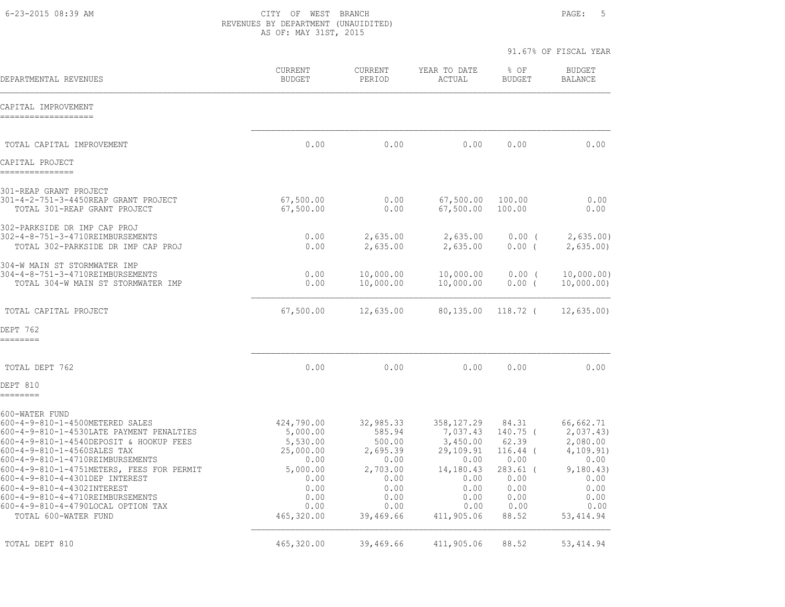6-23-2015 08:39 AM CITY OF WEST BRANCH PAGE: 5 REVENUES BY DEPARTMENT (UNAUIDITED) AS OF: MAY 31ST, 2015

|                                                                                                                                                                                                                                                                                                                                                                                                                                        |                                                                                                                   |                                                                                                            |                                                                                                                     | 91.67% OF FISCAL YEAR                                                                                     |                                                                                                                    |
|----------------------------------------------------------------------------------------------------------------------------------------------------------------------------------------------------------------------------------------------------------------------------------------------------------------------------------------------------------------------------------------------------------------------------------------|-------------------------------------------------------------------------------------------------------------------|------------------------------------------------------------------------------------------------------------|---------------------------------------------------------------------------------------------------------------------|-----------------------------------------------------------------------------------------------------------|--------------------------------------------------------------------------------------------------------------------|
| DEPARTMENTAL REVENUES                                                                                                                                                                                                                                                                                                                                                                                                                  | <b>CURRENT</b><br><b>BUDGET</b>                                                                                   | <b>CURRENT</b><br>PERIOD                                                                                   | YEAR TO DATE<br>ACTUAL                                                                                              | % OF<br><b>BUDGET</b>                                                                                     | <b>BUDGET</b><br><b>BALANCE</b>                                                                                    |
| CAPITAL IMPROVEMENT                                                                                                                                                                                                                                                                                                                                                                                                                    |                                                                                                                   |                                                                                                            |                                                                                                                     |                                                                                                           |                                                                                                                    |
| TOTAL CAPITAL IMPROVEMENT                                                                                                                                                                                                                                                                                                                                                                                                              | 0.00                                                                                                              | 0.00                                                                                                       | 0.00                                                                                                                | 0.00                                                                                                      | 0.00                                                                                                               |
| CAPITAL PROJECT<br>---------------                                                                                                                                                                                                                                                                                                                                                                                                     |                                                                                                                   |                                                                                                            |                                                                                                                     |                                                                                                           |                                                                                                                    |
| 301-REAP GRANT PROJECT<br>301-4-2-751-3-4450REAP GRANT PROJECT<br>TOTAL 301-REAP GRANT PROJECT                                                                                                                                                                                                                                                                                                                                         | 67,500.00<br>67,500.00                                                                                            | 0.00<br>0.00                                                                                               | 67,500.00<br>67,500.00                                                                                              | 100.00<br>100.00                                                                                          | 0.00<br>0.00                                                                                                       |
| 302-PARKSIDE DR IMP CAP PROJ<br>302-4-8-751-3-4710REIMBURSEMENTS<br>TOTAL 302-PARKSIDE DR IMP CAP PROJ                                                                                                                                                                                                                                                                                                                                 | 0.00<br>0.00                                                                                                      | 2,635.00<br>2,635.00                                                                                       | 2,635.00<br>2,635.00                                                                                                | $0.00$ (<br>$0.00$ (                                                                                      | 2,635.00<br>2,635.00                                                                                               |
| 304-W MAIN ST STORMWATER IMP<br>304-4-8-751-3-4710REIMBURSEMENTS<br>TOTAL 304-W MAIN ST STORMWATER IMP                                                                                                                                                                                                                                                                                                                                 | 0.00<br>0.00                                                                                                      | 10,000.00<br>10,000.00                                                                                     | 10,000.00<br>10,000.00                                                                                              | $0.00$ (<br>$0.00$ (                                                                                      | 10,000.00)<br>10,000.00)                                                                                           |
| TOTAL CAPITAL PROJECT                                                                                                                                                                                                                                                                                                                                                                                                                  | 67,500.00                                                                                                         | 12,635.00                                                                                                  | 80,135.00                                                                                                           | $118.72$ (                                                                                                | 12,635.00                                                                                                          |
| DEPT 762<br>========                                                                                                                                                                                                                                                                                                                                                                                                                   |                                                                                                                   |                                                                                                            |                                                                                                                     |                                                                                                           |                                                                                                                    |
| TOTAL DEPT 762<br>DEPT 810                                                                                                                                                                                                                                                                                                                                                                                                             | 0.00                                                                                                              | 0.00                                                                                                       | 0.00                                                                                                                | 0.00                                                                                                      | 0.00                                                                                                               |
| ========<br>600-WATER FUND<br>600-4-9-810-1-4500METERED SALES<br>600-4-9-810-1-4530LATE PAYMENT PENALTIES<br>600-4-9-810-1-4540DEPOSIT & HOOKUP FEES<br>600-4-9-810-1-4560SALES TAX<br>600-4-9-810-1-4710REIMBURSEMENTS<br>600-4-9-810-1-4751METERS, FEES FOR PERMIT<br>600-4-9-810-4-4301DEP INTEREST<br>600-4-9-810-4-4302INTEREST<br>600-4-9-810-4-4710REIMBURSEMENTS<br>600-4-9-810-4-4790LOCAL OPTION TAX<br>TOTAL 600-WATER FUND | 424,790.00<br>5,000.00<br>5,530.00<br>25,000.00<br>0.00<br>5,000.00<br>0.00<br>0.00<br>0.00<br>0.00<br>465,320.00 | 32,985.33<br>585.94<br>500.00<br>2,695.39<br>0.00<br>2,703.00<br>0.00<br>0.00<br>0.00<br>0.00<br>39,469.66 | 358, 127.29<br>7,037.43<br>3,450.00<br>29,109.91<br>0.00<br>14,180.43<br>0.00<br>0.00<br>0.00<br>0.00<br>411,905.06 | 84.31<br>$140.75$ (<br>62.39<br>$116.44$ (<br>0.00<br>$283.61$ (<br>0.00<br>0.00<br>0.00<br>0.00<br>88.52 | 66,662.71<br>2,037.43)<br>2,080.00<br>4,109.91)<br>0.00<br>9,180.43)<br>0.00<br>0.00<br>0.00<br>0.00<br>53, 414.94 |
| TOTAL DEPT 810                                                                                                                                                                                                                                                                                                                                                                                                                         | 465,320.00                                                                                                        | 39,469.66                                                                                                  | 411,905.06                                                                                                          | 88.52                                                                                                     | 53, 414.94                                                                                                         |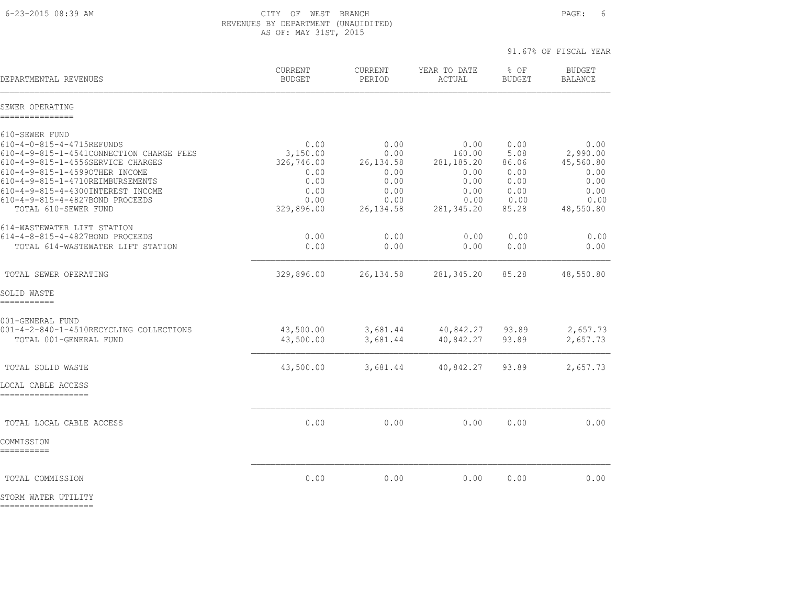6-23-2015 08:39 AM CITY OF WEST BRANCH PAGE: 6 REVENUES BY DEPARTMENT (UNAUIDITED) AS OF: MAY 31ST, 2015

|                                                                                                                                                                                                                                                                            |                                                                |                                                            |                                                                | 91.67% OF FISCAL YEAR                                 |                                                               |
|----------------------------------------------------------------------------------------------------------------------------------------------------------------------------------------------------------------------------------------------------------------------------|----------------------------------------------------------------|------------------------------------------------------------|----------------------------------------------------------------|-------------------------------------------------------|---------------------------------------------------------------|
| DEPARTMENTAL REVENUES                                                                                                                                                                                                                                                      | CURRENT<br><b>BUDGET</b>                                       | CURRENT<br>PERIOD                                          | YEAR TO DATE<br>ACTUAL                                         | % OF<br><b>BUDGET</b>                                 | <b>BUDGET</b><br><b>BALANCE</b>                               |
| SEWER OPERATING<br>----------------                                                                                                                                                                                                                                        |                                                                |                                                            |                                                                |                                                       |                                                               |
| 610-SEWER FUND<br>610-4-0-815-4-4715REFUNDS<br>610-4-9-815-1-4541CONNECTION CHARGE FEES<br>610-4-9-815-1-4556SERVICE CHARGES<br>610-4-9-815-1-45990THER INCOME<br>610-4-9-815-1-4710REIMBURSEMENTS<br>610-4-9-815-4-4300INTEREST INCOME<br>610-4-9-815-4-4827BOND PROCEEDS | 0.00<br>3,150.00<br>326,746.00<br>0.00<br>0.00<br>0.00<br>0.00 | 0.00<br>0.00<br>26, 134.58<br>0.00<br>0.00<br>0.00<br>0.00 | 0.00<br>160.00<br>281, 185. 20<br>0.00<br>0.00<br>0.00<br>0.00 | 0.00<br>5.08<br>86.06<br>0.00<br>0.00<br>0.00<br>0.00 | 0.00<br>2,990.00<br>45,560.80<br>0.00<br>0.00<br>0.00<br>0.00 |
| TOTAL 610-SEWER FUND<br>614-WASTEWATER LIFT STATION<br>614-4-8-815-4-4827BOND PROCEEDS<br>TOTAL 614-WASTEWATER LIFT STATION                                                                                                                                                | 329,896.00<br>0.00<br>0.00                                     | 26, 134.58<br>0.00<br>0.00                                 | 281, 345.20<br>0.00<br>0.00                                    | 85.28<br>0.00<br>0.00                                 | 48,550.80<br>0.00<br>0.00                                     |
| TOTAL SEWER OPERATING                                                                                                                                                                                                                                                      | 329,896.00                                                     | 26, 134.58                                                 | 281,345.20                                                     | 85.28                                                 | 48,550.80                                                     |
| SOLID WASTE<br>-----------                                                                                                                                                                                                                                                 |                                                                |                                                            |                                                                |                                                       |                                                               |
| 001-GENERAL FUND<br>001-4-2-840-1-4510RECYCLING COLLECTIONS<br>TOTAL 001-GENERAL FUND                                                                                                                                                                                      | 43,500.00<br>43,500.00                                         | 3,681.44<br>3,681.44                                       | 40,842.27 93.89<br>40,842.27                                   | 93.89                                                 | 2,657.73<br>2,657.73                                          |
| TOTAL SOLID WASTE                                                                                                                                                                                                                                                          | 43,500.00                                                      | 3,681.44                                                   | 40,842.27                                                      | 93.89                                                 | 2,657.73                                                      |
| LOCAL CABLE ACCESS<br>-------------------                                                                                                                                                                                                                                  |                                                                |                                                            |                                                                |                                                       |                                                               |
| TOTAL LOCAL CABLE ACCESS<br>COMMISSION                                                                                                                                                                                                                                     | 0.00                                                           | 0.00                                                       | 0.00                                                           | 0.00                                                  | 0.00                                                          |
| ==========                                                                                                                                                                                                                                                                 |                                                                |                                                            |                                                                |                                                       |                                                               |
| TOTAL COMMISSION                                                                                                                                                                                                                                                           | 0.00                                                           | 0.00                                                       | 0.00                                                           | 0.00                                                  | 0.00                                                          |

STORM WATER UTILITY ===================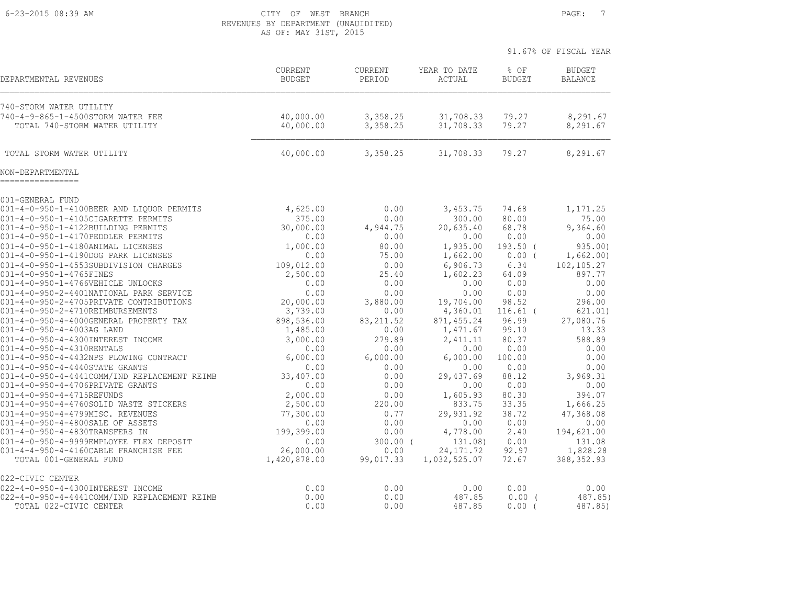#### 6-23-2015 08:39 AM CITY OF WEST BRANCH PAGE: 7 REVENUES BY DEPARTMENT (UNAUIDITED) AS OF: MAY 31ST, 2015

|                                                                            |                                 |                    |                         | 91.67% OF FISCAL YEAR |                                 |
|----------------------------------------------------------------------------|---------------------------------|--------------------|-------------------------|-----------------------|---------------------------------|
| DEPARTMENTAL REVENUES                                                      | <b>CURRENT</b><br><b>BUDGET</b> | CURRENT<br>PERIOD  | YEAR TO DATE<br>ACTUAL  | % OF<br><b>BUDGET</b> | <b>BUDGET</b><br><b>BALANCE</b> |
| 740-STORM WATER UTILITY                                                    |                                 |                    |                         |                       |                                 |
| 740-4-9-865-1-4500STORM WATER FEE                                          | 40,000.00                       | 3,358.25           | 31,708.33               | 79.27                 | 8,291.67                        |
| TOTAL 740-STORM WATER UTILITY                                              | 40,000.00                       | 3,358.25           | 31,708.33               | 79.27                 | 8,291.67                        |
| TOTAL STORM WATER UTILITY                                                  | 40,000.00                       | 3,358.25           | 31,708.33               | 79.27                 | 8,291.67                        |
| NON-DEPARTMENTAL                                                           |                                 |                    |                         |                       |                                 |
| 001-GENERAL FUND                                                           |                                 |                    |                         |                       |                                 |
| 001-4-0-950-1-4100BEER AND LIQUOR PERMITS                                  | 4,625.00                        | 0.00               | 3,453.75                | 74.68                 | 1,171.25                        |
| 001-4-0-950-1-4105CIGARETTE PERMITS                                        | 375.00                          | 0.00               | 300.00                  | 80.00                 | 75.00                           |
| 001-4-0-950-1-4122BUILDING PERMITS<br>001-4-0-950-1-4170PEDDLER PERMITS    | 30,000.00<br>0.00               | 4,944.75<br>0.00   | 20,635.40<br>0.00       | 68.78<br>0.00         | 9,364.60<br>0.00                |
| 001-4-0-950-1-4180ANIMAL LICENSES                                          | 1,000.00                        | 80.00              | 1,935.00                | $193.50$ (            | 935.00)                         |
| 001-4-0-950-1-4190DOG PARK LICENSES                                        | 0.00                            | 75.00              | 1,662.00                | $0.00$ (              | 1,662.00)                       |
| 001-4-0-950-1-4553SUBDIVISION CHARGES                                      | 109,012.00                      | 0.00               | 6,906.73                | 6.34                  | 102, 105.27                     |
| 001-4-0-950-1-4765FINES                                                    | 2,500.00                        | 25.40              | 1,602.23                | 64.09                 | 897.77                          |
| 001-4-0-950-1-4766VEHICLE UNLOCKS                                          | 0.00                            | 0.00               | 0.00                    | 0.00                  | 0.00                            |
| 001-4-0-950-2-4401NATIONAL PARK SERVICE                                    | 0.00                            | 0.00               | 0.00                    | 0.00                  | 0.00                            |
| 001-4-0-950-2-4705PRIVATE CONTRIBUTIONS                                    | 20,000.00                       | 3,880.00           | 19,704.00               | 98.52                 | 296.00                          |
| 001-4-0-950-2-4710REIMBURSEMENTS<br>001-4-0-950-4-4000GENERAL PROPERTY TAX | 3,739.00<br>898,536.00          | 0.00<br>83, 211.52 | 4,360.01                | $116.61$ (<br>96.99   | 621.01)<br>27,080.76            |
| 001-4-0-950-4-4003AG LAND                                                  | 1,485.00                        | 0.00               | 871, 455.24<br>1,471.67 | 99.10                 | 13.33                           |
| 001-4-0-950-4-4300INTEREST INCOME                                          | 3,000.00                        | 279.89             | 2,411.11                | 80.37                 | 588.89                          |
| 001-4-0-950-4-4310RENTALS                                                  | 0.00                            | 0.00               | 0.00                    | 0.00                  | 0.00                            |
| 001-4-0-950-4-4432NPS PLOWING CONTRACT                                     | 6,000.00                        | 6,000.00           | 6,000.00                | 100.00                | 0.00                            |
| 001-4-0-950-4-4440STATE GRANTS                                             | 0.00                            | 0.00               | 0.00                    | 0.00                  | 0.00                            |
| 001-4-0-950-4-4441COMM/IND REPLACEMENT REIMB                               | 33,407.00                       | 0.00               | 29,437.69               | 88.12                 | 3,969.31                        |
| 001-4-0-950-4-4706PRIVATE GRANTS                                           | 0.00                            | 0.00               | 0.00                    | 0.00                  | 0.00                            |
| 001-4-0-950-4-4715REFUNDS                                                  | 2,000.00                        | 0.00               | 1,605.93                | 80.30                 | 394.07                          |
| 001-4-0-950-4-4760SOLID WASTE STICKERS                                     | 2,500.00                        | 220.00             | 833.75                  | 33.35                 | 1,666.25                        |
| 001-4-0-950-4-4799MISC. REVENUES<br>001-4-0-950-4-4800SALE OF ASSETS       | 77,300.00<br>0.00               | 0.77<br>0.00       | 29,931.92<br>0.00       | 38.72<br>0.00         | 47,368.08<br>0.00               |
| 001-4-0-950-4-4830TRANSFERS IN                                             | 199,399.00                      | 0.00               | 4,778.00                | 2.40                  | 194,621.00                      |
| 001-4-0-950-4-9999EMPLOYEE FLEX DEPOSIT                                    | 0.00                            | $300.00$ (         | 131.08)                 | 0.00                  | 131.08                          |
| 001-4-4-950-4-4160CABLE FRANCHISE FEE                                      | 26,000.00                       | 0.00               | 24, 171.72              | 92.97                 | 1,828.28                        |
| TOTAL 001-GENERAL FUND                                                     | 1,420,878.00                    | 99,017.33          | 1,032,525.07            | 72.67                 | 388, 352.93                     |
| 022-CIVIC CENTER                                                           |                                 |                    |                         |                       |                                 |
| 022-4-0-950-4-4300INTEREST INCOME                                          | 0.00                            | 0.00               | 0.00                    | 0.00                  | 0.00                            |
| 022-4-0-950-4-4441COMM/IND REPLACEMENT REIMB<br>TOTAL 022-CIVIC CENTER     | 0.00<br>0.00                    | 0.00<br>0.00       | 487.85<br>487.85        | $0.00$ (<br>0.00      | 487.85)<br>487.85)              |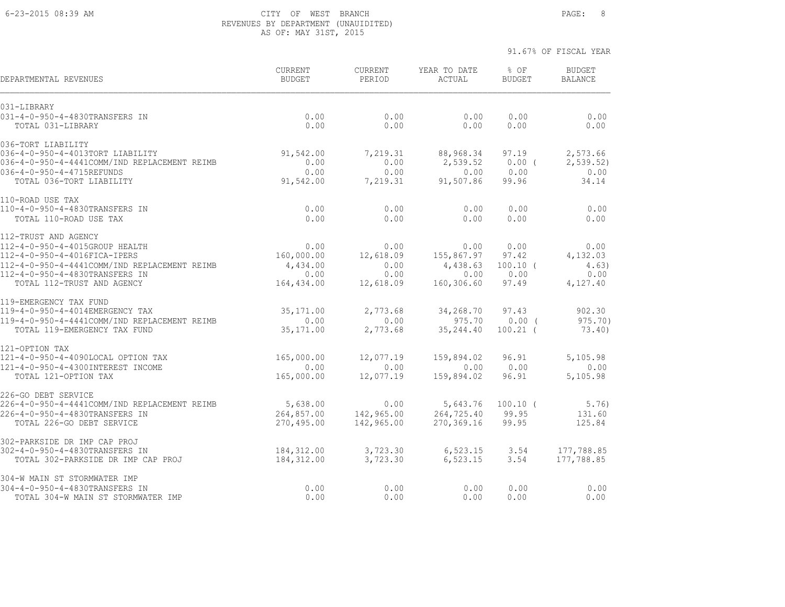#### 6-23-2015 08:39 AM CITY OF WEST BRANCH PAGE: 8 REVENUES BY DEPARTMENT (UNAUIDITED) AS OF: MAY 31ST, 2015

| DEPARTMENTAL REVENUES                                                          | <b>CURRENT</b><br><b>BUDGET</b> | <b>CURRENT</b><br>PERIOD | YEAR TO DATE<br>ACTUAL | % OF<br><b>BUDGET</b>  | <b>BUDGET</b><br><b>BALANCE</b> |
|--------------------------------------------------------------------------------|---------------------------------|--------------------------|------------------------|------------------------|---------------------------------|
| 031-LIBRARY                                                                    |                                 |                          |                        |                        |                                 |
| 031-4-0-950-4-4830TRANSFERS IN<br>TOTAL 031-LIBRARY                            | 0.00<br>0.00                    | 0.00<br>0.00             | 0.00<br>0.00           | 0.00<br>0.00           | 0.00<br>0.00                    |
| 036-TORT LIABILITY                                                             |                                 |                          |                        |                        |                                 |
| 036-4-0-950-4-4013TORT LIABILITY                                               | 91,542.00                       | 7,219.31                 | 88,968.34              | 97.19                  | 2,573.66                        |
| 036-4-0-950-4-4441COMM/IND REPLACEMENT REIMB                                   | 0.00                            | 0.00                     | 2,539.52               | $0.00$ (               | 2, 539.52                       |
| 036-4-0-950-4-4715REFUNDS<br>TOTAL 036-TORT LIABILITY                          | 0.00<br>91,542.00               | 0.00<br>7,219.31         | 0.00<br>91,507.86      | 0.00<br>99.96          | 0.00<br>34.14                   |
| 110-ROAD USE TAX                                                               |                                 |                          |                        |                        |                                 |
| 110-4-0-950-4-4830TRANSFERS IN                                                 | 0.00                            | 0.00                     | 0.00                   | 0.00                   | 0.00                            |
| TOTAL 110-ROAD USE TAX                                                         | 0.00                            | 0.00                     | 0.00                   | 0.00                   | 0.00                            |
| 112-TRUST AND AGENCY                                                           |                                 |                          |                        |                        |                                 |
| 112-4-0-950-4-4015GROUP HEALTH                                                 | 0.00                            | 0.00                     | 0.00                   | 0.00                   | 0.00                            |
| 112-4-0-950-4-4016FICA-IPERS<br>112-4-0-950-4-4441COMM/IND REPLACEMENT REIMB   | 160,000.00<br>4,434.00          | 12,618.09<br>0.00        | 155,867.97<br>4,438.63 | 97.42<br>$100.10$ (    | 4,132.03<br>4.63)               |
| 112-4-0-950-4-4830TRANSFERS IN                                                 | 0.00                            | 0.00                     | 0.00                   | 0.00                   | 0.00                            |
| TOTAL 112-TRUST AND AGENCY                                                     | 164,434.00                      | 12,618.09                | 160,306.60             | 97.49                  | 4,127.40                        |
| 119-EMERGENCY TAX FUND                                                         |                                 |                          |                        |                        |                                 |
| 119-4-0-950-4-4014EMERGENCY TAX                                                | 35, 171.00                      | 2,773.68                 | 34,268.70              | 97.43                  | 902.30                          |
| 119-4-0-950-4-4441COMM/IND REPLACEMENT REIMB<br>TOTAL 119-EMERGENCY TAX FUND   | 0.00<br>35, 171.00              | 0.00<br>2,773.68         | 975.70<br>35, 244.40   | $0.00$ (<br>$100.21$ ( | $975.70$ )<br>73.40)            |
| 121-OPTION TAX                                                                 |                                 |                          |                        |                        |                                 |
| 121-4-0-950-4-4090LOCAL OPTION TAX                                             | 165,000.00                      | 12,077.19                | 159,894.02             | 96.91                  | 5,105.98                        |
| 121-4-0-950-4-4300INTEREST INCOME                                              | 0.00                            | 0.00                     | 0.00                   | 0.00                   | 0.00                            |
| TOTAL 121-OPTION TAX                                                           | 165,000.00                      | 12,077.19                | 159,894.02             | 96.91                  | 5,105.98                        |
| 226-GO DEBT SERVICE                                                            |                                 |                          |                        |                        |                                 |
| 226-4-0-950-4-4441COMM/IND REPLACEMENT REIMB<br>226-4-0-950-4-4830TRANSFERS IN | 5,638.00<br>264,857.00          | 0.00<br>142,965.00       | 5,643.76<br>264,725.40 | $100.10$ (<br>99.95    | 5.76)<br>131.60                 |
| TOTAL 226-GO DEBT SERVICE                                                      | 270,495.00                      | 142,965.00               | 270,369.16             | 99.95                  | 125.84                          |
| 302-PARKSIDE DR IMP CAP PROJ                                                   |                                 |                          |                        |                        |                                 |
| 302-4-0-950-4-4830TRANSFERS IN                                                 | 184,312.00                      | 3,723.30                 | 6,523.15               | 3.54                   | 177,788.85                      |
| TOTAL 302-PARKSIDE DR IMP CAP PROJ                                             | 184,312.00                      | 3,723.30                 | 6,523.15               | 3.54                   | 177,788.85                      |
| 304-W MAIN ST STORMWATER IMP<br>304-4-0-950-4-4830TRANSFERS IN                 | 0.00                            | 0.00                     | 0.00                   | 0.00                   | 0.00                            |
| TOTAL 304-W MAIN ST STORMWATER IMP                                             | 0.00                            | 0.00                     | 0.00                   | 0.00                   | 0.00                            |